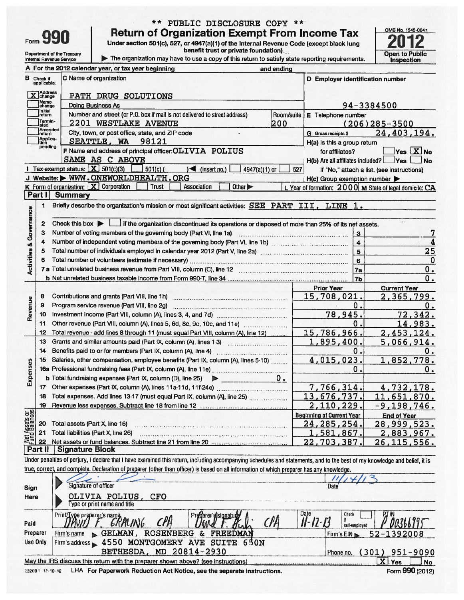| orm |  |  |
|-----|--|--|

Check if<br>applicable

X Address

 $\, {\bf B}$ 

## \*\* PUBLIC DISCLOSURE COPY \*\* **Return of Org**

Department of the Treasury<br>Internal Revenue Service

A For the 2012 calendar year, or tax year beginning

**PATH DRUG SOLUTIONS** 

C Name of organization

| <b>Return of Organization Exempt From Income Tax</b><br>Under section 501(c), 527, or 4947(a)(1) of the Internal Revenue Code (except black lung<br>benefit trust or private foundation)<br>The organization may have to use a copy of this return to satisfy state reporting requirements.<br>and ending |  |                                  | OMB No. 1545-0047<br>2012<br>Open to Public<br>Inspection |
|-----------------------------------------------------------------------------------------------------------------------------------------------------------------------------------------------------------------------------------------------------------------------------------------------------------|--|----------------------------------|-----------------------------------------------------------|
| year, or tax year beginning                                                                                                                                                                                                                                                                               |  |                                  |                                                           |
| aanization                                                                                                                                                                                                                                                                                                |  | D Employer identification number |                                                           |
| <b>ORUG SOLUTIONS</b>                                                                                                                                                                                                                                                                                     |  |                                  |                                                           |
| ness As                                                                                                                                                                                                                                                                                                   |  | 94-3384500                       |                                                           |
| $\cdots$ $\cdots$<br><br>.<br>.                                                                                                                                                                                                                                                                           |  |                                  |                                                           |

 $\blacksquare$ 

|                                | Name<br>change    | Doing Business As                                                                                                                                      |     |                                                       | 94-3384500                                              |  |
|--------------------------------|-------------------|--------------------------------------------------------------------------------------------------------------------------------------------------------|-----|-------------------------------------------------------|---------------------------------------------------------|--|
|                                | Initial<br>return | Number and street (or P.O. box if mail is not delivered to street address)<br>Room/suite                                                               |     | E Telephone number                                    |                                                         |  |
|                                | Termin-<br>ated   | 2201 WESTLAKE AVENUE<br>1200                                                                                                                           |     |                                                       | $(206)$ 285 - 3500                                      |  |
|                                | Amended<br>return | City, town, or post office, state, and ZIP code                                                                                                        |     | <b>G</b> Gross receipts \$                            | 24,403,194.                                             |  |
|                                | Applica-<br>Ition | SEATTLE, WA 98121                                                                                                                                      |     | H(a) Is this a group return                           |                                                         |  |
|                                | pending           | F Name and address of principal officer: OLIVIA POLIUS                                                                                                 |     | for affiliates?                                       | Yes X No                                                |  |
|                                |                   | SAME AS C ABOVE                                                                                                                                        |     | $H(b)$ Are all affiliates included? $\Box$ Yes $\Box$ | $\blacksquare$ No                                       |  |
|                                |                   | Tax-exempt status: $X$ 501(c)(3)<br>$501(c)$ (<br>$\sqrt{\frac{1}{1}}$ (insert no.)<br>4947(a)(1) or                                                   | 527 |                                                       | If "No," attach a list. (see instructions)              |  |
|                                |                   | J Website: MWW.ONEWORLDHEALTH.ORG                                                                                                                      |     | H(c) Group exemption number                           |                                                         |  |
|                                |                   | K Form of organization: X Corporation<br><b>Trust</b><br>Association<br>Other $\blacktriangleright$                                                    |     |                                                       | L Year of formation: 2000 M State of legal domicile: CA |  |
|                                | Part I            | <b>Summary</b>                                                                                                                                         |     |                                                       |                                                         |  |
|                                | 1                 | Briefly describe the organization's mission or most significant activities: SEE PART III, LINE 1.                                                      |     |                                                       |                                                         |  |
| & Governance                   |                   |                                                                                                                                                        |     |                                                       |                                                         |  |
|                                | 2                 | if the organization discontinued its operations or disposed of more than 25% of its net assets.<br>Check this box $\blacktriangleright$ $\blacksquare$ |     |                                                       |                                                         |  |
|                                | з                 | Number of voting members of the governing body (Part VI, line 1a)                                                                                      |     | з                                                     |                                                         |  |
|                                | 4                 | Number of independent voting members of the governing body (Part VI, line 1b)                                                                          |     | $\ddot{\bf 4}$                                        |                                                         |  |
|                                | 5                 |                                                                                                                                                        |     | 5                                                     | 25                                                      |  |
| Activities                     | 6                 |                                                                                                                                                        |     | 6                                                     | 0                                                       |  |
|                                |                   | 7 a Total unrelated business revenue from Part VIII, column (C), line 12 <b>Column and Contain the Column Column</b>                                   |     | 7a                                                    | 0.                                                      |  |
|                                |                   |                                                                                                                                                        |     | 7b                                                    | 0.                                                      |  |
|                                |                   |                                                                                                                                                        |     | <b>Prior Year</b>                                     | <b>Current Year</b>                                     |  |
|                                | 8                 | Contributions and grants (Part VIII, line 1h)                                                                                                          |     | 15,708,021.                                           | 2,365,799.                                              |  |
| Revenue                        | 9                 | Program service revenue (Part VIII, line 2g)                                                                                                           |     | Ο.                                                    | 0.                                                      |  |
|                                | 10                |                                                                                                                                                        |     | 78,945.                                               | 72, 342.                                                |  |
|                                | 11                |                                                                                                                                                        |     | 0.                                                    | 14,983.                                                 |  |
|                                | 12                | Total revenue - add lines 8 through 11 (must equal Part VIII, column (A), line 12)                                                                     |     | 15,786,966.                                           | 2,453,124.                                              |  |
|                                | 13                |                                                                                                                                                        |     |                                                       |                                                         |  |
|                                |                   | Grants and similar amounts paid (Part IX, column (A), lines 1-3)                                                                                       |     | 1,895,400.                                            | 5,066,914.                                              |  |
|                                | 14                |                                                                                                                                                        |     | О.                                                    | 0.                                                      |  |
|                                | 15                | Salaries, other compensation, employee benefits (Part IX, column (A), lines 5-10)                                                                      |     | 4,015,023.                                            | 1,852,778.                                              |  |
|                                |                   |                                                                                                                                                        |     | О.                                                    | 0.                                                      |  |
|                                |                   | <b>b</b> Total fundraising expenses (Part IX, column (D), line 25) $\triangleright$                                                                    | υ.  |                                                       |                                                         |  |
| Expenses                       | 17                |                                                                                                                                                        |     | 7,766,314.                                            | 4,732,178.                                              |  |
|                                | 18                | Total expenses. Add lines 13-17 (must equal Part IX, column (A), line 25)                                                                              |     | 13,676,737.                                           | 11,651,870.                                             |  |
|                                | 19                |                                                                                                                                                        |     | 2,110,229.                                            | $-9,198,746.$                                           |  |
|                                |                   |                                                                                                                                                        |     | <b>Beginning of Current Year</b>                      | <b>End of Year</b>                                      |  |
|                                | 20                | Total assets (Part X, line 16)                                                                                                                         |     | 24, 285, 254.                                         | 28,999,523.                                             |  |
| Net Assets or<br>Fund Balances | 21<br>22          | Total liabilities (Part X, line 26)                                                                                                                    |     | 1,581,867.<br>22,703,387.                             | 2,883,967.<br><u>26,115,556.</u>                        |  |

**Part II Signature Block** 

Under penalties of perjury, I declare that I have examined this return, including accompanying schedules and statements, and to the best of my knowledge and belief, it is true, correct, and complete. Declaration of preparer (other than officer) is based on all information of which preparer has any knowledge.

| Sign     | Signature of officer                                                              | Date                               |
|----------|-----------------------------------------------------------------------------------|------------------------------------|
| Here     | OLIVIA POLIUS, CFO<br>Type or print name and title                                |                                    |
| Paid     | Date<br>Predarer sisionatuda<br>Print/Type preparer's name.                       | Check<br>II-12-13<br>self-employed |
| Preparer | <b>ROSENBERG</b><br>$\sim$ GELMAN<br>FREEDMAN<br>Firm's name<br><u>&amp;</u>      | 52-1392008<br>Firm's $EIN$         |
| Use Only | 4550 MONTGOMERY AVE SUITE 650N<br>Firm's address<br>BETHESDA, MD 20814-2930       | 951-9090<br>301)<br>Phone no.      |
|          | May the IRS discuss this return with the preparer shown above? (see instructions) | $\mathbf{X}$<br>Yes<br>No<br>AA    |

232001 12-10-12 LHA For Paperwork Reduction Act Notice, see the separate instructions.

Form 990 (2012)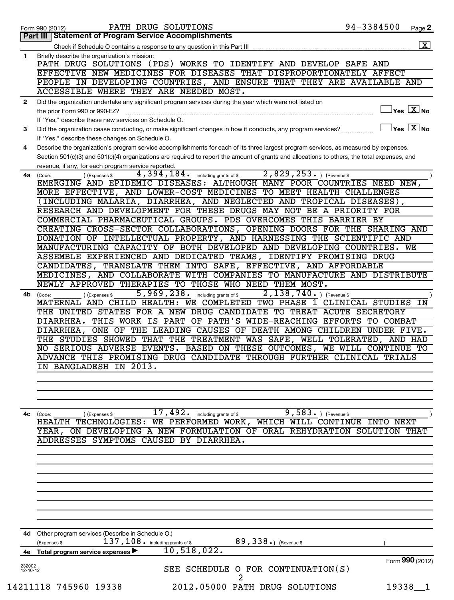|                | PATH DRUG SOLUTIONS<br>Form 990 (2012)                                                                                                             | 94-3384500 | Page 2                                                             |
|----------------|----------------------------------------------------------------------------------------------------------------------------------------------------|------------|--------------------------------------------------------------------|
|                | <b>Part III   Statement of Program Service Accomplishments</b>                                                                                     |            |                                                                    |
|                | Check if Schedule O contains a response to any question in this Part III                                                                           |            | $\overline{\mathbf{x}}$                                            |
| 1              | Briefly describe the organization's mission:                                                                                                       |            |                                                                    |
|                | PATH DRUG SOLUTIONS (PDS) WORKS TO IDENTIFY AND DEVELOP SAFE AND                                                                                   |            |                                                                    |
|                | EFFECTIVE NEW MEDICINES FOR DISEASES THAT DISPROPORTIONATELY AFFECT                                                                                |            |                                                                    |
|                | PEOPLE IN DEVELOPING COUNTRIES, AND ENSURE THAT THEY ARE AVAILABLE AND<br>ACCESSIBLE WHERE THEY ARE NEEDED MOST.                                   |            |                                                                    |
|                |                                                                                                                                                    |            |                                                                    |
| $\mathbf{2}$   | Did the organization undertake any significant program services during the year which were not listed on                                           |            | $\sqrt{\mathsf{Yes}\mathord{\;\mathbb{X}}\mathord{\;\mathsf{No}}}$ |
|                | the prior Form 990 or 990-EZ?<br>If "Yes," describe these new services on Schedule O.                                                              |            |                                                                    |
| 3              | Did the organization cease conducting, or make significant changes in how it conducts, any program services?                                       |            | $\overline{\ }$ Yes $\overline{\rm X}$ No                          |
|                | If "Yes," describe these changes on Schedule O.                                                                                                    |            |                                                                    |
| 4              | Describe the organization's program service accomplishments for each of its three largest program services, as measured by expenses.               |            |                                                                    |
|                | Section 501(c)(3) and 501(c)(4) organizations are required to report the amount of grants and allocations to others, the total expenses, and       |            |                                                                    |
|                | revenue, if any, for each program service reported.                                                                                                |            |                                                                    |
| 4a             | $2,829,253.$ (Revenue \$<br>$4,394,184$ $\ldots$ including grants of \$<br>(Expenses \$<br>(Code:                                                  |            |                                                                    |
|                | EMERGING AND EPIDEMIC DISEASES: ALTHOUGH MANY POOR COUNTRIES NEED NEW,                                                                             |            |                                                                    |
|                | MORE EFFECTIVE, AND LOWER-COST MEDICINES TO MEET HEALTH CHALLENGES                                                                                 |            |                                                                    |
|                | (INCLUDING MALARIA, DIARRHEA, AND NEGLECTED AND TROPICAL DISEASES),                                                                                |            |                                                                    |
|                | RESEARCH AND DEVELOPMENT FOR THESE DRUGS MAY NOT BE A PRIORITY FOR                                                                                 |            |                                                                    |
|                | COMMERCIAL PHARMACEUTICAL GROUPS. PDS OVERCOMES THIS BARRIER BY                                                                                    |            |                                                                    |
|                | CREATING CROSS-SECTOR COLLABORATIONS, OPENING DOORS FOR THE SHARING AND                                                                            |            |                                                                    |
|                | DONATION OF INTELLECTUAL PROPERTY, AND HARNESSING THE SCIENTIFIC AND                                                                               |            |                                                                    |
|                | MANUFACTURING CAPACITY OF BOTH DEVELOPED AND DEVELOPING COUNTRIES. WE                                                                              |            |                                                                    |
|                | ASSEMBLE EXPERIENCED AND DEDICATED TEAMS, IDENTIFY PROMISING DRUG                                                                                  |            |                                                                    |
|                | CANDIDATES, TRANSLATE THEM INTO SAFE, EFFECTIVE, AND AFFORDABLE                                                                                    |            |                                                                    |
|                | MEDICINES, AND COLLABORATE WITH COMPANIES TO MANUFACTURE AND DISTRIBUTE                                                                            |            |                                                                    |
|                | NEWLY APPROVED THERAPIES TO THOSE WHO NEED THEM MOST.                                                                                              |            |                                                                    |
| 4b             | 5,969,238. including grants of \$<br>$2,138,740.$ (Revenue \$)<br>(Code:<br>(Expenses \$                                                           |            |                                                                    |
|                | MATERNAL AND CHILD HEALTH: WE COMPLETED TWO PHASE 1 CLINICAL STUDIES                                                                               |            | ΙN                                                                 |
|                | THE UNITED STATES FOR A NEW DRUG CANDIDATE TO TREAT ACUTE SECRETORY                                                                                |            |                                                                    |
|                | DIARRHEA. THIS WORK IS PART OF PATH'S WIDE-REACHING EFFORTS TO COMBAT                                                                              |            |                                                                    |
|                | DIARRHEA, ONE OF THE LEADING CAUSES OF DEATH AMONG CHILDREN UNDER FIVE.<br>THE STUDIES SHOWED THAT THE TREATMENT WAS SAFE, WELL TOLERATED, AND HAD |            |                                                                    |
|                | NO SERIOUS ADVERSE EVENTS. BASED ON THESE OUTCOMES, WE WILL CONTINUE TO                                                                            |            |                                                                    |
|                | ADVANCE THIS PROMISING DRUG CANDIDATE THROUGH FURTHER CLINICAL TRIALS                                                                              |            |                                                                    |
|                | IN BANGLADESH IN 2013.                                                                                                                             |            |                                                                    |
|                |                                                                                                                                                    |            |                                                                    |
|                |                                                                                                                                                    |            |                                                                    |
|                |                                                                                                                                                    |            |                                                                    |
|                |                                                                                                                                                    |            |                                                                    |
| 4c             | $\overline{9,583.}$ (Revenue \$<br>17,492.<br>including grants of \$<br>) (Expenses \$<br>(Code:                                                   |            |                                                                    |
|                | HEALTH TECHNOLOGIES: WE PERFORMED WORK, WHICH WILL CONTINUE INTO NEXT                                                                              |            |                                                                    |
|                | YEAR, ON DEVELOPING A NEW FORMULATION OF ORAL REHYDRATION SOLUTION THAT                                                                            |            |                                                                    |
|                | ADDRESSES SYMPTOMS CAUSED BY DIARRHEA.                                                                                                             |            |                                                                    |
|                |                                                                                                                                                    |            |                                                                    |
|                |                                                                                                                                                    |            |                                                                    |
|                |                                                                                                                                                    |            |                                                                    |
|                |                                                                                                                                                    |            |                                                                    |
|                |                                                                                                                                                    |            |                                                                    |
|                |                                                                                                                                                    |            |                                                                    |
|                |                                                                                                                                                    |            |                                                                    |
|                |                                                                                                                                                    |            |                                                                    |
|                |                                                                                                                                                    |            |                                                                    |
| 4d             | Other program services (Describe in Schedule O.)                                                                                                   |            |                                                                    |
|                | $137$ , $108$ $\cdot$ including grants of \$<br>89, 338.) (Revenue \$<br>(Expenses \$                                                              |            |                                                                    |
| 4е             | 10,518,022.<br>Total program service expenses ▶                                                                                                    |            |                                                                    |
| 232002         |                                                                                                                                                    |            | Form 990 (2012)                                                    |
| $12 - 10 - 12$ | SEE SCHEDULE O FOR CONTINUATION(S)                                                                                                                 |            |                                                                    |
|                |                                                                                                                                                    |            |                                                                    |
|                | 14211118 745960 19338<br>2012.05000 PATH DRUG SOLUTIONS                                                                                            |            | 19338 1                                                            |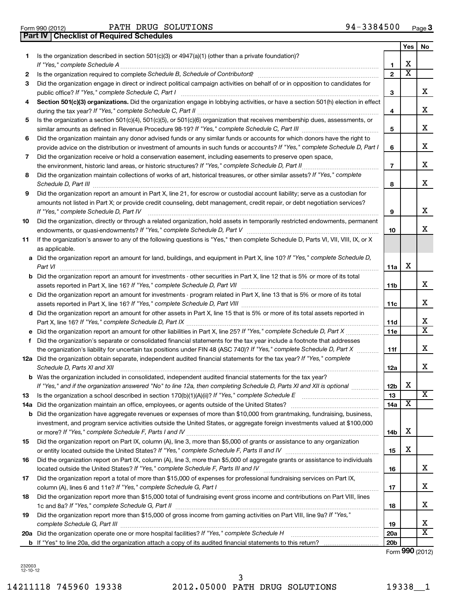Form 990 (2012) Page PATH DRUG SOLUTIONS 94-3384500

|    |                                                                                                                                                                                                                                                         |                          | Yes                     | No.                     |
|----|---------------------------------------------------------------------------------------------------------------------------------------------------------------------------------------------------------------------------------------------------------|--------------------------|-------------------------|-------------------------|
| 1. | Is the organization described in section 501(c)(3) or 4947(a)(1) (other than a private foundation)?<br>If "Yes," complete Schedule A                                                                                                                    | 1                        | х                       |                         |
| 2  |                                                                                                                                                                                                                                                         | $\mathbf{2}$             | $\overline{\textbf{x}}$ |                         |
| 3  | Did the organization engage in direct or indirect political campaign activities on behalf of or in opposition to candidates for                                                                                                                         |                          |                         |                         |
|    | public office? If "Yes," complete Schedule C, Part I                                                                                                                                                                                                    | 3                        |                         | x.                      |
| 4  | Section 501(c)(3) organizations. Did the organization engage in lobbying activities, or have a section 501(h) election in effect                                                                                                                        |                          |                         |                         |
|    |                                                                                                                                                                                                                                                         | 4                        |                         | x                       |
| 5  | Is the organization a section 501(c)(4), 501(c)(5), or 501(c)(6) organization that receives membership dues, assessments, or                                                                                                                            |                          |                         |                         |
|    |                                                                                                                                                                                                                                                         | 5                        |                         | х                       |
| 6  | Did the organization maintain any donor advised funds or any similar funds or accounts for which donors have the right to                                                                                                                               |                          |                         |                         |
|    | provide advice on the distribution or investment of amounts in such funds or accounts? If "Yes," complete Schedule D, Part I                                                                                                                            | 6                        |                         | х                       |
| 7  | Did the organization receive or hold a conservation easement, including easements to preserve open space,                                                                                                                                               |                          |                         |                         |
|    |                                                                                                                                                                                                                                                         | $\overline{\phantom{a}}$ |                         | х                       |
| 8  | Did the organization maintain collections of works of art, historical treasures, or other similar assets? If "Yes," complete<br>Schedule D, Part III <b>Process Construction Construction Construction</b> Construction Construction Construction Const | 8                        |                         | x                       |
| 9  | Did the organization report an amount in Part X, line 21, for escrow or custodial account liability; serve as a custodian for                                                                                                                           |                          |                         |                         |
|    | amounts not listed in Part X; or provide credit counseling, debt management, credit repair, or debt negotiation services?<br>If "Yes," complete Schedule D, Part IV                                                                                     | 9                        |                         | x                       |
| 10 | Did the organization, directly or through a related organization, hold assets in temporarily restricted endowments, permanent                                                                                                                           |                          |                         |                         |
|    |                                                                                                                                                                                                                                                         | 10                       |                         | x                       |
| 11 | If the organization's answer to any of the following questions is "Yes," then complete Schedule D, Parts VI, VII, VIII, IX, or X<br>as applicable.                                                                                                      |                          |                         |                         |
|    | a Did the organization report an amount for land, buildings, and equipment in Part X, line 10? If "Yes," complete Schedule D,<br>Part VI                                                                                                                | 11a                      | х                       |                         |
|    | <b>b</b> Did the organization report an amount for investments - other securities in Part X, line 12 that is 5% or more of its total                                                                                                                    | 11 <sub>b</sub>          |                         | x                       |
|    | c Did the organization report an amount for investments - program related in Part X, line 13 that is 5% or more of its total                                                                                                                            |                          |                         |                         |
|    |                                                                                                                                                                                                                                                         | 11c                      |                         | х                       |
|    | d Did the organization report an amount for other assets in Part X, line 15 that is 5% or more of its total assets reported in                                                                                                                          |                          |                         |                         |
|    |                                                                                                                                                                                                                                                         | 11d                      |                         | x                       |
|    |                                                                                                                                                                                                                                                         | 11e                      |                         | $\overline{\mathtt{x}}$ |
| f. | Did the organization's separate or consolidated financial statements for the tax year include a footnote that addresses                                                                                                                                 |                          |                         |                         |
|    | the organization's liability for uncertain tax positions under FIN 48 (ASC 740)? If "Yes," complete Schedule D, Part X                                                                                                                                  | 11f                      |                         | х                       |
|    | 12a Did the organization obtain separate, independent audited financial statements for the tax year? If "Yes," complete                                                                                                                                 |                          |                         |                         |
|    | Schedule D, Parts XI and XII                                                                                                                                                                                                                            | 12a                      |                         | x                       |
|    | <b>b</b> Was the organization included in consolidated, independent audited financial statements for the tax year?                                                                                                                                      |                          |                         |                         |
|    | If "Yes." and if the organization answered "No" to line 12a. then completing Schedule D. Parts XI and XII is optional                                                                                                                                   | 12 <sub>b</sub>          | Χ                       |                         |
| 13 |                                                                                                                                                                                                                                                         | 13                       |                         | $\overline{\textbf{x}}$ |
|    |                                                                                                                                                                                                                                                         | 14a                      | х                       |                         |
|    | <b>b</b> Did the organization have aggregate revenues or expenses of more than \$10,000 from grantmaking, fundraising, business,                                                                                                                        |                          |                         |                         |
|    | investment, and program service activities outside the United States, or aggregate foreign investments valued at \$100,000                                                                                                                              |                          |                         |                         |
|    |                                                                                                                                                                                                                                                         | 14b                      | Х                       |                         |
| 15 | Did the organization report on Part IX, column (A), line 3, more than \$5,000 of grants or assistance to any organization                                                                                                                               |                          | х                       |                         |
|    |                                                                                                                                                                                                                                                         | 15                       |                         |                         |
| 16 | Did the organization report on Part IX, column (A), line 3, more than \$5,000 of aggregate grants or assistance to individuals                                                                                                                          | 16                       |                         | x                       |
| 17 | Did the organization report a total of more than \$15,000 of expenses for professional fundraising services on Part IX,                                                                                                                                 |                          |                         |                         |
|    |                                                                                                                                                                                                                                                         | 17                       |                         | х                       |
| 18 | Did the organization report more than \$15,000 total of fundraising event gross income and contributions on Part VIII, lines                                                                                                                            | 18                       |                         | x                       |
| 19 | Did the organization report more than \$15,000 of gross income from gaming activities on Part VIII, line 9a? If "Yes,"                                                                                                                                  | 19                       |                         | х                       |
|    | 20a Did the organization operate one or more hospital facilities? If "Yes," complete Schedule H                                                                                                                                                         | <b>20a</b>               |                         | $\overline{\text{X}}$   |
|    |                                                                                                                                                                                                                                                         | 20 <sub>b</sub>          |                         |                         |

Form (2012) **990**

232003 12-10-12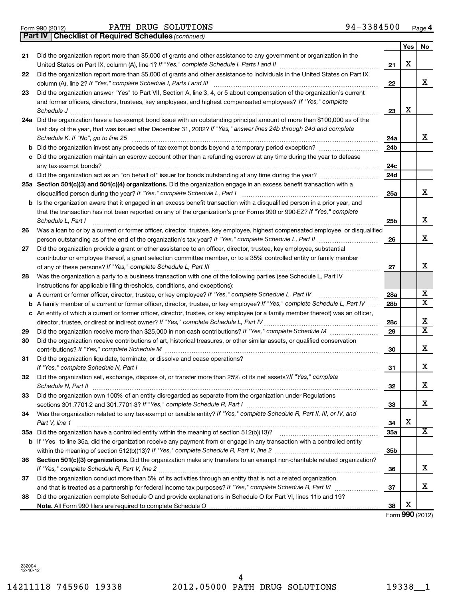# Form 990 (2012) Page PATH DRUG SOLUTIONS 94-3384500

|     |                                                                                                                                                                                                                                         |                 | Yes | No              |
|-----|-----------------------------------------------------------------------------------------------------------------------------------------------------------------------------------------------------------------------------------------|-----------------|-----|-----------------|
| 21  | Did the organization report more than \$5,000 of grants and other assistance to any government or organization in the<br>United States on Part IX, column (A), line 1? If "Yes," complete Schedule I, Parts I and II [111] [11] [11] [1 | 21              | Х   |                 |
| 22  | Did the organization report more than \$5,000 of grants and other assistance to individuals in the United States on Part IX,<br>column (A), line 2? If "Yes," complete Schedule I, Parts I and III                                      | 22              |     | x               |
| 23  | Did the organization answer "Yes" to Part VII, Section A, line 3, 4, or 5 about compensation of the organization's current                                                                                                              |                 |     |                 |
|     | and former officers, directors, trustees, key employees, and highest compensated employees? If "Yes," complete                                                                                                                          |                 |     |                 |
|     | Schedule J                                                                                                                                                                                                                              | 23              | х   |                 |
| 24a | Did the organization have a tax-exempt bond issue with an outstanding principal amount of more than \$100,000 as of the                                                                                                                 |                 |     |                 |
|     | last day of the year, that was issued after December 31, 2002? If "Yes," answer lines 24b through 24d and complete                                                                                                                      |                 |     |                 |
|     | Schedule K. If "No", go to line 25                                                                                                                                                                                                      | 24a             |     | x               |
| b   |                                                                                                                                                                                                                                         | 24 <sub>b</sub> |     |                 |
| c   | Did the organization maintain an escrow account other than a refunding escrow at any time during the year to defease                                                                                                                    |                 |     |                 |
|     |                                                                                                                                                                                                                                         | 24c             |     |                 |
|     |                                                                                                                                                                                                                                         | 24d             |     |                 |
|     | Section 501(c)(3) and 501(c)(4) organizations. Did the organization engage in an excess benefit transaction with a                                                                                                                      |                 |     |                 |
| 25a | disqualified person during the year? If "Yes," complete Schedule L, Part I                                                                                                                                                              | 25a             |     | x               |
| b   | Is the organization aware that it engaged in an excess benefit transaction with a disqualified person in a prior year, and                                                                                                              |                 |     |                 |
|     | that the transaction has not been reported on any of the organization's prior Forms 990 or 990-EZ? If "Yes," complete<br>Schedule L, Part I                                                                                             | 25 <sub>b</sub> |     | х               |
| 26  | Was a loan to or by a current or former officer, director, trustee, key employee, highest compensated employee, or disqualified                                                                                                         |                 |     |                 |
|     |                                                                                                                                                                                                                                         | 26              |     | х               |
| 27  | Did the organization provide a grant or other assistance to an officer, director, trustee, key employee, substantial                                                                                                                    |                 |     |                 |
|     | contributor or employee thereof, a grant selection committee member, or to a 35% controlled entity or family member                                                                                                                     |                 |     |                 |
|     |                                                                                                                                                                                                                                         | 27              |     | x               |
| 28  | Was the organization a party to a business transaction with one of the following parties (see Schedule L, Part IV                                                                                                                       |                 |     |                 |
|     | instructions for applicable filing thresholds, conditions, and exceptions):                                                                                                                                                             |                 |     |                 |
|     | a A current or former officer, director, trustee, or key employee? If "Yes," complete Schedule L, Part IV                                                                                                                               | 28a             |     | х               |
| b   | A family member of a current or former officer, director, trustee, or key employee? If "Yes," complete Schedule L, Part IV                                                                                                              | 28 <sub>b</sub> |     | х               |
| с   | An entity of which a current or former officer, director, trustee, or key employee (or a family member thereof) was an officer,                                                                                                         |                 |     |                 |
|     | director, trustee, or direct or indirect owner? If "Yes," complete Schedule L, Part IV.                                                                                                                                                 | 28c             |     | х               |
| 29  |                                                                                                                                                                                                                                         | 29              |     | x               |
| 30  | Did the organization receive contributions of art, historical treasures, or other similar assets, or qualified conservation                                                                                                             |                 |     |                 |
|     |                                                                                                                                                                                                                                         | 30              |     | х               |
| 31  | Did the organization liquidate, terminate, or dissolve and cease operations?                                                                                                                                                            |                 |     |                 |
|     | If "Yes." complete Schedule N, Part I                                                                                                                                                                                                   | 31              |     | х               |
| 32  | Did the organization sell, exchange, dispose of, or transfer more than 25% of its net assets? If "Yes," complete                                                                                                                        |                 |     |                 |
|     | Schedule N. Part II                                                                                                                                                                                                                     | 32              |     | х               |
| 33  | Did the organization own 100% of an entity disregarded as separate from the organization under Regulations                                                                                                                              |                 |     |                 |
|     |                                                                                                                                                                                                                                         | 33              |     | x               |
| 34  | Was the organization related to any tax-exempt or taxable entity? If "Yes," complete Schedule R, Part II, III, or IV, and<br>Part V, line 1                                                                                             | 34              | X   |                 |
| 35a |                                                                                                                                                                                                                                         | 35a             |     | X               |
| b   | If "Yes" to line 35a, did the organization receive any payment from or engage in any transaction with a controlled entity                                                                                                               |                 |     |                 |
|     |                                                                                                                                                                                                                                         | 35 <sub>b</sub> |     |                 |
| 36  | Section 501(c)(3) organizations. Did the organization make any transfers to an exempt non-charitable related organization?                                                                                                              |                 |     |                 |
|     |                                                                                                                                                                                                                                         | 36              |     | х               |
| 37  | Did the organization conduct more than 5% of its activities through an entity that is not a related organization                                                                                                                        |                 |     |                 |
|     |                                                                                                                                                                                                                                         | 37              |     | х               |
| 38  | Did the organization complete Schedule O and provide explanations in Schedule O for Part VI, lines 11b and 19?                                                                                                                          |                 |     |                 |
|     |                                                                                                                                                                                                                                         | 38              | X   |                 |
|     |                                                                                                                                                                                                                                         |                 |     | Form 990 (2012) |

*(continued)* **Part IV Checklist of Required Schedules**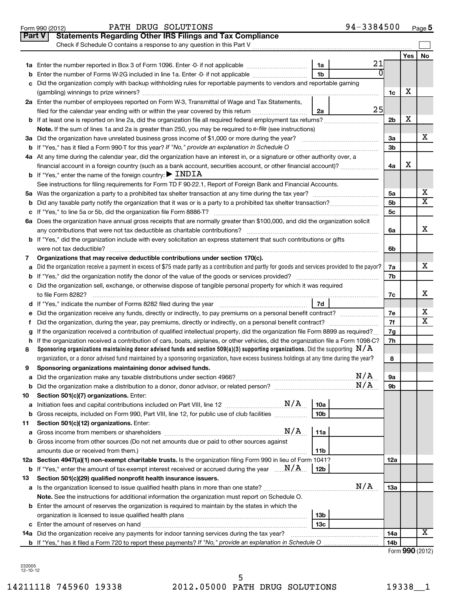|               | PATH DRUG SOLUTIONS<br>Form 990 (2012)                                                                                                                                                                                                                                    | 94-3384500          |                |     | Page 5                     |
|---------------|---------------------------------------------------------------------------------------------------------------------------------------------------------------------------------------------------------------------------------------------------------------------------|---------------------|----------------|-----|----------------------------|
| <b>Part V</b> | <b>Statements Regarding Other IRS Filings and Tax Compliance</b>                                                                                                                                                                                                          |                     |                |     |                            |
|               | Check if Schedule O contains a response to any question in this Part V                                                                                                                                                                                                    |                     |                |     |                            |
|               |                                                                                                                                                                                                                                                                           |                     |                | Yes | No                         |
|               |                                                                                                                                                                                                                                                                           | 21<br>1a            |                |     |                            |
|               |                                                                                                                                                                                                                                                                           | 0<br>1 <sub>b</sub> |                |     |                            |
|               | c Did the organization comply with backup withholding rules for reportable payments to vendors and reportable gaming                                                                                                                                                      |                     |                |     |                            |
|               |                                                                                                                                                                                                                                                                           |                     | 1c             | х   |                            |
|               | 2a Enter the number of employees reported on Form W-3, Transmittal of Wage and Tax Statements,                                                                                                                                                                            |                     |                |     |                            |
|               | filed for the calendar year ending with or within the year covered by this return                                                                                                                                                                                         | 25<br>2a            |                |     |                            |
|               |                                                                                                                                                                                                                                                                           |                     | 2 <sub>b</sub> | х   |                            |
|               | Note. If the sum of lines 1a and 2a is greater than 250, you may be required to e-file (see instructions)                                                                                                                                                                 |                     |                |     |                            |
|               | 3a Did the organization have unrelated business gross income of \$1,000 or more during the year?                                                                                                                                                                          |                     | За             |     | x                          |
|               | <b>b</b> If "Yes," has it filed a Form 990-T for this year? If "No," provide an explanation in Schedule O                                                                                                                                                                 |                     | 3b             |     |                            |
|               | 4a At any time during the calendar year, did the organization have an interest in, or a signature or other authority over, a                                                                                                                                              |                     |                |     |                            |
|               | financial account in a foreign country (such as a bank account, securities account, or other financial account)?                                                                                                                                                          |                     | 4a             | х   |                            |
|               | <b>b</b> If "Yes," enter the name of the foreign country: $\blacktriangleright$ INDIA                                                                                                                                                                                     |                     |                |     |                            |
|               | See instructions for filing requirements for Form TD F 90-22.1, Report of Foreign Bank and Financial Accounts.                                                                                                                                                            |                     |                |     |                            |
|               |                                                                                                                                                                                                                                                                           |                     | 5а             |     | х                          |
|               |                                                                                                                                                                                                                                                                           |                     | 5b             |     | $\overline{\mathtt{x}}$    |
|               |                                                                                                                                                                                                                                                                           |                     | 5c             |     |                            |
|               | 6a Does the organization have annual gross receipts that are normally greater than \$100,000, and did the organization solicit                                                                                                                                            |                     |                |     |                            |
|               | any contributions that were not tax deductible as charitable contributions?                                                                                                                                                                                               |                     | 6a             |     | х                          |
|               | b If "Yes," did the organization include with every solicitation an express statement that such contributions or gifts                                                                                                                                                    |                     |                |     |                            |
|               |                                                                                                                                                                                                                                                                           |                     | 6b             |     |                            |
| 7             | Organizations that may receive deductible contributions under section 170(c).                                                                                                                                                                                             |                     |                |     |                            |
| a             | Did the organization receive a payment in excess of \$75 made partly as a contribution and partly for goods and services provided to the payor?                                                                                                                           |                     | 7a             |     | x                          |
|               |                                                                                                                                                                                                                                                                           |                     | 7b             |     |                            |
|               | c Did the organization sell, exchange, or otherwise dispose of tangible personal property for which it was required                                                                                                                                                       |                     |                |     |                            |
|               | to file Form 8282?                                                                                                                                                                                                                                                        |                     | 7c             |     | x                          |
|               |                                                                                                                                                                                                                                                                           | 7d                  |                |     |                            |
|               | e Did the organization receive any funds, directly or indirectly, to pay premiums on a personal benefit contract?                                                                                                                                                         |                     | 7e             |     | х<br>$\overline{\text{x}}$ |
| f             |                                                                                                                                                                                                                                                                           |                     | 7f             |     |                            |
| g             | If the organization received a contribution of qualified intellectual property, did the organization file Form 8899 as required?                                                                                                                                          |                     | 7g             |     |                            |
| 8             | h If the organization received a contribution of cars, boats, airplanes, or other vehicles, did the organization file a Form 1098-C?<br>Sponsoring organizations maintaining donor advised funds and section 509(a)(3) supporting organizations. Did the supporting $N/A$ |                     | 7h             |     |                            |
|               | organization, or a donor advised fund maintained by a sponsoring organization, have excess business holdings at any time during the year?                                                                                                                                 |                     | 8              |     |                            |
| 9             | Sponsoring organizations maintaining donor advised funds.                                                                                                                                                                                                                 |                     |                |     |                            |
| а             |                                                                                                                                                                                                                                                                           | N/A                 | 9а             |     |                            |
| b             |                                                                                                                                                                                                                                                                           | N/A                 | 9b             |     |                            |
| 10            | Section 501(c)(7) organizations. Enter:                                                                                                                                                                                                                                   |                     |                |     |                            |
| а             |                                                                                                                                                                                                                                                                           | 10a                 |                |     |                            |
| b             | Gross receipts, included on Form 990, Part VIII, line 12, for public use of club facilities                                                                                                                                                                               | 10 <sub>b</sub>     |                |     |                            |
| 11            | Section 501(c)(12) organizations. Enter:                                                                                                                                                                                                                                  |                     |                |     |                            |
|               |                                                                                                                                                                                                                                                                           | 11a                 |                |     |                            |
|               | <b>b</b> Gross income from other sources (Do not net amounts due or paid to other sources against                                                                                                                                                                         |                     |                |     |                            |
|               |                                                                                                                                                                                                                                                                           | 11b                 |                |     |                            |
|               | 12a Section 4947(a)(1) non-exempt charitable trusts. Is the organization filing Form 990 in lieu of Form 1041?                                                                                                                                                            |                     | 12a            |     |                            |
|               | <b>b</b> If "Yes," enter the amount of tax-exempt interest received or accrued during the year $\ldots$ $N/A$ .                                                                                                                                                           | 12b                 |                |     |                            |
| 13            | Section 501(c)(29) qualified nonprofit health insurance issuers.                                                                                                                                                                                                          |                     |                |     |                            |
|               |                                                                                                                                                                                                                                                                           | N/A                 | 13a            |     |                            |
|               | <b>Note.</b> See the instructions for additional information the organization must report on Schedule O.                                                                                                                                                                  |                     |                |     |                            |
|               | <b>b</b> Enter the amount of reserves the organization is required to maintain by the states in which the                                                                                                                                                                 |                     |                |     |                            |
|               |                                                                                                                                                                                                                                                                           | 13 <sub>b</sub>     |                |     |                            |
|               |                                                                                                                                                                                                                                                                           | 13 <sub>c</sub>     |                |     |                            |
|               | <b>14a</b> Did the organization receive any payments for indoor tanning services during the tax year?                                                                                                                                                                     |                     | 14a            |     | X                          |
|               |                                                                                                                                                                                                                                                                           |                     | 14b            |     |                            |

| Form 990 (2012) |  |
|-----------------|--|
|-----------------|--|

232005 12-10-12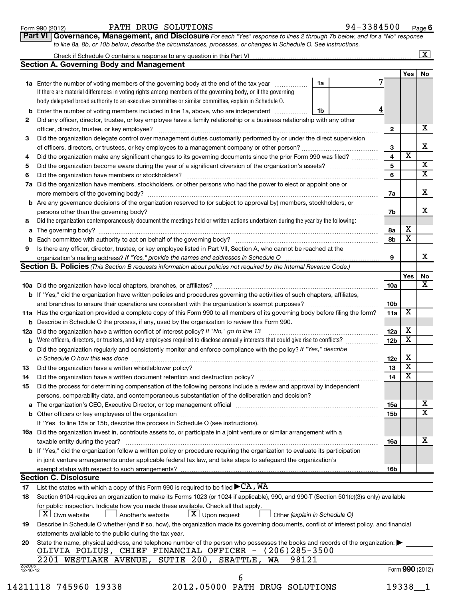| Form 990 (2012) | DRUG<br>SOLUTIONS<br>$\mathtt{PATH}$ | 3384500<br>$94 -$<br>Page |
|-----------------|--------------------------------------|---------------------------|
|-----------------|--------------------------------------|---------------------------|

Page **6**<br>ponse

 $\lfloor x \rfloor$ 

| <b>II   Governance, Management, and Disclosure</b> For each "Yes" response to lines 2 through 7b below, and for a "No" response |  |
|---------------------------------------------------------------------------------------------------------------------------------|--|
| to line 8a, 8b, or 10b below, describe the circumstances, processes, or changes in Schedule O. See instructions.                |  |

| Check if Schedule O contains a response to any question in this Part VI |  |
|-------------------------------------------------------------------------|--|
| <b>Section A. Governing Body and Management</b>                         |  |

|                                                                                                                                                  |                                                                                                                                                                                                                               |    |  |                 | Yes                     | No                      |  |  |
|--------------------------------------------------------------------------------------------------------------------------------------------------|-------------------------------------------------------------------------------------------------------------------------------------------------------------------------------------------------------------------------------|----|--|-----------------|-------------------------|-------------------------|--|--|
|                                                                                                                                                  | 1a Enter the number of voting members of the governing body at the end of the tax year                                                                                                                                        | 1a |  |                 |                         |                         |  |  |
|                                                                                                                                                  | If there are material differences in voting rights among members of the governing body, or if the governing                                                                                                                   |    |  |                 |                         |                         |  |  |
|                                                                                                                                                  | body delegated broad authority to an executive committee or similar committee, explain in Schedule O.                                                                                                                         |    |  |                 |                         |                         |  |  |
|                                                                                                                                                  |                                                                                                                                                                                                                               | 1b |  |                 |                         |                         |  |  |
| b                                                                                                                                                | Enter the number of voting members included in line 1a, above, who are independent                                                                                                                                            |    |  |                 |                         |                         |  |  |
| 2                                                                                                                                                | Did any officer, director, trustee, or key employee have a family relationship or a business relationship with any other                                                                                                      |    |  |                 |                         |                         |  |  |
|                                                                                                                                                  | officer, director, trustee, or key employee?                                                                                                                                                                                  |    |  | 2               |                         | x                       |  |  |
| З                                                                                                                                                | Did the organization delegate control over management duties customarily performed by or under the direct supervision                                                                                                         |    |  |                 |                         |                         |  |  |
|                                                                                                                                                  |                                                                                                                                                                                                                               |    |  | 3               |                         | x                       |  |  |
| 4                                                                                                                                                | Did the organization make any significant changes to its governing documents since the prior Form 990 was filed?                                                                                                              |    |  | $\overline{4}$  | X                       |                         |  |  |
| 5                                                                                                                                                |                                                                                                                                                                                                                               |    |  | 5               |                         | X                       |  |  |
| 6                                                                                                                                                | Did the organization have members or stockholders?                                                                                                                                                                            |    |  | 6               |                         | $\overline{\mathtt{x}}$ |  |  |
| 7а                                                                                                                                               | Did the organization have members, stockholders, or other persons who had the power to elect or appoint one or                                                                                                                |    |  |                 |                         |                         |  |  |
|                                                                                                                                                  |                                                                                                                                                                                                                               |    |  | 7a              |                         | x                       |  |  |
|                                                                                                                                                  | Are any governance decisions of the organization reserved to (or subject to approval by) members, stockholders, or                                                                                                            |    |  |                 |                         |                         |  |  |
| b                                                                                                                                                |                                                                                                                                                                                                                               |    |  |                 |                         | x                       |  |  |
|                                                                                                                                                  | persons other than the governing body?                                                                                                                                                                                        |    |  | 7b              |                         |                         |  |  |
| 8                                                                                                                                                | Did the organization contemporaneously document the meetings held or written actions undertaken during the year by the following:                                                                                             |    |  |                 |                         |                         |  |  |
| а                                                                                                                                                |                                                                                                                                                                                                                               |    |  | 8а              | х                       |                         |  |  |
| b                                                                                                                                                | Each committee with authority to act on behalf of the governing body?                                                                                                                                                         |    |  | 8b              | x                       |                         |  |  |
| 9                                                                                                                                                | Is there any officer, director, trustee, or key employee listed in Part VII, Section A, who cannot be reached at the                                                                                                          |    |  |                 |                         |                         |  |  |
|                                                                                                                                                  |                                                                                                                                                                                                                               |    |  | 9               |                         | x.                      |  |  |
|                                                                                                                                                  | <b>Section B. Policies</b> (This Section B requests information about policies not required by the Internal Revenue Code.)                                                                                                    |    |  |                 |                         |                         |  |  |
|                                                                                                                                                  |                                                                                                                                                                                                                               |    |  |                 | Yes                     | No                      |  |  |
|                                                                                                                                                  |                                                                                                                                                                                                                               |    |  | <b>10a</b>      |                         | x                       |  |  |
|                                                                                                                                                  | b If "Yes," did the organization have written policies and procedures governing the activities of such chapters, affiliates,                                                                                                  |    |  |                 |                         |                         |  |  |
|                                                                                                                                                  |                                                                                                                                                                                                                               |    |  | 10 <sub>b</sub> |                         |                         |  |  |
|                                                                                                                                                  |                                                                                                                                                                                                                               |    |  |                 |                         |                         |  |  |
|                                                                                                                                                  | 11a Has the organization provided a complete copy of this Form 990 to all members of its governing body before filing the form?                                                                                               |    |  |                 |                         |                         |  |  |
|                                                                                                                                                  | Describe in Schedule O the process, if any, used by the organization to review this Form 990.<br>b                                                                                                                            |    |  |                 |                         |                         |  |  |
| 12a                                                                                                                                              | Did the organization have a written conflict of interest policy? If "No," go to line 13                                                                                                                                       |    |  |                 |                         |                         |  |  |
| b                                                                                                                                                | Were officers, directors, or trustees, and key employees required to disclose annually interests that could give rise to conflicts?                                                                                           |    |  | 12 <sub>b</sub> | $\overline{\textbf{x}}$ |                         |  |  |
| с                                                                                                                                                | Did the organization regularly and consistently monitor and enforce compliance with the policy? If "Yes," describe                                                                                                            |    |  |                 |                         |                         |  |  |
|                                                                                                                                                  | in Schedule O how this was done                                                                                                                                                                                               |    |  | 12c             | х                       |                         |  |  |
| 13                                                                                                                                               |                                                                                                                                                                                                                               |    |  | 13              | х                       |                         |  |  |
| 14                                                                                                                                               |                                                                                                                                                                                                                               |    |  | 14              | $\overline{\textbf{x}}$ |                         |  |  |
| 15                                                                                                                                               | Did the process for determining compensation of the following persons include a review and approval by independent                                                                                                            |    |  |                 |                         |                         |  |  |
|                                                                                                                                                  | persons, comparability data, and contemporaneous substantiation of the deliberation and decision?                                                                                                                             |    |  |                 |                         |                         |  |  |
|                                                                                                                                                  | The organization's CEO, Executive Director, or top management official [111] [12] manuscription or contraction or contraction of the organization's CEO, Executive Director, or top management official [12] manuscription or |    |  | 15a             |                         | x                       |  |  |
|                                                                                                                                                  |                                                                                                                                                                                                                               |    |  | 15 <b>L</b>     |                         | $\overline{\mathtt{v}}$ |  |  |
|                                                                                                                                                  | Other officers or key employees of the organization [11] contains an intervention of the organization [11] of                                                                                                                 |    |  | טטו             |                         |                         |  |  |
|                                                                                                                                                  | If "Yes" to line 15a or 15b, describe the process in Schedule O (see instructions).                                                                                                                                           |    |  |                 |                         |                         |  |  |
|                                                                                                                                                  | <b>16a</b> Did the organization invest in, contribute assets to, or participate in a joint venture or similar arrangement with a                                                                                              |    |  |                 |                         |                         |  |  |
|                                                                                                                                                  | taxable entity during the year?                                                                                                                                                                                               |    |  | 16a             |                         | x                       |  |  |
|                                                                                                                                                  | <b>b</b> If "Yes," did the organization follow a written policy or procedure requiring the organization to evaluate its participation                                                                                         |    |  |                 |                         |                         |  |  |
|                                                                                                                                                  | in joint venture arrangements under applicable federal tax law, and take steps to safeguard the organization's                                                                                                                |    |  |                 |                         |                         |  |  |
|                                                                                                                                                  | exempt status with respect to such arrangements?                                                                                                                                                                              |    |  | 16b             |                         |                         |  |  |
|                                                                                                                                                  | <b>Section C. Disclosure</b>                                                                                                                                                                                                  |    |  |                 |                         |                         |  |  |
| 17                                                                                                                                               | List the states with which a copy of this Form 990 is required to be filed $\blacktriangleright$ CA, WA                                                                                                                       |    |  |                 |                         |                         |  |  |
| 18                                                                                                                                               | Section 6104 requires an organization to make its Forms 1023 (or 1024 if applicable), 990, and 990-T (Section 501(c)(3)s only) available                                                                                      |    |  |                 |                         |                         |  |  |
|                                                                                                                                                  | for public inspection. Indicate how you made these available. Check all that apply.                                                                                                                                           |    |  |                 |                         |                         |  |  |
|                                                                                                                                                  | $ \mathbf{X} $ Own website<br>$\lfloor \underline{X} \rfloor$ Upon request<br>Another's website<br>Other (explain in Schedule O)                                                                                              |    |  |                 |                         |                         |  |  |
| Describe in Schedule O whether (and if so, how), the organization made its governing documents, conflict of interest policy, and financial<br>19 |                                                                                                                                                                                                                               |    |  |                 |                         |                         |  |  |
| statements available to the public during the tax year.                                                                                          |                                                                                                                                                                                                                               |    |  |                 |                         |                         |  |  |
| State the name, physical address, and telephone number of the person who possesses the books and records of the organization:                    |                                                                                                                                                                                                                               |    |  |                 |                         |                         |  |  |
| 20                                                                                                                                               | OLIVIA POLIUS, CHIEF FINANCIAL OFFICER - (206)285-3500                                                                                                                                                                        |    |  |                 |                         |                         |  |  |
|                                                                                                                                                  | 98121<br>WA                                                                                                                                                                                                                   |    |  |                 |                         |                         |  |  |
| 232006                                                                                                                                           | 2201 WESTLAKE AVENUE, SUTIE 200, SEATTLE,                                                                                                                                                                                     |    |  |                 |                         |                         |  |  |
| $12 - 10 - 12$                                                                                                                                   |                                                                                                                                                                                                                               |    |  |                 |                         | Form 990 (2012)         |  |  |
|                                                                                                                                                  | 6                                                                                                                                                                                                                             |    |  |                 |                         |                         |  |  |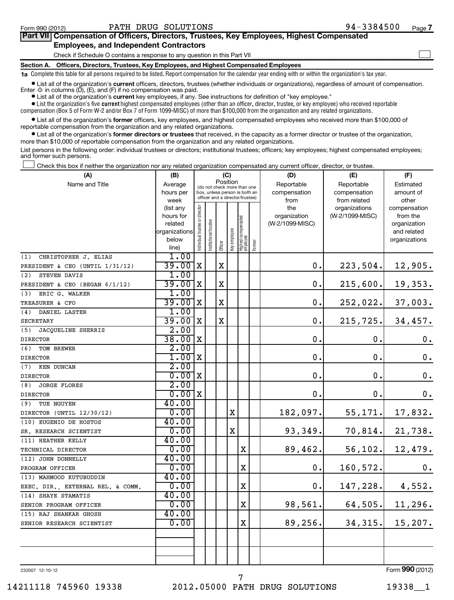#### Form 990 (2012) Page PATH DRUG SOLUTIONS 94-3384500

#### Check if Schedule O contains a response to any question in this Part VII **Part VII Compensation of Officers, Directors, Trustees, Key Employees, Highest Compensated Employees, and Independent Contractors**  $\sim$

**Section A. Officers, Directors, Trustees, Key Employees, and Highest Compensated Employees**

**1a**  Complete this table for all persons required to be listed. Report compensation for the calendar year ending with or within the organization's tax year.

**•** List all of the organization's current officers, directors, trustees (whether individuals or organizations), regardless of amount of compensation. Enter -0- in columns  $(D)$ ,  $(E)$ , and  $(F)$  if no compensation was paid.

**•** List all of the organization's **current** key employees, if any. See instructions for definition of "key employee."

 $\bullet$  List the organization's five  $\tt current$  highest compensated employees (other than an officer, director, trustee, or key employee) who received reportable compensation (Box 5 of Form W-2 and/or Box 7 of Form 1099-MISC) of more than \$100,000 from the organization and any related organizations .

 $\bullet$  List all of the organization's former officers, key employees, and highest compensated employees who received more than \$100,000 of reportable compensation from the organization and any related organizations.

**•** List all of the organization's former directors or trustees that received, in the capacity as a former director or trustee of the organization, more than \$10,000 of reportable compensation from the organization and any related organizations.

List persons in the following order: individual trustees or directors; institutional trustees; officers; key employees; highest compensated employees; and former such persons.

Check this box if neither the organization nor any related organization compensated any current officer, director, or trustee.  $\left\vert \cdot\right\vert$ 

| (A)                               | (B)                    |                                |                                                                  | (C)         |              |                                 |        | (D)             | (E)             | (F)                         |
|-----------------------------------|------------------------|--------------------------------|------------------------------------------------------------------|-------------|--------------|---------------------------------|--------|-----------------|-----------------|-----------------------------|
| Name and Title                    | Average                |                                | (do not check more than one                                      | Position    |              |                                 |        | Reportable      | Reportable      | Estimated                   |
|                                   | hours per              |                                | box, unless person is both an<br>officer and a director/trustee) |             |              |                                 |        | compensation    | compensation    | amount of                   |
|                                   | week                   |                                |                                                                  |             |              |                                 |        | from            | from related    | other                       |
|                                   | (list any              |                                |                                                                  |             |              |                                 |        | the             | organizations   | compensation                |
|                                   | hours for              |                                |                                                                  |             |              |                                 |        | organization    | (W-2/1099-MISC) | from the                    |
|                                   | related                |                                |                                                                  |             |              |                                 |        | (W-2/1099-MISC) |                 | organization<br>and related |
|                                   | organizations<br>below |                                |                                                                  |             |              |                                 |        |                 |                 | organizations               |
|                                   | line)                  | Individual trustee or director | Institutional trustee                                            | Officer     | Key employee | Highest compensated<br>employee | Former |                 |                 |                             |
| CHRISTOPHER J. ELIAS<br>(1)       | 1.00                   |                                |                                                                  |             |              |                                 |        |                 |                 |                             |
| PRESIDENT & CEO (UNTIL 1/31/12)   | 39.00                  | $\mathbf X$                    |                                                                  | X           |              |                                 |        | $0$ .           | 223,504.        | 12,905.                     |
| STEVEN DAVIS<br>(2)               | 1.00                   |                                |                                                                  |             |              |                                 |        |                 |                 |                             |
| PRESIDENT & CEO (BEGAN 6/1/12)    | 39.00                  | X                              |                                                                  | X           |              |                                 |        | $\mathbf 0$ .   | 215,600.        | 19,353.                     |
| ERIC G. WALKER<br>(3)             | 1.00                   |                                |                                                                  |             |              |                                 |        |                 |                 |                             |
| TREASURER & CFO                   | 39.00                  | X                              |                                                                  | X           |              |                                 |        | $\mathbf 0$ .   | 252,022.        | 37,003.                     |
| (4)<br>DANIEL LASTER              | 1.00                   |                                |                                                                  |             |              |                                 |        |                 |                 |                             |
| <b>SECRETARY</b>                  | 39.00                  | X                              |                                                                  | $\mathbf X$ |              |                                 |        | $\mathbf 0$ .   | 215, 725.       | 34,457.                     |
| (5)<br>JACQUELINE SHERRIS         | 2.00                   |                                |                                                                  |             |              |                                 |        |                 |                 |                             |
| <b>DIRECTOR</b>                   | 38.00                  | X                              |                                                                  |             |              |                                 |        | $\mathbf 0$ .   | 0.              | $\boldsymbol{0}$ .          |
| (6)<br>TOM BREWER                 | 2.00                   |                                |                                                                  |             |              |                                 |        |                 |                 |                             |
| <b>DIRECTOR</b>                   | 1.00                   | X                              |                                                                  |             |              |                                 |        | $\mathbf 0$ .   | $\mathbf 0$ .   | 0.                          |
| (7) KEN DUNCAN                    | 2.00                   |                                |                                                                  |             |              |                                 |        |                 |                 |                             |
| <b>DIRECTOR</b>                   | 0.00                   | X                              |                                                                  |             |              |                                 |        | $\mathbf 0$ .   | $\mathbf 0$ .   | 0.                          |
| (8)<br><b>JORGE FLORES</b>        | 2.00                   |                                |                                                                  |             |              |                                 |        |                 |                 |                             |
| <b>DIRECTOR</b>                   | 0.00                   | X                              |                                                                  |             |              |                                 |        | $\mathbf 0$ .   | $\mathbf 0$ .   | 0.                          |
| (9)<br>TUE NGUYEN                 | 40.00                  |                                |                                                                  |             |              |                                 |        |                 |                 |                             |
| DIRECTOR (UNTIL 12/30/12)         | 0.00                   |                                |                                                                  |             | $\mathbf X$  |                                 |        | 182,097.        | 55, 171.        | 17,832.                     |
| (10) EUGENIO DE HOSTOS            | 40.00                  |                                |                                                                  |             |              |                                 |        |                 |                 |                             |
| SR. RESEARCH SCIENTIST            | 0.00                   |                                |                                                                  |             | $\mathbf X$  |                                 |        | 93,349.         |                 | $70,814.$ 21,738.           |
| (11) HEATHER KELLY                | 40.00                  |                                |                                                                  |             |              |                                 |        |                 |                 |                             |
| TECHNICAL DIRECTOR                | 0.00                   |                                |                                                                  |             |              | $\mathbf X$                     |        | 89,462.         | 56, 102.        | 12,479.                     |
| (12) JOHN DONNELLY                | 40.00                  |                                |                                                                  |             |              |                                 |        |                 |                 |                             |
| PROGRAM OFFICER                   | 0.00                   |                                |                                                                  |             |              | X                               |        | 0.              | 160, 572.       | 0.                          |
| (13) MAHMOOD KUTUBUDDIN           | 40.00                  |                                |                                                                  |             |              |                                 |        |                 |                 |                             |
| EXEC. DIR., EXTERNAL REL. & COMM. | 0.00                   |                                |                                                                  |             |              | $\mathbf X$                     |        | 0.              | 147, 228.       | 4,552.                      |
| (14) SHAYE STAMATIS               | 40.00                  |                                |                                                                  |             |              |                                 |        |                 |                 |                             |
| SENIOR PROGRAM OFFICER            | 0.00                   |                                |                                                                  |             |              | X                               |        | 98,561.         |                 | $64, 505.$ 11, 296.         |
| (15) RAJ SHANKAR GHOSH            | 40.00                  |                                |                                                                  |             |              |                                 |        |                 |                 |                             |
| SENIOR RESEARCH SCIENTIST         | 0.00                   |                                |                                                                  |             |              | $\mathbf X$                     |        | 89,256.         | 34, 315.        | 15, 207.                    |
|                                   |                        |                                |                                                                  |             |              |                                 |        |                 |                 |                             |
|                                   |                        |                                |                                                                  |             |              |                                 |        |                 |                 |                             |
|                                   |                        |                                |                                                                  |             |              |                                 |        |                 |                 |                             |
|                                   |                        |                                |                                                                  |             |              |                                 |        |                 |                 |                             |

232007 12-10-12

Form (2012) **990**

14211118 745960 19338 2012.05000 PATH DRUG SOLUTIONS 19338\_\_1

7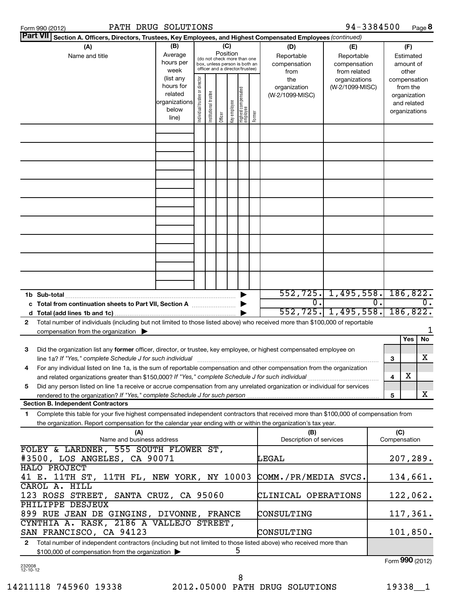| Form 990 (2012) |  |
|-----------------|--|
|                 |  |

| Form 990 (2012) | PATH DRUG SOLUTIONS | 94-3384500<br>Page |
|-----------------|---------------------|--------------------|
|-----------------|---------------------|--------------------|

**8**

| <b>Part VII</b> Section A. Officers, Directors, Trustees, Key Employees, and Highest Compensated Employees (continued)                                                             |                        |                                |                       |         |                     |                                                                  |            |                          |                                  |    |          |                          |                  |
|------------------------------------------------------------------------------------------------------------------------------------------------------------------------------------|------------------------|--------------------------------|-----------------------|---------|---------------------|------------------------------------------------------------------|------------|--------------------------|----------------------------------|----|----------|--------------------------|------------------|
| (A)                                                                                                                                                                                | (B)<br>(C)<br>Position |                                |                       |         |                     |                                                                  | (D)        | (E)                      | (F)                              |    |          |                          |                  |
| Name and title                                                                                                                                                                     | Average                |                                |                       |         |                     | (do not check more than one                                      |            | Reportable               | Reportable                       |    |          | Estimated                |                  |
|                                                                                                                                                                                    | hours per              |                                |                       |         |                     | box, unless person is both an<br>officer and a director/trustee) |            | compensation             | compensation                     |    |          | amount of                |                  |
|                                                                                                                                                                                    | week<br>(list any      |                                |                       |         |                     |                                                                  |            | from                     | from related                     |    |          | other                    |                  |
|                                                                                                                                                                                    | hours for              |                                |                       |         |                     |                                                                  |            | the<br>organization      | organizations<br>(W-2/1099-MISC) |    |          | compensation<br>from the |                  |
|                                                                                                                                                                                    | related                |                                |                       |         |                     |                                                                  |            | (W-2/1099-MISC)          |                                  |    |          | organization             |                  |
|                                                                                                                                                                                    | organizations          |                                |                       |         |                     |                                                                  |            |                          |                                  |    |          | and related              |                  |
|                                                                                                                                                                                    | below                  | Individual trustee or director | Institutional trustee |         |                     |                                                                  |            |                          |                                  |    |          | organizations            |                  |
|                                                                                                                                                                                    | line)                  |                                |                       | Officer | eevolque <i>kex</i> | Highest compensated<br>employee                                  | Former     |                          |                                  |    |          |                          |                  |
|                                                                                                                                                                                    |                        |                                |                       |         |                     |                                                                  |            |                          |                                  |    |          |                          |                  |
|                                                                                                                                                                                    |                        |                                |                       |         |                     |                                                                  |            |                          |                                  |    |          |                          |                  |
|                                                                                                                                                                                    |                        |                                |                       |         |                     |                                                                  |            |                          |                                  |    |          |                          |                  |
|                                                                                                                                                                                    |                        |                                |                       |         |                     |                                                                  |            |                          |                                  |    |          |                          |                  |
|                                                                                                                                                                                    |                        |                                |                       |         |                     |                                                                  |            |                          |                                  |    |          |                          |                  |
|                                                                                                                                                                                    |                        |                                |                       |         |                     |                                                                  |            |                          |                                  |    |          |                          |                  |
|                                                                                                                                                                                    |                        |                                |                       |         |                     |                                                                  |            |                          |                                  |    |          |                          |                  |
|                                                                                                                                                                                    |                        |                                |                       |         |                     |                                                                  |            |                          |                                  |    |          |                          |                  |
|                                                                                                                                                                                    |                        |                                |                       |         |                     |                                                                  |            |                          |                                  |    |          |                          |                  |
|                                                                                                                                                                                    |                        |                                |                       |         |                     |                                                                  |            |                          |                                  |    |          |                          |                  |
|                                                                                                                                                                                    |                        |                                |                       |         |                     |                                                                  |            |                          |                                  |    |          |                          |                  |
|                                                                                                                                                                                    |                        |                                |                       |         |                     |                                                                  |            |                          |                                  |    |          |                          |                  |
|                                                                                                                                                                                    |                        |                                |                       |         |                     |                                                                  |            |                          |                                  |    |          |                          |                  |
|                                                                                                                                                                                    |                        |                                |                       |         |                     |                                                                  |            |                          |                                  |    |          |                          |                  |
|                                                                                                                                                                                    |                        |                                |                       |         |                     |                                                                  |            |                          |                                  |    |          |                          |                  |
|                                                                                                                                                                                    |                        |                                |                       |         |                     |                                                                  |            |                          |                                  |    |          |                          |                  |
|                                                                                                                                                                                    |                        |                                |                       |         |                     |                                                                  |            |                          |                                  |    |          |                          |                  |
|                                                                                                                                                                                    |                        |                                |                       |         |                     |                                                                  |            | $552, 725.$ 1, 495, 558. |                                  |    |          | 186, 822.                |                  |
|                                                                                                                                                                                    |                        |                                |                       |         |                     |                                                                  |            | 0.                       |                                  | 0. |          |                          | $\overline{0}$ . |
| c Total from continuation sheets to Part VII, Section A                                                                                                                            |                        |                                |                       |         |                     |                                                                  |            | $552, 725.$ 1, 495, 558. |                                  |    |          | 186, 822.                |                  |
| d                                                                                                                                                                                  |                        |                                |                       |         |                     |                                                                  |            |                          |                                  |    |          |                          |                  |
| Total number of individuals (including but not limited to those listed above) who received more than \$100,000 of reportable<br>$\mathbf{2}$<br>compensation from the organization |                        |                                |                       |         |                     |                                                                  |            |                          |                                  |    |          |                          | 1                |
|                                                                                                                                                                                    |                        |                                |                       |         |                     |                                                                  |            |                          |                                  |    |          | Yes                      | No               |
| З<br>Did the organization list any former officer, director, or trustee, key employee, or highest compensated employee on                                                          |                        |                                |                       |         |                     |                                                                  |            |                          |                                  |    |          |                          |                  |
| line 1a? If "Yes," complete Schedule J for such individual                                                                                                                         |                        |                                |                       |         |                     |                                                                  |            |                          |                                  |    | 3        |                          | x                |
| For any individual listed on line 1a, is the sum of reportable compensation and other compensation from the organization<br>4                                                      |                        |                                |                       |         |                     |                                                                  |            |                          |                                  |    |          |                          |                  |
| and related organizations greater than \$150,000? If "Yes," complete Schedule J for such individual                                                                                |                        |                                |                       |         |                     |                                                                  |            |                          |                                  |    | 4        | х                        |                  |
| Did any person listed on line 1a receive or accrue compensation from any unrelated organization or individual for services<br>5                                                    |                        |                                |                       |         |                     |                                                                  |            |                          |                                  |    |          |                          |                  |
| rendered to the organization? If "Yes," complete Schedule J for such person                                                                                                        |                        |                                |                       |         |                     |                                                                  |            |                          |                                  |    | 5        |                          | X                |
| <b>Section B. Independent Contractors</b>                                                                                                                                          |                        |                                |                       |         |                     |                                                                  |            |                          |                                  |    |          |                          |                  |
| Complete this table for your five highest compensated independent contractors that received more than \$100,000 of compensation from<br>1.                                         |                        |                                |                       |         |                     |                                                                  |            |                          |                                  |    |          |                          |                  |
| the organization. Report compensation for the calendar year ending with or within the organization's tax year.                                                                     |                        |                                |                       |         |                     |                                                                  |            |                          |                                  |    |          |                          |                  |
| (A)                                                                                                                                                                                |                        |                                |                       |         |                     |                                                                  |            | (B)                      |                                  |    | (C)      |                          |                  |
| Name and business address                                                                                                                                                          |                        |                                |                       |         |                     |                                                                  |            | Description of services  |                                  |    |          | Compensation             |                  |
| FOLEY & LARDNER, 555 SOUTH FLOWER ST,                                                                                                                                              |                        |                                |                       |         |                     |                                                                  |            |                          |                                  |    |          |                          |                  |
| #3500, LOS ANGELES, CA 90071                                                                                                                                                       |                        |                                |                       |         |                     |                                                                  |            | LEGAL                    |                                  |    |          | 207, 289.                |                  |
| HALO PROJECT                                                                                                                                                                       |                        |                                |                       |         |                     |                                                                  |            |                          |                                  |    |          |                          |                  |
| 41 E. 11TH ST, 11TH FL, NEW YORK, NY 10003                                                                                                                                         |                        |                                |                       |         |                     |                                                                  |            | COMM./PR/MEDIA SVCS.     |                                  |    |          | 134,661.                 |                  |
| CAROL A. HILL                                                                                                                                                                      |                        |                                |                       |         |                     |                                                                  |            |                          |                                  |    |          |                          |                  |
| 123 ROSS STREET, SANTA CRUZ, CA 95060                                                                                                                                              |                        |                                |                       |         |                     |                                                                  |            | CLINICAL OPERATIONS      |                                  |    |          | 122,062.                 |                  |
| PHILIPPE DESJEUX                                                                                                                                                                   |                        |                                |                       |         |                     |                                                                  |            |                          |                                  |    |          |                          |                  |
| 899 RUE JEAN DE GINGINS, DIVONNE, FRANCE                                                                                                                                           |                        |                                |                       |         |                     |                                                                  | CONSULTING |                          |                                  |    | 117,361. |                          |                  |
| CYNTHIA A. RASK, 2186 A VALLEJO STREET,                                                                                                                                            |                        |                                |                       |         |                     |                                                                  |            |                          |                                  |    |          |                          |                  |
| SAN FRANCISCO, CA 94123                                                                                                                                                            |                        |                                |                       |         |                     |                                                                  |            | CONSULTING               |                                  |    |          | 101,850.                 |                  |
| Total number of independent contractors (including but not limited to those listed above) who received more than<br>2                                                              |                        |                                |                       |         |                     |                                                                  |            |                          |                                  |    |          |                          |                  |
| \$100,000 of compensation from the organization                                                                                                                                    |                        |                                |                       |         |                     | 5                                                                |            |                          |                                  |    |          |                          |                  |
|                                                                                                                                                                                    |                        |                                |                       |         |                     |                                                                  |            |                          |                                  |    |          | Form 990 (2012)          |                  |

232008 12-10-12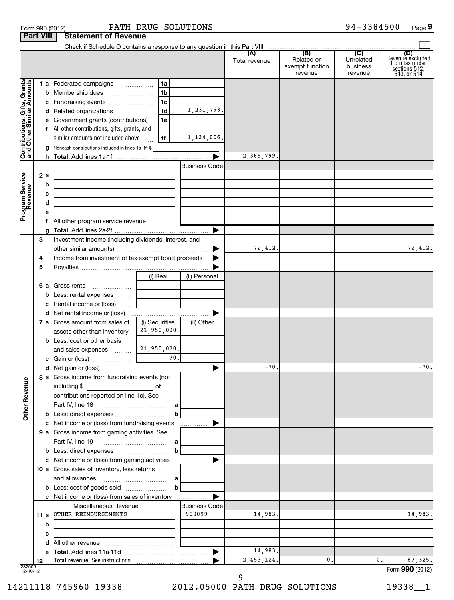| Form 990 (2012) |                                         | PATH DR |  |
|-----------------|-----------------------------------------|---------|--|
|                 | <b>Part VIII   Statement of Revenue</b> |         |  |

## Form 990 (2012) Page PATH DRUG SOLUTIONS 94-3384500

## **9**

|                                                           |     |                                                                                                                      |                |                       | Total revenue | (B)<br>Related or<br>exempt function<br>revenue | (C)<br>Unrelated<br>business<br>revenue | (D)<br>Revenue excluded<br>from tax under<br>sections 512,<br>513, or 514 |
|-----------------------------------------------------------|-----|----------------------------------------------------------------------------------------------------------------------|----------------|-----------------------|---------------|-------------------------------------------------|-----------------------------------------|---------------------------------------------------------------------------|
|                                                           |     | 1 a Federated campaigns                                                                                              | 1a             |                       |               |                                                 |                                         |                                                                           |
|                                                           |     | <b>b</b> Membership dues                                                                                             | 1 <sub>b</sub> |                       |               |                                                 |                                         |                                                                           |
|                                                           |     | c Fundraising events                                                                                                 | 1 <sub>c</sub> |                       |               |                                                 |                                         |                                                                           |
|                                                           |     | d Related organizations                                                                                              | 1 <sub>d</sub> | 1,231,793.            |               |                                                 |                                         |                                                                           |
|                                                           |     | e Government grants (contributions)                                                                                  | 1e             |                       |               |                                                 |                                         |                                                                           |
|                                                           |     | f All other contributions, gifts, grants, and                                                                        |                |                       |               |                                                 |                                         |                                                                           |
|                                                           |     | similar amounts not included above                                                                                   | 1f             | 1,134,006.            |               |                                                 |                                         |                                                                           |
|                                                           |     | <b>g</b> Noncash contributions included in lines 1a-1f: \$                                                           |                |                       |               |                                                 |                                         |                                                                           |
| Contributions, Gifts, Grants<br>and Other Similar Amounts |     |                                                                                                                      |                | ▶                     | 2,365,799.    |                                                 |                                         |                                                                           |
|                                                           |     |                                                                                                                      |                | <b>Business Code</b>  |               |                                                 |                                         |                                                                           |
|                                                           | 2 a |                                                                                                                      |                |                       |               |                                                 |                                         |                                                                           |
| Program Service<br>Revenue                                | b   |                                                                                                                      |                |                       |               |                                                 |                                         |                                                                           |
|                                                           | с   | <u> 1989 - Johann Stein, marwolaethau a bhann an t-Amhain an t-Amhain an t-Amhain an t-Amhain an t-Amhain an t-A</u> |                |                       |               |                                                 |                                         |                                                                           |
|                                                           | d   | <u> 1989 - Johann Barbara, martin amerikan basar dan berasal dalam basa dalam basar dalam basar dalam basar dala</u> |                |                       |               |                                                 |                                         |                                                                           |
|                                                           | е   |                                                                                                                      |                |                       |               |                                                 |                                         |                                                                           |
|                                                           |     |                                                                                                                      |                |                       |               |                                                 |                                         |                                                                           |
|                                                           |     |                                                                                                                      |                | ▶                     |               |                                                 |                                         |                                                                           |
|                                                           | З   | Investment income (including dividends, interest, and                                                                |                |                       |               |                                                 |                                         |                                                                           |
|                                                           |     |                                                                                                                      |                |                       | 72,412.       |                                                 |                                         | 72,412.                                                                   |
|                                                           | 4   | Income from investment of tax-exempt bond proceeds                                                                   |                |                       |               |                                                 |                                         |                                                                           |
|                                                           | 5   |                                                                                                                      |                |                       |               |                                                 |                                         |                                                                           |
|                                                           |     |                                                                                                                      | (i) Real       | (ii) Personal         |               |                                                 |                                         |                                                                           |
|                                                           |     | <b>6 a</b> Gross rents                                                                                               |                |                       |               |                                                 |                                         |                                                                           |
|                                                           |     | <b>b</b> Less: rental expenses                                                                                       |                |                       |               |                                                 |                                         |                                                                           |
|                                                           |     | c Rental income or (loss)                                                                                            |                |                       |               |                                                 |                                         |                                                                           |
|                                                           |     |                                                                                                                      |                | ▶                     |               |                                                 |                                         |                                                                           |
|                                                           |     | <b>7 a</b> Gross amount from sales of                                                                                | (i) Securities | (ii) Other            |               |                                                 |                                         |                                                                           |
|                                                           |     | assets other than inventory                                                                                          | 21,950,000.    |                       |               |                                                 |                                         |                                                                           |
|                                                           |     | <b>b</b> Less: cost or other basis                                                                                   |                |                       |               |                                                 |                                         |                                                                           |
|                                                           |     | and sales expenses                                                                                                   | 21,950,070.    |                       |               |                                                 |                                         |                                                                           |
|                                                           |     |                                                                                                                      |                |                       | $-70.$        |                                                 |                                         | $-70.$                                                                    |
|                                                           |     |                                                                                                                      |                | ▶                     |               |                                                 |                                         |                                                                           |
| g                                                         |     | 8 a Gross income from fundraising events (not                                                                        |                |                       |               |                                                 |                                         |                                                                           |
|                                                           |     | including \$                                                                                                         |                |                       |               |                                                 |                                         |                                                                           |
| Other Reven                                               |     | contributions reported on line 1c). See                                                                              |                |                       |               |                                                 |                                         |                                                                           |
|                                                           |     |                                                                                                                      |                | b                     |               |                                                 |                                         |                                                                           |
|                                                           |     | c Net income or (loss) from fundraising events                                                                       |                |                       |               |                                                 |                                         |                                                                           |
|                                                           |     | 9 a Gross income from gaming activities. See                                                                         |                | .                     |               |                                                 |                                         |                                                                           |
|                                                           |     |                                                                                                                      |                |                       |               |                                                 |                                         |                                                                           |
|                                                           |     |                                                                                                                      |                | b                     |               |                                                 |                                         |                                                                           |
|                                                           |     | c Net income or (loss) from gaming activities                                                                        |                |                       |               |                                                 |                                         |                                                                           |
|                                                           |     | 10 a Gross sales of inventory, less returns                                                                          |                |                       |               |                                                 |                                         |                                                                           |
|                                                           |     |                                                                                                                      |                |                       |               |                                                 |                                         |                                                                           |
|                                                           |     |                                                                                                                      |                |                       |               |                                                 |                                         |                                                                           |
|                                                           |     | c Net income or (loss) from sales of inventory                                                                       |                | ▶                     |               |                                                 |                                         |                                                                           |
|                                                           |     | Miscellaneous Revenue                                                                                                |                | <b>Business Code</b>  |               |                                                 |                                         |                                                                           |
|                                                           |     | 11 a OTHER REIMBURSEMENTS                                                                                            |                | 900099                | 14,983.       |                                                 |                                         | 14,983.                                                                   |
|                                                           | b   |                                                                                                                      |                |                       |               |                                                 |                                         |                                                                           |
|                                                           | с   |                                                                                                                      |                |                       |               |                                                 |                                         |                                                                           |
|                                                           |     |                                                                                                                      |                |                       |               |                                                 |                                         |                                                                           |
|                                                           |     |                                                                                                                      |                | $\blacktriangleright$ | 14,983.       |                                                 |                                         |                                                                           |
|                                                           | 12  |                                                                                                                      |                |                       | 2, 453, 124.  | $\mathbf{0}$ .                                  | 0.                                      | 87, 325.                                                                  |
| 232009<br>12-10-12                                        |     |                                                                                                                      |                |                       |               |                                                 |                                         | Form 990 (2012)                                                           |

232009 12-10-12

9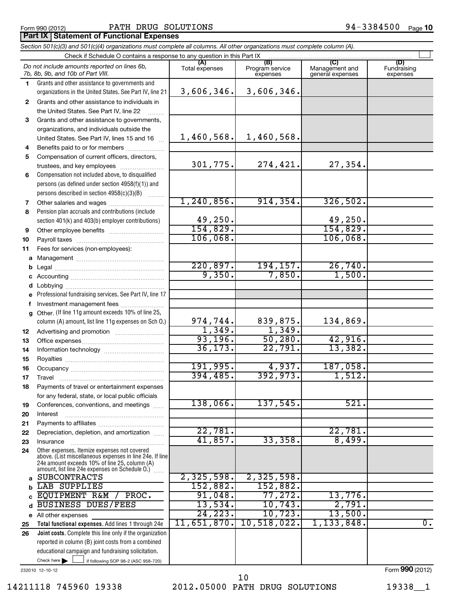#### Form 990 (2012) Page PATH DRUG SOLUTIONS 94-3384500

94-3384500 Page 10

#### **Part IX Statement of Functional Expenses**

| Check if Schedule O contains a response to any question in this Part IX<br>(B)<br>(A)<br>(C)<br>(D)<br>Do not include amounts reported on lines 6b,<br>Program service<br>Management and<br>Fundraising<br>Total expenses<br>7b, 8b, 9b, and 10b of Part VIII.<br>expenses<br>general expenses<br>expenses<br>Grants and other assistance to governments and<br>1.<br>3,606,346.<br>3,606,346.<br>organizations in the United States. See Part IV, line 21<br>Grants and other assistance to individuals in<br>$\mathbf{2}$<br>the United States. See Part IV, line 22<br>Grants and other assistance to governments,<br>3<br>organizations, and individuals outside the<br>1,460,568.<br>1,460,568.<br>United States. See Part IV, lines 15 and 16<br>Benefits paid to or for members<br>4<br>Compensation of current officers, directors,<br>5<br>301,775.<br>274,421.<br>27,354.<br>trustees, and key employees<br>Compensation not included above, to disqualified<br>6<br>persons (as defined under section 4958(f)(1)) and<br>persons described in section 4958(c)(3)(B)<br>1.1.1.1.1.1.1<br>1, 240, 856.<br>914, 354.<br>326,502.<br>Other salaries and wages<br>7<br>Pension plan accruals and contributions (include<br>8<br>49,250.<br>49,250.<br>section 401(k) and 403(b) employer contributions)<br>154,829.<br>154,829.<br>9<br>106,068.<br>106,068.<br>10<br>Fees for services (non-employees):<br>11<br>220,897.<br>194, 157.<br>26,740.<br>9,350.<br>7,850.<br>1,500.<br>Professional fundraising services. See Part IV, line 17<br>Investment management fees<br>f<br>g Other. (If line 11g amount exceeds 10% of line 25,<br>839,875.<br>134,869.<br>974,744.<br>column (A) amount, list line 11g expenses on Sch O.)<br>1,349.<br>1,349.<br>12<br>93,196.<br>50, 280.<br>42,916.<br>13<br>36, 173.<br>22,791.<br>13,382.<br>14<br>15<br>191,995.<br>4,937.<br>187,058.<br>16<br>392,973.<br>394,485.<br>1,512.<br>17<br>Payments of travel or entertainment expenses<br>18<br>for any federal, state, or local public officials<br>138,066.<br>521.<br>137,545.<br>Conferences, conventions, and meetings<br>19<br>Interest<br>20<br>21<br>22,781.<br>22,781.<br>Depreciation, depletion, and amortization<br>22<br>41,857.<br>8,499.<br>33,358.<br>23<br>Insurance<br>Other expenses. Itemize expenses not covered<br>24<br>above. (List miscellaneous expenses in line 24e. If line<br>24e amount exceeds 10% of line 25, column (A)<br>amount, list line 24e expenses on Schedule O.)<br>.<br>2,325,598.<br>2,325,598.<br><b>SUBCONTRACTS</b><br>a<br>152,882.<br>152,882.<br>LAB SUPPLIES<br>b<br>77,272.<br>91,048.<br>13,776.<br>EQUIPMENT R&M<br>PROC.<br>c<br>10,743.<br>13,534.<br>2,791.<br><b>BUSINESS DUES/FEES</b><br>d<br>24, 223.<br>10,723.<br>13,500.<br>e All other expenses<br>11,651,870.<br>10,518,022.<br>1, 133, 848.<br>$\overline{0}$ .<br>Total functional expenses. Add lines 1 through 24e<br>25<br>Joint costs. Complete this line only if the organization<br>26<br>reported in column (B) joint costs from a combined<br>educational campaign and fundraising solicitation.<br>Check here $\blacktriangleright$<br>if following SOP 98-2 (ASC 958-720) | Section 501(c)(3) and 501(c)(4) organizations must complete all columns. All other organizations must complete column (A). |  |                 |
|-----------------------------------------------------------------------------------------------------------------------------------------------------------------------------------------------------------------------------------------------------------------------------------------------------------------------------------------------------------------------------------------------------------------------------------------------------------------------------------------------------------------------------------------------------------------------------------------------------------------------------------------------------------------------------------------------------------------------------------------------------------------------------------------------------------------------------------------------------------------------------------------------------------------------------------------------------------------------------------------------------------------------------------------------------------------------------------------------------------------------------------------------------------------------------------------------------------------------------------------------------------------------------------------------------------------------------------------------------------------------------------------------------------------------------------------------------------------------------------------------------------------------------------------------------------------------------------------------------------------------------------------------------------------------------------------------------------------------------------------------------------------------------------------------------------------------------------------------------------------------------------------------------------------------------------------------------------------------------------------------------------------------------------------------------------------------------------------------------------------------------------------------------------------------------------------------------------------------------------------------------------------------------------------------------------------------------------------------------------------------------------------------------------------------------------------------------------------------------------------------------------------------------------------------------------------------------------------------------------------------------------------------------------------------------------------------------------------------------------------------------------------------------------------------------------------------------------------------------------------------------------------------------------------------------------------------------------------------------------------------------------------------------------------------------------------------------------------------------------------------------------------------------------------------------------------------------------|----------------------------------------------------------------------------------------------------------------------------|--|-----------------|
|                                                                                                                                                                                                                                                                                                                                                                                                                                                                                                                                                                                                                                                                                                                                                                                                                                                                                                                                                                                                                                                                                                                                                                                                                                                                                                                                                                                                                                                                                                                                                                                                                                                                                                                                                                                                                                                                                                                                                                                                                                                                                                                                                                                                                                                                                                                                                                                                                                                                                                                                                                                                                                                                                                                                                                                                                                                                                                                                                                                                                                                                                                                                                                                                           |                                                                                                                            |  |                 |
|                                                                                                                                                                                                                                                                                                                                                                                                                                                                                                                                                                                                                                                                                                                                                                                                                                                                                                                                                                                                                                                                                                                                                                                                                                                                                                                                                                                                                                                                                                                                                                                                                                                                                                                                                                                                                                                                                                                                                                                                                                                                                                                                                                                                                                                                                                                                                                                                                                                                                                                                                                                                                                                                                                                                                                                                                                                                                                                                                                                                                                                                                                                                                                                                           |                                                                                                                            |  |                 |
|                                                                                                                                                                                                                                                                                                                                                                                                                                                                                                                                                                                                                                                                                                                                                                                                                                                                                                                                                                                                                                                                                                                                                                                                                                                                                                                                                                                                                                                                                                                                                                                                                                                                                                                                                                                                                                                                                                                                                                                                                                                                                                                                                                                                                                                                                                                                                                                                                                                                                                                                                                                                                                                                                                                                                                                                                                                                                                                                                                                                                                                                                                                                                                                                           |                                                                                                                            |  |                 |
|                                                                                                                                                                                                                                                                                                                                                                                                                                                                                                                                                                                                                                                                                                                                                                                                                                                                                                                                                                                                                                                                                                                                                                                                                                                                                                                                                                                                                                                                                                                                                                                                                                                                                                                                                                                                                                                                                                                                                                                                                                                                                                                                                                                                                                                                                                                                                                                                                                                                                                                                                                                                                                                                                                                                                                                                                                                                                                                                                                                                                                                                                                                                                                                                           |                                                                                                                            |  |                 |
|                                                                                                                                                                                                                                                                                                                                                                                                                                                                                                                                                                                                                                                                                                                                                                                                                                                                                                                                                                                                                                                                                                                                                                                                                                                                                                                                                                                                                                                                                                                                                                                                                                                                                                                                                                                                                                                                                                                                                                                                                                                                                                                                                                                                                                                                                                                                                                                                                                                                                                                                                                                                                                                                                                                                                                                                                                                                                                                                                                                                                                                                                                                                                                                                           |                                                                                                                            |  |                 |
|                                                                                                                                                                                                                                                                                                                                                                                                                                                                                                                                                                                                                                                                                                                                                                                                                                                                                                                                                                                                                                                                                                                                                                                                                                                                                                                                                                                                                                                                                                                                                                                                                                                                                                                                                                                                                                                                                                                                                                                                                                                                                                                                                                                                                                                                                                                                                                                                                                                                                                                                                                                                                                                                                                                                                                                                                                                                                                                                                                                                                                                                                                                                                                                                           |                                                                                                                            |  |                 |
|                                                                                                                                                                                                                                                                                                                                                                                                                                                                                                                                                                                                                                                                                                                                                                                                                                                                                                                                                                                                                                                                                                                                                                                                                                                                                                                                                                                                                                                                                                                                                                                                                                                                                                                                                                                                                                                                                                                                                                                                                                                                                                                                                                                                                                                                                                                                                                                                                                                                                                                                                                                                                                                                                                                                                                                                                                                                                                                                                                                                                                                                                                                                                                                                           |                                                                                                                            |  |                 |
|                                                                                                                                                                                                                                                                                                                                                                                                                                                                                                                                                                                                                                                                                                                                                                                                                                                                                                                                                                                                                                                                                                                                                                                                                                                                                                                                                                                                                                                                                                                                                                                                                                                                                                                                                                                                                                                                                                                                                                                                                                                                                                                                                                                                                                                                                                                                                                                                                                                                                                                                                                                                                                                                                                                                                                                                                                                                                                                                                                                                                                                                                                                                                                                                           |                                                                                                                            |  |                 |
|                                                                                                                                                                                                                                                                                                                                                                                                                                                                                                                                                                                                                                                                                                                                                                                                                                                                                                                                                                                                                                                                                                                                                                                                                                                                                                                                                                                                                                                                                                                                                                                                                                                                                                                                                                                                                                                                                                                                                                                                                                                                                                                                                                                                                                                                                                                                                                                                                                                                                                                                                                                                                                                                                                                                                                                                                                                                                                                                                                                                                                                                                                                                                                                                           |                                                                                                                            |  |                 |
|                                                                                                                                                                                                                                                                                                                                                                                                                                                                                                                                                                                                                                                                                                                                                                                                                                                                                                                                                                                                                                                                                                                                                                                                                                                                                                                                                                                                                                                                                                                                                                                                                                                                                                                                                                                                                                                                                                                                                                                                                                                                                                                                                                                                                                                                                                                                                                                                                                                                                                                                                                                                                                                                                                                                                                                                                                                                                                                                                                                                                                                                                                                                                                                                           |                                                                                                                            |  |                 |
|                                                                                                                                                                                                                                                                                                                                                                                                                                                                                                                                                                                                                                                                                                                                                                                                                                                                                                                                                                                                                                                                                                                                                                                                                                                                                                                                                                                                                                                                                                                                                                                                                                                                                                                                                                                                                                                                                                                                                                                                                                                                                                                                                                                                                                                                                                                                                                                                                                                                                                                                                                                                                                                                                                                                                                                                                                                                                                                                                                                                                                                                                                                                                                                                           |                                                                                                                            |  |                 |
|                                                                                                                                                                                                                                                                                                                                                                                                                                                                                                                                                                                                                                                                                                                                                                                                                                                                                                                                                                                                                                                                                                                                                                                                                                                                                                                                                                                                                                                                                                                                                                                                                                                                                                                                                                                                                                                                                                                                                                                                                                                                                                                                                                                                                                                                                                                                                                                                                                                                                                                                                                                                                                                                                                                                                                                                                                                                                                                                                                                                                                                                                                                                                                                                           |                                                                                                                            |  |                 |
|                                                                                                                                                                                                                                                                                                                                                                                                                                                                                                                                                                                                                                                                                                                                                                                                                                                                                                                                                                                                                                                                                                                                                                                                                                                                                                                                                                                                                                                                                                                                                                                                                                                                                                                                                                                                                                                                                                                                                                                                                                                                                                                                                                                                                                                                                                                                                                                                                                                                                                                                                                                                                                                                                                                                                                                                                                                                                                                                                                                                                                                                                                                                                                                                           |                                                                                                                            |  |                 |
|                                                                                                                                                                                                                                                                                                                                                                                                                                                                                                                                                                                                                                                                                                                                                                                                                                                                                                                                                                                                                                                                                                                                                                                                                                                                                                                                                                                                                                                                                                                                                                                                                                                                                                                                                                                                                                                                                                                                                                                                                                                                                                                                                                                                                                                                                                                                                                                                                                                                                                                                                                                                                                                                                                                                                                                                                                                                                                                                                                                                                                                                                                                                                                                                           |                                                                                                                            |  |                 |
|                                                                                                                                                                                                                                                                                                                                                                                                                                                                                                                                                                                                                                                                                                                                                                                                                                                                                                                                                                                                                                                                                                                                                                                                                                                                                                                                                                                                                                                                                                                                                                                                                                                                                                                                                                                                                                                                                                                                                                                                                                                                                                                                                                                                                                                                                                                                                                                                                                                                                                                                                                                                                                                                                                                                                                                                                                                                                                                                                                                                                                                                                                                                                                                                           |                                                                                                                            |  |                 |
|                                                                                                                                                                                                                                                                                                                                                                                                                                                                                                                                                                                                                                                                                                                                                                                                                                                                                                                                                                                                                                                                                                                                                                                                                                                                                                                                                                                                                                                                                                                                                                                                                                                                                                                                                                                                                                                                                                                                                                                                                                                                                                                                                                                                                                                                                                                                                                                                                                                                                                                                                                                                                                                                                                                                                                                                                                                                                                                                                                                                                                                                                                                                                                                                           |                                                                                                                            |  |                 |
|                                                                                                                                                                                                                                                                                                                                                                                                                                                                                                                                                                                                                                                                                                                                                                                                                                                                                                                                                                                                                                                                                                                                                                                                                                                                                                                                                                                                                                                                                                                                                                                                                                                                                                                                                                                                                                                                                                                                                                                                                                                                                                                                                                                                                                                                                                                                                                                                                                                                                                                                                                                                                                                                                                                                                                                                                                                                                                                                                                                                                                                                                                                                                                                                           |                                                                                                                            |  |                 |
|                                                                                                                                                                                                                                                                                                                                                                                                                                                                                                                                                                                                                                                                                                                                                                                                                                                                                                                                                                                                                                                                                                                                                                                                                                                                                                                                                                                                                                                                                                                                                                                                                                                                                                                                                                                                                                                                                                                                                                                                                                                                                                                                                                                                                                                                                                                                                                                                                                                                                                                                                                                                                                                                                                                                                                                                                                                                                                                                                                                                                                                                                                                                                                                                           |                                                                                                                            |  |                 |
|                                                                                                                                                                                                                                                                                                                                                                                                                                                                                                                                                                                                                                                                                                                                                                                                                                                                                                                                                                                                                                                                                                                                                                                                                                                                                                                                                                                                                                                                                                                                                                                                                                                                                                                                                                                                                                                                                                                                                                                                                                                                                                                                                                                                                                                                                                                                                                                                                                                                                                                                                                                                                                                                                                                                                                                                                                                                                                                                                                                                                                                                                                                                                                                                           |                                                                                                                            |  |                 |
|                                                                                                                                                                                                                                                                                                                                                                                                                                                                                                                                                                                                                                                                                                                                                                                                                                                                                                                                                                                                                                                                                                                                                                                                                                                                                                                                                                                                                                                                                                                                                                                                                                                                                                                                                                                                                                                                                                                                                                                                                                                                                                                                                                                                                                                                                                                                                                                                                                                                                                                                                                                                                                                                                                                                                                                                                                                                                                                                                                                                                                                                                                                                                                                                           |                                                                                                                            |  |                 |
|                                                                                                                                                                                                                                                                                                                                                                                                                                                                                                                                                                                                                                                                                                                                                                                                                                                                                                                                                                                                                                                                                                                                                                                                                                                                                                                                                                                                                                                                                                                                                                                                                                                                                                                                                                                                                                                                                                                                                                                                                                                                                                                                                                                                                                                                                                                                                                                                                                                                                                                                                                                                                                                                                                                                                                                                                                                                                                                                                                                                                                                                                                                                                                                                           |                                                                                                                            |  |                 |
|                                                                                                                                                                                                                                                                                                                                                                                                                                                                                                                                                                                                                                                                                                                                                                                                                                                                                                                                                                                                                                                                                                                                                                                                                                                                                                                                                                                                                                                                                                                                                                                                                                                                                                                                                                                                                                                                                                                                                                                                                                                                                                                                                                                                                                                                                                                                                                                                                                                                                                                                                                                                                                                                                                                                                                                                                                                                                                                                                                                                                                                                                                                                                                                                           |                                                                                                                            |  |                 |
|                                                                                                                                                                                                                                                                                                                                                                                                                                                                                                                                                                                                                                                                                                                                                                                                                                                                                                                                                                                                                                                                                                                                                                                                                                                                                                                                                                                                                                                                                                                                                                                                                                                                                                                                                                                                                                                                                                                                                                                                                                                                                                                                                                                                                                                                                                                                                                                                                                                                                                                                                                                                                                                                                                                                                                                                                                                                                                                                                                                                                                                                                                                                                                                                           |                                                                                                                            |  |                 |
|                                                                                                                                                                                                                                                                                                                                                                                                                                                                                                                                                                                                                                                                                                                                                                                                                                                                                                                                                                                                                                                                                                                                                                                                                                                                                                                                                                                                                                                                                                                                                                                                                                                                                                                                                                                                                                                                                                                                                                                                                                                                                                                                                                                                                                                                                                                                                                                                                                                                                                                                                                                                                                                                                                                                                                                                                                                                                                                                                                                                                                                                                                                                                                                                           |                                                                                                                            |  |                 |
|                                                                                                                                                                                                                                                                                                                                                                                                                                                                                                                                                                                                                                                                                                                                                                                                                                                                                                                                                                                                                                                                                                                                                                                                                                                                                                                                                                                                                                                                                                                                                                                                                                                                                                                                                                                                                                                                                                                                                                                                                                                                                                                                                                                                                                                                                                                                                                                                                                                                                                                                                                                                                                                                                                                                                                                                                                                                                                                                                                                                                                                                                                                                                                                                           |                                                                                                                            |  |                 |
|                                                                                                                                                                                                                                                                                                                                                                                                                                                                                                                                                                                                                                                                                                                                                                                                                                                                                                                                                                                                                                                                                                                                                                                                                                                                                                                                                                                                                                                                                                                                                                                                                                                                                                                                                                                                                                                                                                                                                                                                                                                                                                                                                                                                                                                                                                                                                                                                                                                                                                                                                                                                                                                                                                                                                                                                                                                                                                                                                                                                                                                                                                                                                                                                           |                                                                                                                            |  |                 |
|                                                                                                                                                                                                                                                                                                                                                                                                                                                                                                                                                                                                                                                                                                                                                                                                                                                                                                                                                                                                                                                                                                                                                                                                                                                                                                                                                                                                                                                                                                                                                                                                                                                                                                                                                                                                                                                                                                                                                                                                                                                                                                                                                                                                                                                                                                                                                                                                                                                                                                                                                                                                                                                                                                                                                                                                                                                                                                                                                                                                                                                                                                                                                                                                           |                                                                                                                            |  |                 |
|                                                                                                                                                                                                                                                                                                                                                                                                                                                                                                                                                                                                                                                                                                                                                                                                                                                                                                                                                                                                                                                                                                                                                                                                                                                                                                                                                                                                                                                                                                                                                                                                                                                                                                                                                                                                                                                                                                                                                                                                                                                                                                                                                                                                                                                                                                                                                                                                                                                                                                                                                                                                                                                                                                                                                                                                                                                                                                                                                                                                                                                                                                                                                                                                           |                                                                                                                            |  |                 |
|                                                                                                                                                                                                                                                                                                                                                                                                                                                                                                                                                                                                                                                                                                                                                                                                                                                                                                                                                                                                                                                                                                                                                                                                                                                                                                                                                                                                                                                                                                                                                                                                                                                                                                                                                                                                                                                                                                                                                                                                                                                                                                                                                                                                                                                                                                                                                                                                                                                                                                                                                                                                                                                                                                                                                                                                                                                                                                                                                                                                                                                                                                                                                                                                           |                                                                                                                            |  |                 |
|                                                                                                                                                                                                                                                                                                                                                                                                                                                                                                                                                                                                                                                                                                                                                                                                                                                                                                                                                                                                                                                                                                                                                                                                                                                                                                                                                                                                                                                                                                                                                                                                                                                                                                                                                                                                                                                                                                                                                                                                                                                                                                                                                                                                                                                                                                                                                                                                                                                                                                                                                                                                                                                                                                                                                                                                                                                                                                                                                                                                                                                                                                                                                                                                           |                                                                                                                            |  |                 |
|                                                                                                                                                                                                                                                                                                                                                                                                                                                                                                                                                                                                                                                                                                                                                                                                                                                                                                                                                                                                                                                                                                                                                                                                                                                                                                                                                                                                                                                                                                                                                                                                                                                                                                                                                                                                                                                                                                                                                                                                                                                                                                                                                                                                                                                                                                                                                                                                                                                                                                                                                                                                                                                                                                                                                                                                                                                                                                                                                                                                                                                                                                                                                                                                           |                                                                                                                            |  |                 |
|                                                                                                                                                                                                                                                                                                                                                                                                                                                                                                                                                                                                                                                                                                                                                                                                                                                                                                                                                                                                                                                                                                                                                                                                                                                                                                                                                                                                                                                                                                                                                                                                                                                                                                                                                                                                                                                                                                                                                                                                                                                                                                                                                                                                                                                                                                                                                                                                                                                                                                                                                                                                                                                                                                                                                                                                                                                                                                                                                                                                                                                                                                                                                                                                           |                                                                                                                            |  |                 |
|                                                                                                                                                                                                                                                                                                                                                                                                                                                                                                                                                                                                                                                                                                                                                                                                                                                                                                                                                                                                                                                                                                                                                                                                                                                                                                                                                                                                                                                                                                                                                                                                                                                                                                                                                                                                                                                                                                                                                                                                                                                                                                                                                                                                                                                                                                                                                                                                                                                                                                                                                                                                                                                                                                                                                                                                                                                                                                                                                                                                                                                                                                                                                                                                           |                                                                                                                            |  |                 |
|                                                                                                                                                                                                                                                                                                                                                                                                                                                                                                                                                                                                                                                                                                                                                                                                                                                                                                                                                                                                                                                                                                                                                                                                                                                                                                                                                                                                                                                                                                                                                                                                                                                                                                                                                                                                                                                                                                                                                                                                                                                                                                                                                                                                                                                                                                                                                                                                                                                                                                                                                                                                                                                                                                                                                                                                                                                                                                                                                                                                                                                                                                                                                                                                           |                                                                                                                            |  |                 |
|                                                                                                                                                                                                                                                                                                                                                                                                                                                                                                                                                                                                                                                                                                                                                                                                                                                                                                                                                                                                                                                                                                                                                                                                                                                                                                                                                                                                                                                                                                                                                                                                                                                                                                                                                                                                                                                                                                                                                                                                                                                                                                                                                                                                                                                                                                                                                                                                                                                                                                                                                                                                                                                                                                                                                                                                                                                                                                                                                                                                                                                                                                                                                                                                           |                                                                                                                            |  |                 |
|                                                                                                                                                                                                                                                                                                                                                                                                                                                                                                                                                                                                                                                                                                                                                                                                                                                                                                                                                                                                                                                                                                                                                                                                                                                                                                                                                                                                                                                                                                                                                                                                                                                                                                                                                                                                                                                                                                                                                                                                                                                                                                                                                                                                                                                                                                                                                                                                                                                                                                                                                                                                                                                                                                                                                                                                                                                                                                                                                                                                                                                                                                                                                                                                           |                                                                                                                            |  |                 |
|                                                                                                                                                                                                                                                                                                                                                                                                                                                                                                                                                                                                                                                                                                                                                                                                                                                                                                                                                                                                                                                                                                                                                                                                                                                                                                                                                                                                                                                                                                                                                                                                                                                                                                                                                                                                                                                                                                                                                                                                                                                                                                                                                                                                                                                                                                                                                                                                                                                                                                                                                                                                                                                                                                                                                                                                                                                                                                                                                                                                                                                                                                                                                                                                           |                                                                                                                            |  |                 |
|                                                                                                                                                                                                                                                                                                                                                                                                                                                                                                                                                                                                                                                                                                                                                                                                                                                                                                                                                                                                                                                                                                                                                                                                                                                                                                                                                                                                                                                                                                                                                                                                                                                                                                                                                                                                                                                                                                                                                                                                                                                                                                                                                                                                                                                                                                                                                                                                                                                                                                                                                                                                                                                                                                                                                                                                                                                                                                                                                                                                                                                                                                                                                                                                           |                                                                                                                            |  |                 |
|                                                                                                                                                                                                                                                                                                                                                                                                                                                                                                                                                                                                                                                                                                                                                                                                                                                                                                                                                                                                                                                                                                                                                                                                                                                                                                                                                                                                                                                                                                                                                                                                                                                                                                                                                                                                                                                                                                                                                                                                                                                                                                                                                                                                                                                                                                                                                                                                                                                                                                                                                                                                                                                                                                                                                                                                                                                                                                                                                                                                                                                                                                                                                                                                           |                                                                                                                            |  |                 |
|                                                                                                                                                                                                                                                                                                                                                                                                                                                                                                                                                                                                                                                                                                                                                                                                                                                                                                                                                                                                                                                                                                                                                                                                                                                                                                                                                                                                                                                                                                                                                                                                                                                                                                                                                                                                                                                                                                                                                                                                                                                                                                                                                                                                                                                                                                                                                                                                                                                                                                                                                                                                                                                                                                                                                                                                                                                                                                                                                                                                                                                                                                                                                                                                           |                                                                                                                            |  |                 |
|                                                                                                                                                                                                                                                                                                                                                                                                                                                                                                                                                                                                                                                                                                                                                                                                                                                                                                                                                                                                                                                                                                                                                                                                                                                                                                                                                                                                                                                                                                                                                                                                                                                                                                                                                                                                                                                                                                                                                                                                                                                                                                                                                                                                                                                                                                                                                                                                                                                                                                                                                                                                                                                                                                                                                                                                                                                                                                                                                                                                                                                                                                                                                                                                           |                                                                                                                            |  |                 |
|                                                                                                                                                                                                                                                                                                                                                                                                                                                                                                                                                                                                                                                                                                                                                                                                                                                                                                                                                                                                                                                                                                                                                                                                                                                                                                                                                                                                                                                                                                                                                                                                                                                                                                                                                                                                                                                                                                                                                                                                                                                                                                                                                                                                                                                                                                                                                                                                                                                                                                                                                                                                                                                                                                                                                                                                                                                                                                                                                                                                                                                                                                                                                                                                           |                                                                                                                            |  |                 |
|                                                                                                                                                                                                                                                                                                                                                                                                                                                                                                                                                                                                                                                                                                                                                                                                                                                                                                                                                                                                                                                                                                                                                                                                                                                                                                                                                                                                                                                                                                                                                                                                                                                                                                                                                                                                                                                                                                                                                                                                                                                                                                                                                                                                                                                                                                                                                                                                                                                                                                                                                                                                                                                                                                                                                                                                                                                                                                                                                                                                                                                                                                                                                                                                           |                                                                                                                            |  |                 |
|                                                                                                                                                                                                                                                                                                                                                                                                                                                                                                                                                                                                                                                                                                                                                                                                                                                                                                                                                                                                                                                                                                                                                                                                                                                                                                                                                                                                                                                                                                                                                                                                                                                                                                                                                                                                                                                                                                                                                                                                                                                                                                                                                                                                                                                                                                                                                                                                                                                                                                                                                                                                                                                                                                                                                                                                                                                                                                                                                                                                                                                                                                                                                                                                           |                                                                                                                            |  |                 |
|                                                                                                                                                                                                                                                                                                                                                                                                                                                                                                                                                                                                                                                                                                                                                                                                                                                                                                                                                                                                                                                                                                                                                                                                                                                                                                                                                                                                                                                                                                                                                                                                                                                                                                                                                                                                                                                                                                                                                                                                                                                                                                                                                                                                                                                                                                                                                                                                                                                                                                                                                                                                                                                                                                                                                                                                                                                                                                                                                                                                                                                                                                                                                                                                           |                                                                                                                            |  |                 |
|                                                                                                                                                                                                                                                                                                                                                                                                                                                                                                                                                                                                                                                                                                                                                                                                                                                                                                                                                                                                                                                                                                                                                                                                                                                                                                                                                                                                                                                                                                                                                                                                                                                                                                                                                                                                                                                                                                                                                                                                                                                                                                                                                                                                                                                                                                                                                                                                                                                                                                                                                                                                                                                                                                                                                                                                                                                                                                                                                                                                                                                                                                                                                                                                           |                                                                                                                            |  |                 |
|                                                                                                                                                                                                                                                                                                                                                                                                                                                                                                                                                                                                                                                                                                                                                                                                                                                                                                                                                                                                                                                                                                                                                                                                                                                                                                                                                                                                                                                                                                                                                                                                                                                                                                                                                                                                                                                                                                                                                                                                                                                                                                                                                                                                                                                                                                                                                                                                                                                                                                                                                                                                                                                                                                                                                                                                                                                                                                                                                                                                                                                                                                                                                                                                           |                                                                                                                            |  |                 |
|                                                                                                                                                                                                                                                                                                                                                                                                                                                                                                                                                                                                                                                                                                                                                                                                                                                                                                                                                                                                                                                                                                                                                                                                                                                                                                                                                                                                                                                                                                                                                                                                                                                                                                                                                                                                                                                                                                                                                                                                                                                                                                                                                                                                                                                                                                                                                                                                                                                                                                                                                                                                                                                                                                                                                                                                                                                                                                                                                                                                                                                                                                                                                                                                           |                                                                                                                            |  |                 |
|                                                                                                                                                                                                                                                                                                                                                                                                                                                                                                                                                                                                                                                                                                                                                                                                                                                                                                                                                                                                                                                                                                                                                                                                                                                                                                                                                                                                                                                                                                                                                                                                                                                                                                                                                                                                                                                                                                                                                                                                                                                                                                                                                                                                                                                                                                                                                                                                                                                                                                                                                                                                                                                                                                                                                                                                                                                                                                                                                                                                                                                                                                                                                                                                           |                                                                                                                            |  |                 |
|                                                                                                                                                                                                                                                                                                                                                                                                                                                                                                                                                                                                                                                                                                                                                                                                                                                                                                                                                                                                                                                                                                                                                                                                                                                                                                                                                                                                                                                                                                                                                                                                                                                                                                                                                                                                                                                                                                                                                                                                                                                                                                                                                                                                                                                                                                                                                                                                                                                                                                                                                                                                                                                                                                                                                                                                                                                                                                                                                                                                                                                                                                                                                                                                           |                                                                                                                            |  |                 |
|                                                                                                                                                                                                                                                                                                                                                                                                                                                                                                                                                                                                                                                                                                                                                                                                                                                                                                                                                                                                                                                                                                                                                                                                                                                                                                                                                                                                                                                                                                                                                                                                                                                                                                                                                                                                                                                                                                                                                                                                                                                                                                                                                                                                                                                                                                                                                                                                                                                                                                                                                                                                                                                                                                                                                                                                                                                                                                                                                                                                                                                                                                                                                                                                           |                                                                                                                            |  |                 |
|                                                                                                                                                                                                                                                                                                                                                                                                                                                                                                                                                                                                                                                                                                                                                                                                                                                                                                                                                                                                                                                                                                                                                                                                                                                                                                                                                                                                                                                                                                                                                                                                                                                                                                                                                                                                                                                                                                                                                                                                                                                                                                                                                                                                                                                                                                                                                                                                                                                                                                                                                                                                                                                                                                                                                                                                                                                                                                                                                                                                                                                                                                                                                                                                           |                                                                                                                            |  | <u>nnn 100.</u> |

232010 12-10-12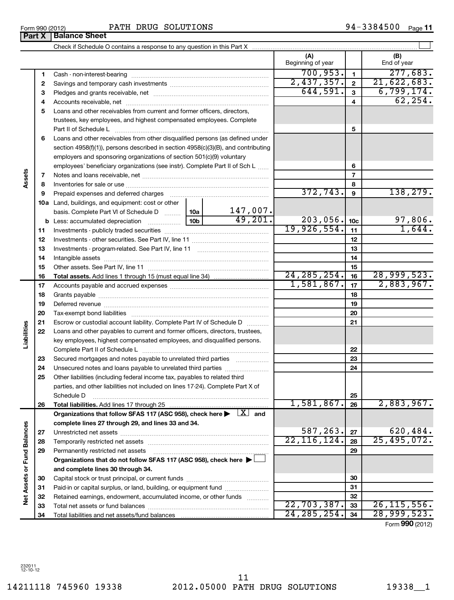14211118 745960 19338 2012.05000 PATH DRUG SOLUTIONS 19338\_\_1 11

|                             |    |                                                                                                                                                          |  |               | (A)<br>Beginning of year |                 | (B)<br>End of year |
|-----------------------------|----|----------------------------------------------------------------------------------------------------------------------------------------------------------|--|---------------|--------------------------|-----------------|--------------------|
|                             | 1  |                                                                                                                                                          |  |               | 700, 953.                | $\mathbf{1}$    | 277,683.           |
|                             | 2  |                                                                                                                                                          |  |               | 2,437,357.               | $\mathbf{2}$    | 21,622,683.        |
|                             | 3  |                                                                                                                                                          |  |               | 644,591.                 | $\mathbf{3}$    | 6,799,174.         |
|                             | 4  |                                                                                                                                                          |  |               |                          | 4               | 62, 254.           |
|                             | 5  | Loans and other receivables from current and former officers, directors,                                                                                 |  |               |                          |                 |                    |
|                             |    | trustees, key employees, and highest compensated employees. Complete                                                                                     |  |               |                          |                 |                    |
|                             |    | Part II of Schedule L                                                                                                                                    |  |               |                          | 5               |                    |
|                             | 6  | Loans and other receivables from other disqualified persons (as defined under                                                                            |  |               |                          |                 |                    |
|                             |    | section 4958(f)(1)), persons described in section 4958(c)(3)(B), and contributing                                                                        |  |               |                          |                 |                    |
|                             |    | employers and sponsoring organizations of section 501(c)(9) voluntary                                                                                    |  |               |                          |                 |                    |
|                             |    | employees' beneficiary organizations (see instr). Complete Part II of Sch L                                                                              |  |               |                          | 6               |                    |
| Assets                      | 7  |                                                                                                                                                          |  |               |                          | $\overline{7}$  |                    |
|                             | 8  |                                                                                                                                                          |  |               |                          | 8               |                    |
|                             | 9  | Prepaid expenses and deferred charges                                                                                                                    |  |               | 372, 743.                | 9               | 138, 279.          |
|                             |    | 10a Land, buildings, and equipment: cost or other                                                                                                        |  |               |                          |                 |                    |
|                             |    | basis. Complete Part VI of Schedule D  10a                                                                                                               |  | 147,007.      |                          |                 |                    |
|                             |    |                                                                                                                                                          |  | 49,201.       | 203,056.                 | 10 <sub>c</sub> | 97,806.            |
|                             | 11 |                                                                                                                                                          |  |               | 19,926,554.              | 11              | 1,644.             |
|                             | 12 |                                                                                                                                                          |  |               | 12                       |                 |                    |
|                             | 13 |                                                                                                                                                          |  |               |                          | 13              |                    |
|                             | 14 |                                                                                                                                                          |  |               |                          | 14              |                    |
|                             | 15 |                                                                                                                                                          |  |               |                          | 15              |                    |
|                             | 16 |                                                                                                                                                          |  |               | 24, 285, 254.            | 16              | 28,999,523.        |
|                             | 17 |                                                                                                                                                          |  |               | 1,581,867.               | 17              | 2,883,967.         |
|                             | 18 |                                                                                                                                                          |  | 18            |                          |                 |                    |
|                             | 19 |                                                                                                                                                          |  | 19            |                          |                 |                    |
|                             | 20 |                                                                                                                                                          |  |               |                          | 20              |                    |
| Liabilities                 | 21 | Escrow or custodial account liability. Complete Part IV of Schedule D                                                                                    |  |               |                          | 21              |                    |
|                             | 22 | Loans and other payables to current and former officers, directors, trustees,<br>key employees, highest compensated employees, and disqualified persons. |  |               |                          |                 |                    |
|                             |    | Complete Part II of Schedule L                                                                                                                           |  |               |                          | 22              |                    |
|                             | 23 | Secured mortgages and notes payable to unrelated third parties                                                                                           |  |               |                          | 23              |                    |
|                             | 24 | Unsecured notes and loans payable to unrelated third parties                                                                                             |  |               |                          | 24              |                    |
|                             | 25 | Other liabilities (including federal income tax, payables to related third                                                                               |  |               |                          |                 |                    |
|                             |    | parties, and other liabilities not included on lines 17-24). Complete Part X of                                                                          |  |               |                          |                 |                    |
|                             |    | Schedule D                                                                                                                                               |  |               |                          | 25              |                    |
|                             | 26 |                                                                                                                                                          |  |               | 1,581,867.               | 26              | 2,883,967.         |
|                             |    | Organizations that follow SFAS 117 (ASC 958), check here $\blacktriangleright \begin{array}{c} \perp X \end{array}$ and                                  |  |               |                          |                 |                    |
|                             |    | complete lines 27 through 29, and lines 33 and 34.                                                                                                       |  |               |                          |                 |                    |
|                             | 27 |                                                                                                                                                          |  |               | 587,263.                 | 27              | 620,484.           |
|                             | 28 |                                                                                                                                                          |  | 22, 116, 124. | 28                       | 25,495,072.     |                    |
|                             | 29 | Permanently restricted net assets                                                                                                                        |  |               |                          | 29              |                    |
|                             |    | Organizations that do not follow SFAS 117 (ASC 958), check here ▶                                                                                        |  |               |                          |                 |                    |
| Net Assets or Fund Balances |    | and complete lines 30 through 34.                                                                                                                        |  |               |                          |                 |                    |
|                             | 30 |                                                                                                                                                          |  |               | 30                       |                 |                    |
|                             | 31 | Paid-in or capital surplus, or land, building, or equipment fund                                                                                         |  |               | 31                       |                 |                    |
|                             | 32 | Retained earnings, endowment, accumulated income, or other funds                                                                                         |  |               |                          | 32              |                    |
|                             | 33 |                                                                                                                                                          |  |               | 22,703,387.              | 33              | 26, 115, 556.      |
|                             | 34 |                                                                                                                                                          |  |               | 24, 285, 254.            | 34              | 28,999,523.        |

Form (2012) **990**

**Part X Balance Sheet** 

**Assets**

**Liabilities**

Net Assets or Fund Balances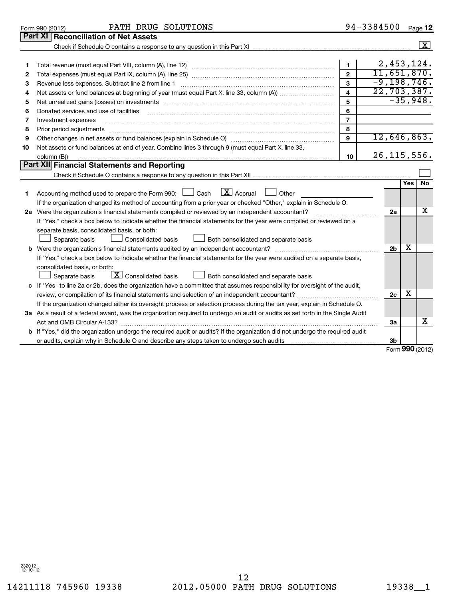232012 12-10-12

Form 990 (2012) Page PATH DRUG SOLUTIONS

**Part XI Reconciliation of Net Assets**

94-3384500 Page 12

| 2,453,124.<br>$\mathbf{1}$<br>1<br>11,651,870.<br>$\overline{2}$<br>2<br>$-9, 198, 746.$<br>$\mathbf{3}$<br>Revenue less expenses. Subtract line 2 from line 1<br>З<br>22,703,387.<br>$\overline{4}$<br>4<br>$-35,948.$<br>5<br>5<br>6<br>Donated services and use of facilities<br>6<br>$\overline{7}$<br>7<br>Investment expenses<br>8<br>Prior period adjustments<br>8<br>12,646,863.<br>9<br>9<br>Net assets or fund balances at end of year. Combine lines 3 through 9 (must equal Part X, line 33,<br>10<br>26, 115, 556.<br>10<br>column (B))<br>Part XII Financial Statements and Reporting<br>Yes<br><b>No</b><br>$\boxed{\mathbf{X}}$ Accrual<br>Accounting method used to prepare the Form 990: Lash<br>Other<br>1<br>If the organization changed its method of accounting from a prior year or checked "Other," explain in Schedule O.<br>х<br>2a<br>If "Yes," check a box below to indicate whether the financial statements for the year were compiled or reviewed on a<br>separate basis, consolidated basis, or both:<br>Consolidated basis<br>Separate basis<br>Both consolidated and separate basis<br>X<br>2 <sub>b</sub><br>If "Yes," check a box below to indicate whether the financial statements for the year were audited on a separate basis,<br>consolidated basis, or both:<br>$\boxed{\mathbf{X}}$ Consolidated basis<br>Both consolidated and separate basis<br>Separate basis<br>c If "Yes" to line 2a or 2b, does the organization have a committee that assumes responsibility for oversight of the audit,<br>X<br>2c<br>If the organization changed either its oversight process or selection process during the tax year, explain in Schedule O.<br>3a As a result of a federal award, was the organization required to undergo an audit or audits as set forth in the Single Audit<br>x<br>За<br>b If "Yes," did the organization undergo the required audit or audits? If the organization did not undergo the required audit<br>3b<br>Form 990 (2012) |  |  |  |  | $\overline{\mathbf{x}}$ |  |  |
|---------------------------------------------------------------------------------------------------------------------------------------------------------------------------------------------------------------------------------------------------------------------------------------------------------------------------------------------------------------------------------------------------------------------------------------------------------------------------------------------------------------------------------------------------------------------------------------------------------------------------------------------------------------------------------------------------------------------------------------------------------------------------------------------------------------------------------------------------------------------------------------------------------------------------------------------------------------------------------------------------------------------------------------------------------------------------------------------------------------------------------------------------------------------------------------------------------------------------------------------------------------------------------------------------------------------------------------------------------------------------------------------------------------------------------------------------------------------------------------------------------------------------------------------------------------------------------------------------------------------------------------------------------------------------------------------------------------------------------------------------------------------------------------------------------------------------------------------------------------------------------------------------------------------------------------------------------------------------------------------|--|--|--|--|-------------------------|--|--|
|                                                                                                                                                                                                                                                                                                                                                                                                                                                                                                                                                                                                                                                                                                                                                                                                                                                                                                                                                                                                                                                                                                                                                                                                                                                                                                                                                                                                                                                                                                                                                                                                                                                                                                                                                                                                                                                                                                                                                                                             |  |  |  |  |                         |  |  |
|                                                                                                                                                                                                                                                                                                                                                                                                                                                                                                                                                                                                                                                                                                                                                                                                                                                                                                                                                                                                                                                                                                                                                                                                                                                                                                                                                                                                                                                                                                                                                                                                                                                                                                                                                                                                                                                                                                                                                                                             |  |  |  |  |                         |  |  |
|                                                                                                                                                                                                                                                                                                                                                                                                                                                                                                                                                                                                                                                                                                                                                                                                                                                                                                                                                                                                                                                                                                                                                                                                                                                                                                                                                                                                                                                                                                                                                                                                                                                                                                                                                                                                                                                                                                                                                                                             |  |  |  |  |                         |  |  |
|                                                                                                                                                                                                                                                                                                                                                                                                                                                                                                                                                                                                                                                                                                                                                                                                                                                                                                                                                                                                                                                                                                                                                                                                                                                                                                                                                                                                                                                                                                                                                                                                                                                                                                                                                                                                                                                                                                                                                                                             |  |  |  |  |                         |  |  |
|                                                                                                                                                                                                                                                                                                                                                                                                                                                                                                                                                                                                                                                                                                                                                                                                                                                                                                                                                                                                                                                                                                                                                                                                                                                                                                                                                                                                                                                                                                                                                                                                                                                                                                                                                                                                                                                                                                                                                                                             |  |  |  |  |                         |  |  |
|                                                                                                                                                                                                                                                                                                                                                                                                                                                                                                                                                                                                                                                                                                                                                                                                                                                                                                                                                                                                                                                                                                                                                                                                                                                                                                                                                                                                                                                                                                                                                                                                                                                                                                                                                                                                                                                                                                                                                                                             |  |  |  |  |                         |  |  |
|                                                                                                                                                                                                                                                                                                                                                                                                                                                                                                                                                                                                                                                                                                                                                                                                                                                                                                                                                                                                                                                                                                                                                                                                                                                                                                                                                                                                                                                                                                                                                                                                                                                                                                                                                                                                                                                                                                                                                                                             |  |  |  |  |                         |  |  |
|                                                                                                                                                                                                                                                                                                                                                                                                                                                                                                                                                                                                                                                                                                                                                                                                                                                                                                                                                                                                                                                                                                                                                                                                                                                                                                                                                                                                                                                                                                                                                                                                                                                                                                                                                                                                                                                                                                                                                                                             |  |  |  |  |                         |  |  |
|                                                                                                                                                                                                                                                                                                                                                                                                                                                                                                                                                                                                                                                                                                                                                                                                                                                                                                                                                                                                                                                                                                                                                                                                                                                                                                                                                                                                                                                                                                                                                                                                                                                                                                                                                                                                                                                                                                                                                                                             |  |  |  |  |                         |  |  |
|                                                                                                                                                                                                                                                                                                                                                                                                                                                                                                                                                                                                                                                                                                                                                                                                                                                                                                                                                                                                                                                                                                                                                                                                                                                                                                                                                                                                                                                                                                                                                                                                                                                                                                                                                                                                                                                                                                                                                                                             |  |  |  |  |                         |  |  |
|                                                                                                                                                                                                                                                                                                                                                                                                                                                                                                                                                                                                                                                                                                                                                                                                                                                                                                                                                                                                                                                                                                                                                                                                                                                                                                                                                                                                                                                                                                                                                                                                                                                                                                                                                                                                                                                                                                                                                                                             |  |  |  |  |                         |  |  |
|                                                                                                                                                                                                                                                                                                                                                                                                                                                                                                                                                                                                                                                                                                                                                                                                                                                                                                                                                                                                                                                                                                                                                                                                                                                                                                                                                                                                                                                                                                                                                                                                                                                                                                                                                                                                                                                                                                                                                                                             |  |  |  |  |                         |  |  |
|                                                                                                                                                                                                                                                                                                                                                                                                                                                                                                                                                                                                                                                                                                                                                                                                                                                                                                                                                                                                                                                                                                                                                                                                                                                                                                                                                                                                                                                                                                                                                                                                                                                                                                                                                                                                                                                                                                                                                                                             |  |  |  |  |                         |  |  |
|                                                                                                                                                                                                                                                                                                                                                                                                                                                                                                                                                                                                                                                                                                                                                                                                                                                                                                                                                                                                                                                                                                                                                                                                                                                                                                                                                                                                                                                                                                                                                                                                                                                                                                                                                                                                                                                                                                                                                                                             |  |  |  |  |                         |  |  |
|                                                                                                                                                                                                                                                                                                                                                                                                                                                                                                                                                                                                                                                                                                                                                                                                                                                                                                                                                                                                                                                                                                                                                                                                                                                                                                                                                                                                                                                                                                                                                                                                                                                                                                                                                                                                                                                                                                                                                                                             |  |  |  |  |                         |  |  |
|                                                                                                                                                                                                                                                                                                                                                                                                                                                                                                                                                                                                                                                                                                                                                                                                                                                                                                                                                                                                                                                                                                                                                                                                                                                                                                                                                                                                                                                                                                                                                                                                                                                                                                                                                                                                                                                                                                                                                                                             |  |  |  |  |                         |  |  |
|                                                                                                                                                                                                                                                                                                                                                                                                                                                                                                                                                                                                                                                                                                                                                                                                                                                                                                                                                                                                                                                                                                                                                                                                                                                                                                                                                                                                                                                                                                                                                                                                                                                                                                                                                                                                                                                                                                                                                                                             |  |  |  |  |                         |  |  |
|                                                                                                                                                                                                                                                                                                                                                                                                                                                                                                                                                                                                                                                                                                                                                                                                                                                                                                                                                                                                                                                                                                                                                                                                                                                                                                                                                                                                                                                                                                                                                                                                                                                                                                                                                                                                                                                                                                                                                                                             |  |  |  |  |                         |  |  |
|                                                                                                                                                                                                                                                                                                                                                                                                                                                                                                                                                                                                                                                                                                                                                                                                                                                                                                                                                                                                                                                                                                                                                                                                                                                                                                                                                                                                                                                                                                                                                                                                                                                                                                                                                                                                                                                                                                                                                                                             |  |  |  |  |                         |  |  |
|                                                                                                                                                                                                                                                                                                                                                                                                                                                                                                                                                                                                                                                                                                                                                                                                                                                                                                                                                                                                                                                                                                                                                                                                                                                                                                                                                                                                                                                                                                                                                                                                                                                                                                                                                                                                                                                                                                                                                                                             |  |  |  |  |                         |  |  |
|                                                                                                                                                                                                                                                                                                                                                                                                                                                                                                                                                                                                                                                                                                                                                                                                                                                                                                                                                                                                                                                                                                                                                                                                                                                                                                                                                                                                                                                                                                                                                                                                                                                                                                                                                                                                                                                                                                                                                                                             |  |  |  |  |                         |  |  |
|                                                                                                                                                                                                                                                                                                                                                                                                                                                                                                                                                                                                                                                                                                                                                                                                                                                                                                                                                                                                                                                                                                                                                                                                                                                                                                                                                                                                                                                                                                                                                                                                                                                                                                                                                                                                                                                                                                                                                                                             |  |  |  |  |                         |  |  |
|                                                                                                                                                                                                                                                                                                                                                                                                                                                                                                                                                                                                                                                                                                                                                                                                                                                                                                                                                                                                                                                                                                                                                                                                                                                                                                                                                                                                                                                                                                                                                                                                                                                                                                                                                                                                                                                                                                                                                                                             |  |  |  |  |                         |  |  |
|                                                                                                                                                                                                                                                                                                                                                                                                                                                                                                                                                                                                                                                                                                                                                                                                                                                                                                                                                                                                                                                                                                                                                                                                                                                                                                                                                                                                                                                                                                                                                                                                                                                                                                                                                                                                                                                                                                                                                                                             |  |  |  |  |                         |  |  |
|                                                                                                                                                                                                                                                                                                                                                                                                                                                                                                                                                                                                                                                                                                                                                                                                                                                                                                                                                                                                                                                                                                                                                                                                                                                                                                                                                                                                                                                                                                                                                                                                                                                                                                                                                                                                                                                                                                                                                                                             |  |  |  |  |                         |  |  |
|                                                                                                                                                                                                                                                                                                                                                                                                                                                                                                                                                                                                                                                                                                                                                                                                                                                                                                                                                                                                                                                                                                                                                                                                                                                                                                                                                                                                                                                                                                                                                                                                                                                                                                                                                                                                                                                                                                                                                                                             |  |  |  |  |                         |  |  |
|                                                                                                                                                                                                                                                                                                                                                                                                                                                                                                                                                                                                                                                                                                                                                                                                                                                                                                                                                                                                                                                                                                                                                                                                                                                                                                                                                                                                                                                                                                                                                                                                                                                                                                                                                                                                                                                                                                                                                                                             |  |  |  |  |                         |  |  |
|                                                                                                                                                                                                                                                                                                                                                                                                                                                                                                                                                                                                                                                                                                                                                                                                                                                                                                                                                                                                                                                                                                                                                                                                                                                                                                                                                                                                                                                                                                                                                                                                                                                                                                                                                                                                                                                                                                                                                                                             |  |  |  |  |                         |  |  |
|                                                                                                                                                                                                                                                                                                                                                                                                                                                                                                                                                                                                                                                                                                                                                                                                                                                                                                                                                                                                                                                                                                                                                                                                                                                                                                                                                                                                                                                                                                                                                                                                                                                                                                                                                                                                                                                                                                                                                                                             |  |  |  |  |                         |  |  |
|                                                                                                                                                                                                                                                                                                                                                                                                                                                                                                                                                                                                                                                                                                                                                                                                                                                                                                                                                                                                                                                                                                                                                                                                                                                                                                                                                                                                                                                                                                                                                                                                                                                                                                                                                                                                                                                                                                                                                                                             |  |  |  |  |                         |  |  |
|                                                                                                                                                                                                                                                                                                                                                                                                                                                                                                                                                                                                                                                                                                                                                                                                                                                                                                                                                                                                                                                                                                                                                                                                                                                                                                                                                                                                                                                                                                                                                                                                                                                                                                                                                                                                                                                                                                                                                                                             |  |  |  |  |                         |  |  |
|                                                                                                                                                                                                                                                                                                                                                                                                                                                                                                                                                                                                                                                                                                                                                                                                                                                                                                                                                                                                                                                                                                                                                                                                                                                                                                                                                                                                                                                                                                                                                                                                                                                                                                                                                                                                                                                                                                                                                                                             |  |  |  |  |                         |  |  |
|                                                                                                                                                                                                                                                                                                                                                                                                                                                                                                                                                                                                                                                                                                                                                                                                                                                                                                                                                                                                                                                                                                                                                                                                                                                                                                                                                                                                                                                                                                                                                                                                                                                                                                                                                                                                                                                                                                                                                                                             |  |  |  |  |                         |  |  |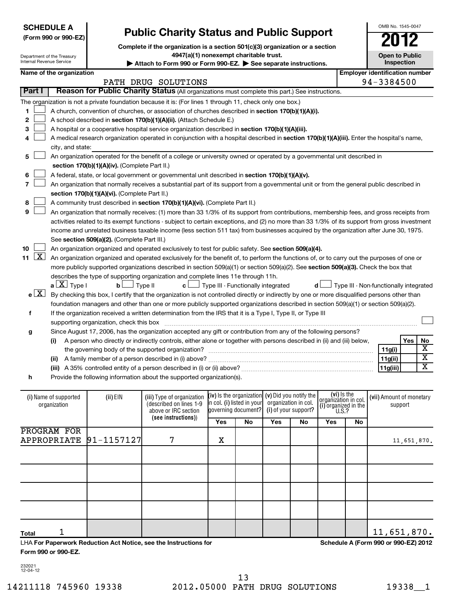| <b>SCHEDULE A</b>    |
|----------------------|
| (Form 990 or 990-EZ) |

Department of the Treasury

# **Public Charity Status and Public Support**

**Complete if the organization is a section 501(c)(3) organization or a section**

**4947(a)(1) nonexempt charitable trust.**

| Internal Revenue Service                    |                                             |                                               |                                                                                                                                               | Attach to Form 990 or Form 990-EZ. See separate instructions. |                                                   |                      |           |                                                             |    | Inspection                             |     |                               |  |  |  |
|---------------------------------------------|---------------------------------------------|-----------------------------------------------|-----------------------------------------------------------------------------------------------------------------------------------------------|---------------------------------------------------------------|---------------------------------------------------|----------------------|-----------|-------------------------------------------------------------|----|----------------------------------------|-----|-------------------------------|--|--|--|
|                                             | Name of the organization                    |                                               |                                                                                                                                               |                                                               |                                                   |                      |           |                                                             |    | <b>Employer identification number</b>  |     |                               |  |  |  |
|                                             |                                             |                                               | PATH DRUG SOLUTIONS                                                                                                                           |                                                               |                                                   |                      |           |                                                             |    | 94-3384500                             |     |                               |  |  |  |
| Part I                                      |                                             |                                               | Reason for Public Charity Status (All organizations must complete this part.) See instructions.                                               |                                                               |                                                   |                      |           |                                                             |    |                                        |     |                               |  |  |  |
|                                             |                                             |                                               | The organization is not a private foundation because it is: (For lines 1 through 11, check only one box.)                                     |                                                               |                                                   |                      |           |                                                             |    |                                        |     |                               |  |  |  |
| 1                                           |                                             |                                               | A church, convention of churches, or association of churches described in section 170(b)(1)(A)(i).                                            |                                                               |                                                   |                      |           |                                                             |    |                                        |     |                               |  |  |  |
| $\mathbf{2}$                                |                                             |                                               | A school described in section 170(b)(1)(A)(ii). (Attach Schedule E.)                                                                          |                                                               |                                                   |                      |           |                                                             |    |                                        |     |                               |  |  |  |
| З                                           |                                             |                                               | A hospital or a cooperative hospital service organization described in section 170(b)(1)(A)(iii).                                             |                                                               |                                                   |                      |           |                                                             |    |                                        |     |                               |  |  |  |
| 4                                           |                                             |                                               | A medical research organization operated in conjunction with a hospital described in section 170(b)(1)(A)(iii). Enter the hospital's name,    |                                                               |                                                   |                      |           |                                                             |    |                                        |     |                               |  |  |  |
|                                             | city, and state:                            |                                               |                                                                                                                                               |                                                               |                                                   |                      |           |                                                             |    |                                        |     |                               |  |  |  |
| 5                                           |                                             |                                               | An organization operated for the benefit of a college or university owned or operated by a governmental unit described in                     |                                                               |                                                   |                      |           |                                                             |    |                                        |     |                               |  |  |  |
|                                             |                                             | section 170(b)(1)(A)(iv). (Complete Part II.) |                                                                                                                                               |                                                               |                                                   |                      |           |                                                             |    |                                        |     |                               |  |  |  |
| 6                                           |                                             |                                               | A federal, state, or local government or governmental unit described in section 170(b)(1)(A)(v).                                              |                                                               |                                                   |                      |           |                                                             |    |                                        |     |                               |  |  |  |
| 7                                           |                                             |                                               | An organization that normally receives a substantial part of its support from a governmental unit or from the general public described in     |                                                               |                                                   |                      |           |                                                             |    |                                        |     |                               |  |  |  |
|                                             |                                             | section 170(b)(1)(A)(vi). (Complete Part II.) |                                                                                                                                               |                                                               |                                                   |                      |           |                                                             |    |                                        |     |                               |  |  |  |
| 8                                           |                                             |                                               | A community trust described in section 170(b)(1)(A)(vi). (Complete Part II.)                                                                  |                                                               |                                                   |                      |           |                                                             |    |                                        |     |                               |  |  |  |
| 9                                           |                                             |                                               | An organization that normally receives: (1) more than 33 1/3% of its support from contributions, membership fees, and gross receipts from     |                                                               |                                                   |                      |           |                                                             |    |                                        |     |                               |  |  |  |
|                                             |                                             |                                               | activities related to its exempt functions - subject to certain exceptions, and (2) no more than 33 1/3% of its support from gross investment |                                                               |                                                   |                      |           |                                                             |    |                                        |     |                               |  |  |  |
|                                             |                                             |                                               | income and unrelated business taxable income (less section 511 tax) from businesses acquired by the organization after June 30, 1975.         |                                                               |                                                   |                      |           |                                                             |    |                                        |     |                               |  |  |  |
|                                             | See section 509(a)(2). (Complete Part III.) |                                               |                                                                                                                                               |                                                               |                                                   |                      |           |                                                             |    |                                        |     |                               |  |  |  |
| 10                                          |                                             |                                               | An organization organized and operated exclusively to test for public safety. See section 509(a)(4).                                          |                                                               |                                                   |                      |           |                                                             |    |                                        |     |                               |  |  |  |
| $\mathbf{X}$<br>11                          |                                             |                                               | An organization organized and operated exclusively for the benefit of, to perform the functions of, or to carry out the purposes of one or    |                                                               |                                                   |                      |           |                                                             |    |                                        |     |                               |  |  |  |
|                                             |                                             |                                               | more publicly supported organizations described in section $509(a)(1)$ or section $509(a)(2)$ . See section $509(a)(3)$ . Check the box that  |                                                               |                                                   |                      |           |                                                             |    |                                        |     |                               |  |  |  |
|                                             |                                             |                                               | describes the type of supporting organization and complete lines 11e through 11h.                                                             |                                                               |                                                   |                      |           |                                                             |    |                                        |     |                               |  |  |  |
|                                             | $a \perp X$ Type I                          | bL                                            | Type II<br>c L                                                                                                                                |                                                               | $\perp$ Type III - Functionally integrated        |                      | d l       |                                                             |    | Type III - Non-functionally integrated |     |                               |  |  |  |
| e[X]                                        |                                             |                                               | By checking this box, I certify that the organization is not controlled directly or indirectly by one or more disqualified persons other than |                                                               |                                                   |                      |           |                                                             |    |                                        |     |                               |  |  |  |
|                                             |                                             |                                               | foundation managers and other than one or more publicly supported organizations described in section 509(a)(1) or section 509(a)(2).          |                                                               |                                                   |                      |           |                                                             |    |                                        |     |                               |  |  |  |
| f                                           |                                             |                                               | If the organization received a written determination from the IRS that it is a Type I, Type II, or Type III                                   |                                                               |                                                   |                      |           |                                                             |    |                                        |     |                               |  |  |  |
|                                             |                                             | supporting organization, check this box       |                                                                                                                                               |                                                               |                                                   |                      |           |                                                             |    |                                        |     |                               |  |  |  |
| g                                           |                                             |                                               | Since August 17, 2006, has the organization accepted any gift or contribution from any of the following persons?                              |                                                               |                                                   |                      |           |                                                             |    |                                        |     |                               |  |  |  |
|                                             | (i)                                         |                                               | A person who directly or indirectly controls, either alone or together with persons described in (ii) and (iii) below,                        |                                                               |                                                   |                      |           |                                                             |    |                                        | Yes | No<br>$\overline{\mathbf{x}}$ |  |  |  |
|                                             |                                             |                                               |                                                                                                                                               |                                                               |                                                   |                      |           |                                                             |    | 11g(i)                                 |     | $\overline{\text{x}}$         |  |  |  |
|                                             |                                             |                                               |                                                                                                                                               |                                                               |                                                   |                      |           |                                                             |    | 11g(ii)                                |     | $\overline{\textbf{x}}$       |  |  |  |
|                                             |                                             |                                               |                                                                                                                                               |                                                               |                                                   |                      |           |                                                             |    | 11g(iii)                               |     |                               |  |  |  |
| h                                           |                                             |                                               | Provide the following information about the supported organization(s).                                                                        |                                                               |                                                   |                      |           |                                                             |    |                                        |     |                               |  |  |  |
|                                             |                                             |                                               |                                                                                                                                               |                                                               | (iv) is the organization $(v)$ Did you notify the |                      |           |                                                             |    |                                        |     |                               |  |  |  |
|                                             | (i) Name of supported<br>organization       | (ii) EIN                                      | (iii) Type of organization<br>(described on lines 1-9                                                                                         |                                                               | in col. (i) listed in your                        | organization in col. |           | (vi) Is the<br>organization in col.<br>(i) organized in the |    | (vii) Amount of monetary<br>support    |     |                               |  |  |  |
| governing document?<br>above or IRC section |                                             |                                               |                                                                                                                                               |                                                               |                                                   | (i) of your support? |           | U.S.?                                                       |    |                                        |     |                               |  |  |  |
|                                             |                                             |                                               | (see instructions))                                                                                                                           | Yes                                                           | No                                                | Yes                  | <b>No</b> | Yes                                                         | No |                                        |     |                               |  |  |  |
|                                             |                                             |                                               |                                                                                                                                               |                                                               |                                                   |                      |           |                                                             |    |                                        |     |                               |  |  |  |

|                            |   | 165 | <b>IVU</b> | 165 | <b>IVU</b> | 165 | 14U |             |
|----------------------------|---|-----|------------|-----|------------|-----|-----|-------------|
| PROGRAM FOR                |   |     |            |     |            |     |     |             |
| APPROPRIATE $ 91-1157127 $ | 7 | X   |            |     |            |     |     | 11,651,870. |
|                            |   |     |            |     |            |     |     |             |
|                            |   |     |            |     |            |     |     |             |
|                            |   |     |            |     |            |     |     |             |
|                            |   |     |            |     |            |     |     |             |
|                            |   |     |            |     |            |     |     |             |
|                            |   |     |            |     |            |     |     |             |
|                            |   |     |            |     |            |     |     |             |
|                            |   |     |            |     |            |     |     |             |
|                            |   |     |            |     |            |     |     |             |
| <b>Total</b>               |   |     |            |     |            |     |     | 11,651,870. |

LHA **For Paperwork Reduction Act Notice, see the Instructions for Form 990 or 990-EZ.**

**Schedule A (Form 990 or 990-EZ) 2012**

232021 12-04-12

OMB No. 1545-0047

**Open to Public**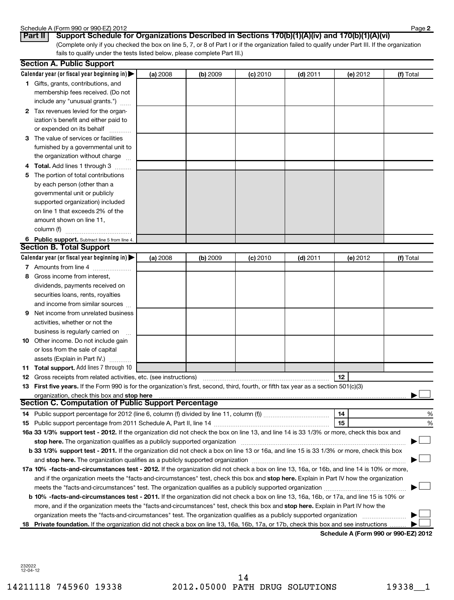#### Schedule A (Form 990 or 990-EZ) 2012

| ou iedale A (I om i sa |                             |  |
|------------------------|-----------------------------|--|
| $D - 1$                | $\sim$ $\sim$ $\sim$ $\sim$ |  |

(Complete only if you checked the box on line 5, 7, or 8 of Part I or if the organization failed to qualify under Part III. If the organization fails to qualify under the tests listed below, please complete Part III.) **Part II Support Schedule for Organizations Described in Sections 170(b)(1)(A)(iv) and 170(b)(1)(A)(vi)**

|   | <b>Section A. Public Support</b>                                                                                                                                                                                               |          |          |            |            |          |           |
|---|--------------------------------------------------------------------------------------------------------------------------------------------------------------------------------------------------------------------------------|----------|----------|------------|------------|----------|-----------|
|   | Calendar year (or fiscal year beginning in) $\blacktriangleright$                                                                                                                                                              | (a) 2008 | (b) 2009 | $(c)$ 2010 | $(d)$ 2011 | (e) 2012 | (f) Total |
|   | <b>1</b> Gifts, grants, contributions, and                                                                                                                                                                                     |          |          |            |            |          |           |
|   | membership fees received. (Do not                                                                                                                                                                                              |          |          |            |            |          |           |
|   | include any "unusual grants.")                                                                                                                                                                                                 |          |          |            |            |          |           |
|   | 2 Tax revenues levied for the organ-                                                                                                                                                                                           |          |          |            |            |          |           |
|   | ization's benefit and either paid to                                                                                                                                                                                           |          |          |            |            |          |           |
|   | or expended on its behalf                                                                                                                                                                                                      |          |          |            |            |          |           |
|   | 3 The value of services or facilities                                                                                                                                                                                          |          |          |            |            |          |           |
|   | furnished by a governmental unit to                                                                                                                                                                                            |          |          |            |            |          |           |
|   | the organization without charge                                                                                                                                                                                                |          |          |            |            |          |           |
|   | 4 Total. Add lines 1 through 3                                                                                                                                                                                                 |          |          |            |            |          |           |
|   | 5 The portion of total contributions                                                                                                                                                                                           |          |          |            |            |          |           |
|   | by each person (other than a                                                                                                                                                                                                   |          |          |            |            |          |           |
|   | governmental unit or publicly                                                                                                                                                                                                  |          |          |            |            |          |           |
|   | supported organization) included                                                                                                                                                                                               |          |          |            |            |          |           |
|   | on line 1 that exceeds 2% of the                                                                                                                                                                                               |          |          |            |            |          |           |
|   | amount shown on line 11,                                                                                                                                                                                                       |          |          |            |            |          |           |
|   | column (f)                                                                                                                                                                                                                     |          |          |            |            |          |           |
|   | 6 Public support. Subtract line 5 from line 4.                                                                                                                                                                                 |          |          |            |            |          |           |
|   | <b>Section B. Total Support</b>                                                                                                                                                                                                |          |          |            |            |          |           |
|   | Calendar year (or fiscal year beginning in)                                                                                                                                                                                    | (a) 2008 | (b) 2009 | $(c)$ 2010 | $(d)$ 2011 | (e) 2012 | (f) Total |
|   | 7 Amounts from line 4                                                                                                                                                                                                          |          |          |            |            |          |           |
| 8 | Gross income from interest,                                                                                                                                                                                                    |          |          |            |            |          |           |
|   | dividends, payments received on                                                                                                                                                                                                |          |          |            |            |          |           |
|   | securities loans, rents, royalties                                                                                                                                                                                             |          |          |            |            |          |           |
|   | and income from similar sources                                                                                                                                                                                                |          |          |            |            |          |           |
| 9 | Net income from unrelated business                                                                                                                                                                                             |          |          |            |            |          |           |
|   | activities, whether or not the                                                                                                                                                                                                 |          |          |            |            |          |           |
|   | business is regularly carried on                                                                                                                                                                                               |          |          |            |            |          |           |
|   | <b>10</b> Other income. Do not include gain                                                                                                                                                                                    |          |          |            |            |          |           |
|   | or loss from the sale of capital                                                                                                                                                                                               |          |          |            |            |          |           |
|   | assets (Explain in Part IV.)                                                                                                                                                                                                   |          |          |            |            |          |           |
|   | 11 Total support. Add lines 7 through 10                                                                                                                                                                                       |          |          |            |            |          |           |
|   | <b>12</b> Gross receipts from related activities, etc. (see instructions)                                                                                                                                                      |          |          |            |            | 12       |           |
|   | 13 First five years. If the Form 990 is for the organization's first, second, third, fourth, or fifth tax year as a section 501(c)(3)                                                                                          |          |          |            |            |          |           |
|   |                                                                                                                                                                                                                                |          |          |            |            |          |           |
|   | Section C. Computation of Public Support Percentage                                                                                                                                                                            |          |          |            |            |          |           |
|   |                                                                                                                                                                                                                                |          |          |            |            | 14       | %         |
|   |                                                                                                                                                                                                                                |          |          |            |            | 15       | %         |
|   | 16a 33 1/3% support test - 2012. If the organization did not check the box on line 13, and line 14 is 33 1/3% or more, check this box and                                                                                      |          |          |            |            |          |           |
|   | stop here. The organization qualifies as a publicly supported organization manufactured content and the support of the state of the state of the state of the state of the state of the state of the state of the state of the |          |          |            |            |          |           |
|   | b 33 1/3% support test - 2011. If the organization did not check a box on line 13 or 16a, and line 15 is 33 1/3% or more, check this box                                                                                       |          |          |            |            |          |           |
|   |                                                                                                                                                                                                                                |          |          |            |            |          |           |
|   | 17a 10% -facts-and-circumstances test - 2012. If the organization did not check a box on line 13, 16a, or 16b, and line 14 is 10% or more,                                                                                     |          |          |            |            |          |           |
|   | and if the organization meets the "facts-and-circumstances" test, check this box and stop here. Explain in Part IV how the organization                                                                                        |          |          |            |            |          |           |
|   |                                                                                                                                                                                                                                |          |          |            |            |          |           |
|   | <b>b 10%</b> -facts-and-circumstances test - 2011. If the organization did not check a box on line 13, 16a, 16b, or 17a, and line 15 is 10% or                                                                                 |          |          |            |            |          |           |
|   | more, and if the organization meets the "facts-and-circumstances" test, check this box and stop here. Explain in Part IV how the                                                                                               |          |          |            |            |          |           |
|   | organization meets the "facts-and-circumstances" test. The organization qualifies as a publicly supported organization                                                                                                         |          |          |            |            |          |           |
|   | 18 Private foundation. If the organization did not check a box on line 13, 16a, 16b, 17a, or 17b, check this box and see instructions.                                                                                         |          |          |            |            |          |           |

**Schedule A (Form 990 or 990-EZ) 2012**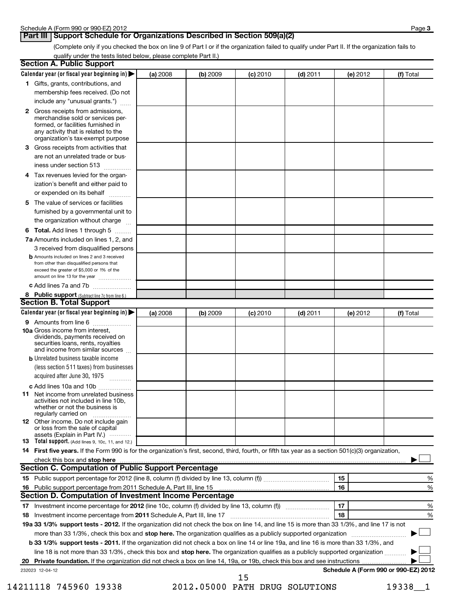#### **Part III Support Schedule for Organizations Described in Section 509(a)(2)**

(Complete only if you checked the box on line 9 of Part I or if the organization failed to qualify under Part II. If the organization fails to qualify under the tests listed below, please complete Part II.)

| <b>Section A. Public Support</b>                                                                                                                                                                                               |          |          |            |            |          |                                      |
|--------------------------------------------------------------------------------------------------------------------------------------------------------------------------------------------------------------------------------|----------|----------|------------|------------|----------|--------------------------------------|
| Calendar year (or fiscal year beginning in) $\blacktriangleright$                                                                                                                                                              | (a) 2008 | (b) 2009 | $(c)$ 2010 | $(d)$ 2011 | (e) 2012 | (f) Total                            |
| 1 Gifts, grants, contributions, and                                                                                                                                                                                            |          |          |            |            |          |                                      |
| membership fees received. (Do not                                                                                                                                                                                              |          |          |            |            |          |                                      |
| include any "unusual grants.")                                                                                                                                                                                                 |          |          |            |            |          |                                      |
| 2 Gross receipts from admissions,<br>merchandise sold or services per-<br>formed, or facilities furnished in<br>any activity that is related to the<br>organization's tax-exempt purpose                                       |          |          |            |            |          |                                      |
| 3 Gross receipts from activities that<br>are not an unrelated trade or bus-                                                                                                                                                    |          |          |            |            |          |                                      |
| iness under section 513                                                                                                                                                                                                        |          |          |            |            |          |                                      |
| 4 Tax revenues levied for the organ-<br>ization's benefit and either paid to<br>or expended on its behalf                                                                                                                      |          |          |            |            |          |                                      |
| 5 The value of services or facilities                                                                                                                                                                                          |          |          |            |            |          |                                      |
| furnished by a governmental unit to<br>the organization without charge                                                                                                                                                         |          |          |            |            |          |                                      |
| 6 Total. Add lines 1 through 5                                                                                                                                                                                                 |          |          |            |            |          |                                      |
| <b>7a</b> Amounts included on lines 1, 2, and                                                                                                                                                                                  |          |          |            |            |          |                                      |
| 3 received from disqualified persons                                                                                                                                                                                           |          |          |            |            |          |                                      |
| <b>b</b> Amounts included on lines 2 and 3 received<br>from other than disqualified persons that<br>exceed the greater of \$5,000 or 1% of the<br>amount on line 13 for the year                                               |          |          |            |            |          |                                      |
| c Add lines 7a and 7b                                                                                                                                                                                                          |          |          |            |            |          |                                      |
| 8 Public support (Subtract line 7c from line 6.)                                                                                                                                                                               |          |          |            |            |          |                                      |
| <b>Section B. Total Support</b>                                                                                                                                                                                                |          |          |            |            |          |                                      |
| Calendar year (or fiscal year beginning in)                                                                                                                                                                                    | (a) 2008 | (b) 2009 | $(c)$ 2010 | $(d)$ 2011 | (e) 2012 | (f) Total                            |
| 9 Amounts from line 6                                                                                                                                                                                                          |          |          |            |            |          |                                      |
| <b>10a</b> Gross income from interest,<br>dividends, payments received on<br>securities loans, rents, royalties<br>and income from similar sources                                                                             |          |          |            |            |          |                                      |
| <b>b</b> Unrelated business taxable income                                                                                                                                                                                     |          |          |            |            |          |                                      |
| (less section 511 taxes) from businesses<br>acquired after June 30, 1975                                                                                                                                                       |          |          |            |            |          |                                      |
| c Add lines 10a and 10b                                                                                                                                                                                                        |          |          |            |            |          |                                      |
| <b>11</b> Net income from unrelated business<br>activities not included in line 10b,<br>whether or not the business is<br>regularly carried on                                                                                 |          |          |            |            |          |                                      |
| <b>12</b> Other income. Do not include gain<br>or loss from the sale of capital<br>assets (Explain in Part IV.) $\cdots$                                                                                                       |          |          |            |            |          |                                      |
| 13 Total support. (Add lines 9, 10c, 11, and 12.)                                                                                                                                                                              |          |          |            |            |          |                                      |
| 14 First five years. If the Form 990 is for the organization's first, second, third, fourth, or fifth tax year as a section 501(c)(3) organization,                                                                            |          |          |            |            |          |                                      |
| check this box and stop here with the continuum control of the state of the state of the state of the state of the state of the state of the state of the state of the state of the state of the state of the state of the sta |          |          |            |            |          |                                      |
| Section C. Computation of Public Support Percentage                                                                                                                                                                            |          |          |            |            |          |                                      |
|                                                                                                                                                                                                                                |          |          |            |            | 15       | %                                    |
|                                                                                                                                                                                                                                |          |          |            |            | 16       | %                                    |
| Section D. Computation of Investment Income Percentage                                                                                                                                                                         |          |          |            |            |          |                                      |
|                                                                                                                                                                                                                                |          |          |            |            | 17       | %                                    |
| 18 Investment income percentage from 2011 Schedule A, Part III, line 17                                                                                                                                                        |          |          |            |            | 18       | %                                    |
| 19a 33 1/3% support tests - 2012. If the organization did not check the box on line 14, and line 15 is more than 33 1/3%, and line 17 is not                                                                                   |          |          |            |            |          |                                      |
| more than 33 1/3%, check this box and stop here. The organization qualifies as a publicly supported organization                                                                                                               |          |          |            |            |          |                                      |
| b 33 1/3% support tests - 2011. If the organization did not check a box on line 14 or line 19a, and line 16 is more than 33 1/3%, and                                                                                          |          |          |            |            |          |                                      |
| line 18 is not more than 33 1/3%, check this box and stop here. The organization qualifies as a publicly supported organization                                                                                                |          |          |            |            |          |                                      |
| 232023 12-04-12                                                                                                                                                                                                                |          |          |            |            |          | Schedule A (Form 990 or 990-EZ) 2012 |
|                                                                                                                                                                                                                                |          |          | 15         |            |          |                                      |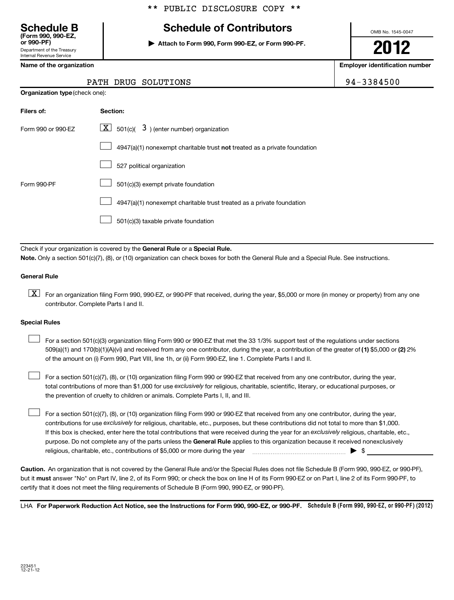#### \*\* PUBLIC DISCLOSURE COPY \*\*

# Department of the Treasury **(Form 990, 990-EZ,**

Internal Revenue Service

| <b>Schedule B</b> | <b>Schedule of Contributors</b> |
|-------------------|---------------------------------|
|                   |                                 |

**or 990-PF) | Attach to Form 990, Form 990-EZ, or Form 990-PF.**

OMB No. 1545-0047

**2012**

**Name of the organization Employer identification number**

|  | PATH DRUG SOLUTION |
|--|--------------------|
|  |                    |

| Filers of:         | <b>Section:</b>                                                                    |
|--------------------|------------------------------------------------------------------------------------|
| Form 990 or 990-FZ | $\lfloor \underline{X} \rfloor$ 501(c)( 3) (enter number) organization             |
|                    | $4947(a)(1)$ nonexempt charitable trust <b>not</b> treated as a private foundation |
|                    | 527 political organization                                                         |
| Form 990-PF        | 501(c)(3) exempt private foundation                                                |
|                    | 4947(a)(1) nonexempt charitable trust treated as a private foundation              |
|                    | 501(c)(3) taxable private foundation                                               |

Check if your organization is covered by the General Rule or a Special Rule. **Note.**  Only a section 501(c)(7), (8), or (10) organization can check boxes for both the General Rule and a Special Rule. See instructions.

#### **General Rule**

 $\boxed{\textbf{X}}$  For an organization filing Form 990, 990-EZ, or 990-PF that received, during the year, \$5,000 or more (in money or property) from any one contributor. Complete Parts I and II.

#### **Special Rules**

509(a)(1) and 170(b)(1)(A)(vi) and received from any one contributor, during the year, a contribution of the greater of (1**)** \$5,000 or (**2**) 2% For a section 501(c)(3) organization filing Form 990 or 990-EZ that met the 33 1/3% support test of the regulations under sections of the amount on (i) Form 990, Part VIII, line 1h, or (ii) Form 990-EZ, line 1. Complete Parts I and II.  $\left\vert \cdot\right\vert$ 

total contributions of more than \$1,000 for use exclusively for religious, charitable, scientific, literary, or educational purposes, or For a section 501(c)(7), (8), or (10) organization filing Form 990 or 990-EZ that received from any one contributor, during the year, the prevention of cruelty to children or animals. Complete Parts I, II, and III.  $\left\vert \cdot\right\vert$ 

purpose. Do not complete any of the parts unless the General Rule applies to this organization because it received nonexclusively contributions for use exclusively for religious, charitable, etc., purposes, but these contributions did not total to more than \$1,000. If this box is checked, enter here the total contributions that were received during the year for an exclusively religious, charitable, etc., For a section 501(c)(7), (8), or (10) organization filing Form 990 or 990-EZ that received from any one contributor, during the year, religious, charitable, etc., contributions of \$5,000 or more during the year  $\ldots$   $\ldots$   $\ldots$   $\ldots$   $\ldots$   $\ldots$   $\ldots$   $\ldots$   $\blacktriangleright$   $\uparrow$  $\left\vert \cdot\right\vert$ 

**Caution.** An organization that is not covered by the General Rule and/or the Special Rules does not file Schedule B (Form 990, 990-EZ, or 990-PF), but it **must** answer "No" on Part IV, line 2, of its Form 990; or check the box on line H of its Form 990-EZ or on Part I, line 2 of its Form 990-PF, to certify that it does not meet the filing requirements of Schedule B (Form 990, 990-EZ, or 990-PF).

LHA For Paperwork Reduction Act Notice, see the Instructions for Form 990, 990-EZ, or 990-PF. Schedule B (Form 990, 990-EZ, or 990-PF) (2012)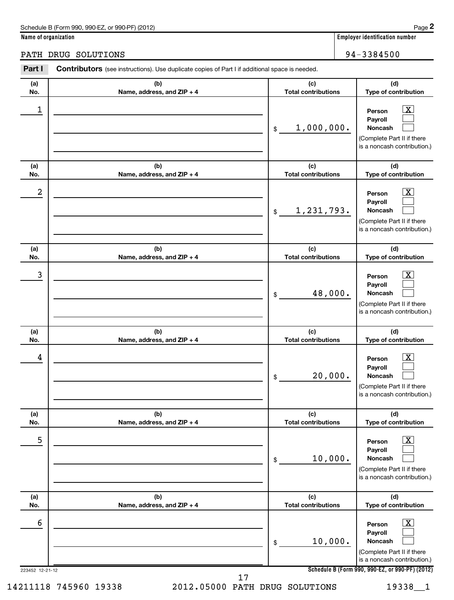| Schedule B (Form 990, 990-EZ, or 990-PF) (2012)<br>the contract of the contract of the contract of the contract of the contract of the contract of the contract of | Page |
|--------------------------------------------------------------------------------------------------------------------------------------------------------------------|------|
|--------------------------------------------------------------------------------------------------------------------------------------------------------------------|------|

**Name of organization Employer identification number**

PATH DRUG SOLUTIONS 30 1 20 20 3 3 3 4 5 6 20 3 3 4 5 4 4 5 3 3 4 5 6 3 4 5 6 3 3 4 5 6 3 4 5 6 3 4 5 4 7 3 4 5 6 4 5 4 5 6 3 4 5 6 7 3 4 5 7 3 4 5 6 7 3 3 4 5 6 7 3 4 5 7 3 4 5 7 3 4 5 7 3 4 5 7 3 4 5 7 3 4 5 7 3 4 5 7 3

| Part I               | Contributors (see instructions). Use duplicate copies of Part I if additional space is needed. |                                   |                                                                                                                                                          |
|----------------------|------------------------------------------------------------------------------------------------|-----------------------------------|----------------------------------------------------------------------------------------------------------------------------------------------------------|
| (a)<br>No.           | (b)<br>Name, address, and ZIP + 4                                                              | (c)<br><b>Total contributions</b> | (d)<br>Type of contribution                                                                                                                              |
| 1                    |                                                                                                | 1,000,000.<br>$\mathsf{\$}$       | $\lfloor x \rfloor$<br>Person<br>Payroll<br><b>Noncash</b><br>(Complete Part II if there<br>is a noncash contribution.)                                  |
| (a)<br>No.           | (b)<br>Name, address, and ZIP + 4                                                              | (c)<br><b>Total contributions</b> | (d)<br>Type of contribution                                                                                                                              |
| 2                    |                                                                                                | 1,231,793.<br>$\frac{1}{2}$       | $\mathbf{X}$<br>Person<br>Payroll<br><b>Noncash</b><br>(Complete Part II if there<br>is a noncash contribution.)                                         |
| (a)<br>No.           | (b)<br>Name, address, and ZIP + 4                                                              | (c)<br><b>Total contributions</b> | (d)<br>Type of contribution                                                                                                                              |
| 3                    |                                                                                                | 48,000.<br>\$                     | <u>x</u><br>Person<br>Payroll<br><b>Noncash</b><br>(Complete Part II if there<br>is a noncash contribution.)                                             |
| (a)<br>No.           | (b)<br>Name, address, and ZIP + 4                                                              | (c)<br><b>Total contributions</b> | (d)<br>Type of contribution                                                                                                                              |
| 4                    |                                                                                                | 20,000.<br>\$                     | <u>x</u><br>Person<br>Payroll<br>Noncash<br>(Complete Part II if there<br>is a noncash contribution.)                                                    |
| (a)<br>No.           | (b)<br>Name, address, and ZIP + 4                                                              | (c)<br><b>Total contributions</b> | (d)<br>Type of contribution                                                                                                                              |
| 5                    |                                                                                                | 10,000.<br>\$                     | $\overline{\mathbf{X}}$<br>Person<br>Payroll<br>Noncash<br>(Complete Part II if there<br>is a noncash contribution.)                                     |
| (a)<br>No.           | (b)<br>Name, address, and ZIP + 4                                                              | (c)<br><b>Total contributions</b> | (d)<br>Type of contribution                                                                                                                              |
| 6<br>223452 12-21-12 |                                                                                                | 10,000.<br>\$                     | <u>x</u><br>Person<br>Payroll<br>Noncash<br>(Complete Part II if there<br>is a noncash contribution.)<br>Schedule B (Form 990, 990-EZ, or 990-PF) (2012) |
|                      |                                                                                                |                                   |                                                                                                                                                          |

17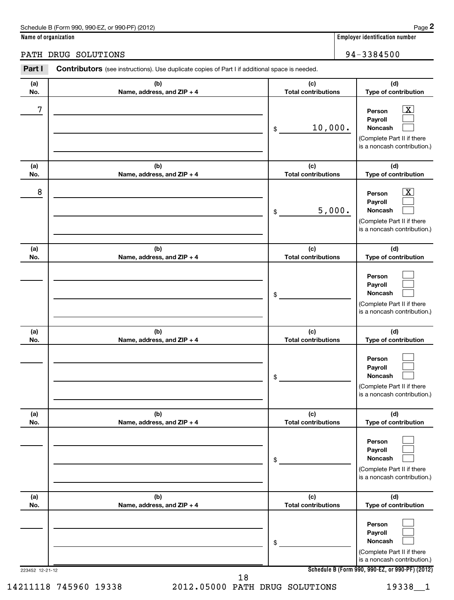| Schedule B (Form 990, 990-EZ, or 990-PF) (2012)<br>the contract of the contract of the contract of the contract of the contract of the contract of the contract of | Page |
|--------------------------------------------------------------------------------------------------------------------------------------------------------------------|------|
|--------------------------------------------------------------------------------------------------------------------------------------------------------------------|------|

**Name of organization Employer identification number**

PATH DRUG SOLUTIONS 30 1 20 20 3 3 3 4 5 6 20 3 3 4 5 4 4 5 3 3 4 5 6 3 4 5 4 6 3 3 8 4 5 6 3 4 5 4 7 3 3 8 4 5 6 4 7 3 3 8 4 5 6 7 3 3 8 4 5 6 7 3 3 8 4 5 6 7 3 3 8 4 5 6 7 3 3 8 4 5 7 3 3 8 4 5 7 3 8 4 5 7 3 3 8 4 5 7 3

| Part I          | <b>Contributors</b> (see instructions). Use duplicate copies of Part I if additional space is needed. |                                   |                                                                                                                                              |
|-----------------|-------------------------------------------------------------------------------------------------------|-----------------------------------|----------------------------------------------------------------------------------------------------------------------------------------------|
| (a)<br>No.      | (b)<br>Name, address, and ZIP + 4                                                                     | (c)<br><b>Total contributions</b> | (d)<br>Type of contribution                                                                                                                  |
| 7               |                                                                                                       | 10,000.<br>\$                     | $\lfloor x \rfloor$<br>Person<br>Payroll<br><b>Noncash</b><br>(Complete Part II if there<br>is a noncash contribution.)                      |
| (a)<br>No.      | (b)<br>Name, address, and ZIP + 4                                                                     | (c)<br><b>Total contributions</b> | (d)<br>Type of contribution                                                                                                                  |
| 8               |                                                                                                       | 5,000.<br>\$                      | $\lfloor x \rfloor$<br>Person<br>Payroll<br><b>Noncash</b><br>(Complete Part II if there<br>is a noncash contribution.)                      |
| (a)<br>No.      | (b)<br>Name, address, and ZIP + 4                                                                     | (c)<br><b>Total contributions</b> | (d)<br>Type of contribution                                                                                                                  |
|                 |                                                                                                       | \$                                | Person<br>Payroll<br>Noncash<br>(Complete Part II if there<br>is a noncash contribution.)                                                    |
| (a)<br>No.      | (b)<br>Name, address, and ZIP + 4                                                                     | (c)<br><b>Total contributions</b> | (d)<br>Type of contribution                                                                                                                  |
|                 |                                                                                                       | \$                                | Person<br>Payroll<br>Noncash<br>(Complete Part II if there<br>is a noncash contribution.)                                                    |
| (a)<br>No.      | (b)<br>Name, address, and ZIP + 4                                                                     | (c)<br><b>Total contributions</b> | (d)<br>Type of contribution                                                                                                                  |
|                 |                                                                                                       | \$                                | Person<br>Payroll<br>Noncash<br>(Complete Part II if there<br>is a noncash contribution.)                                                    |
| (a)<br>No.      | (b)<br>Name, address, and ZIP + 4                                                                     | (c)<br><b>Total contributions</b> | (d)<br>Type of contribution                                                                                                                  |
|                 |                                                                                                       | \$                                | Person<br>Payroll<br>Noncash<br>(Complete Part II if there<br>is a noncash contribution.)<br>Schedule B (Form 990, 990-EZ, or 990-PF) (2012) |
| 223452 12-21-12 | 18                                                                                                    |                                   |                                                                                                                                              |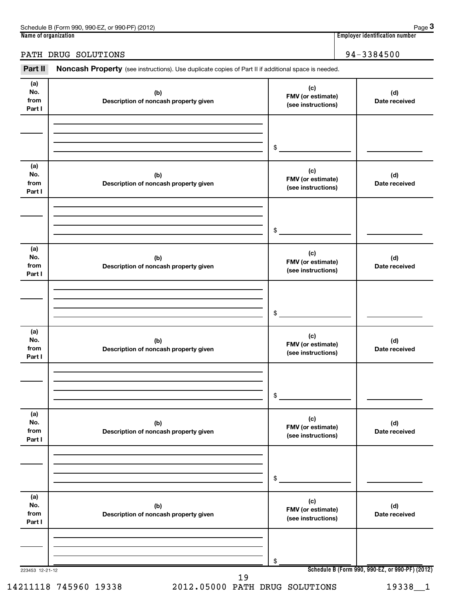| 990-EZ<br>Schedule B (Form 990,<br>(2012)<br>or 990-PF) | Page                               |
|---------------------------------------------------------|------------------------------------|
| Name of organization                                    | <br>Emplover identification number |

**3**

#### PATH DRUG SOLUTIONS 30 1 20 20 3 3 3 4 5 6 20 3 3 4 5 4 4 5 3 3 4 5 6 3 4 5 6 3 3 4 5 6 3 4 5 6 3 4 5 4 7 3 4 5 6 4 5 4 5 6 3 4 5 6 7 3 4 5 7 3 4 5 6 7 3 3 4 5 6 7 3 4 5 7 3 4 5 7 3 4 5 7 3 4 5 7 3 4 5 7 3 4 5 7 3 4 5 7 3

Part II Noncash Property (see instructions). Use duplicate copies of Part II if additional space is needed.

| (a)<br>No.<br>from<br>Part I | (b)<br>Description of noncash property given | (c)<br>FMV (or estimate)<br>(see instructions) | (d)<br>Date received                            |
|------------------------------|----------------------------------------------|------------------------------------------------|-------------------------------------------------|
|                              |                                              |                                                |                                                 |
|                              |                                              |                                                |                                                 |
|                              |                                              | \$                                             |                                                 |
|                              |                                              |                                                |                                                 |
| (a)<br>No.                   |                                              | (c)                                            |                                                 |
| from                         | (b)<br>Description of noncash property given | FMV (or estimate)                              | (d)<br>Date received                            |
| Part I                       |                                              | (see instructions)                             |                                                 |
|                              |                                              |                                                |                                                 |
|                              |                                              |                                                |                                                 |
|                              |                                              | \$                                             |                                                 |
| (a)                          |                                              |                                                |                                                 |
| No.                          | (b)                                          | (c)<br>FMV (or estimate)                       | (d)                                             |
| from<br>Part I               | Description of noncash property given        | (see instructions)                             | Date received                                   |
|                              |                                              |                                                |                                                 |
|                              |                                              |                                                |                                                 |
|                              |                                              | \$                                             |                                                 |
|                              |                                              |                                                |                                                 |
| (a)<br>No.                   | (b)                                          | (c)<br>FMV (or estimate)                       | (d)                                             |
| from<br>Part I               | Description of noncash property given        | (see instructions)                             | Date received                                   |
|                              |                                              |                                                |                                                 |
|                              |                                              |                                                |                                                 |
|                              |                                              | \$                                             |                                                 |
|                              |                                              |                                                |                                                 |
| (a)<br>No.                   |                                              | (c)                                            |                                                 |
| from                         | (b)<br>Description of noncash property given | FMV (or estimate)<br>(see instructions)        | (d)<br>Date received                            |
| Part I                       |                                              |                                                |                                                 |
|                              |                                              |                                                |                                                 |
|                              |                                              |                                                |                                                 |
|                              |                                              | \$                                             |                                                 |
| (a)                          |                                              | (c)                                            |                                                 |
| No.<br>from                  | (b)<br>Description of noncash property given | FMV (or estimate)                              | (d)<br>Date received                            |
| Part I                       |                                              | (see instructions)                             |                                                 |
|                              |                                              |                                                |                                                 |
|                              |                                              |                                                |                                                 |
|                              |                                              | \$                                             |                                                 |
| 223453 12-21-12              | 19                                           |                                                | Schedule B (Form 990, 990-EZ, or 990-PF) (2012) |

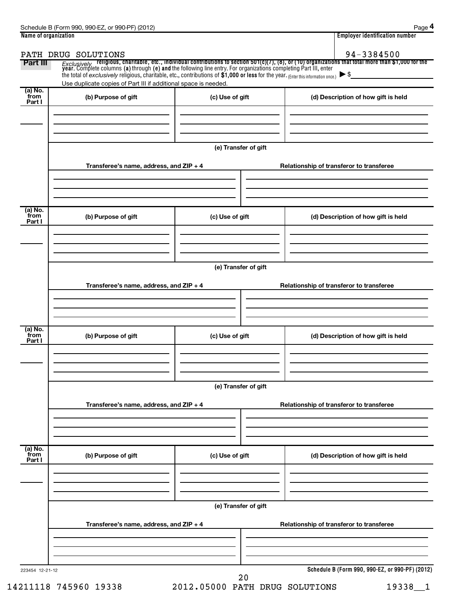| Name of organization      |                                                                                                                                     |                      | <b>Employer identification number</b>                                                                                                                                                                                                                              |  |  |
|---------------------------|-------------------------------------------------------------------------------------------------------------------------------------|----------------------|--------------------------------------------------------------------------------------------------------------------------------------------------------------------------------------------------------------------------------------------------------------------|--|--|
| Part III                  | PATH DRUG SOLUTIONS                                                                                                                 |                      | 94-3384500                                                                                                                                                                                                                                                         |  |  |
|                           | the total of exclusively religious, charitable, etc., contributions of \$1,000 or less for the year. (Enter this information once.) |                      | <i>Exclusively</i> religious, charitable, etc., individual contributions to section 501(c)(7), (8), or (10) organizations that total more than \$1,000 for the<br>year. Complete columns (a) through (e) and the following line entry.<br>$\blacktriangleright$ \$ |  |  |
| (a) No.                   | Use duplicate copies of Part III if additional space is needed.                                                                     |                      |                                                                                                                                                                                                                                                                    |  |  |
| from<br>Part I            | (b) Purpose of gift                                                                                                                 | (c) Use of gift      | (d) Description of how gift is held                                                                                                                                                                                                                                |  |  |
|                           |                                                                                                                                     | (e) Transfer of gift |                                                                                                                                                                                                                                                                    |  |  |
|                           | Transferee's name, address, and ZIP + 4                                                                                             |                      | Relationship of transferor to transferee                                                                                                                                                                                                                           |  |  |
| (a) No.<br>from<br>Part I | (b) Purpose of gift                                                                                                                 | (c) Use of gift      | (d) Description of how gift is held                                                                                                                                                                                                                                |  |  |
|                           |                                                                                                                                     | (e) Transfer of gift |                                                                                                                                                                                                                                                                    |  |  |
|                           | Transferee's name, address, and ZIP + 4                                                                                             |                      | Relationship of transferor to transferee                                                                                                                                                                                                                           |  |  |
| (a) No.<br>from<br>Part I | (b) Purpose of gift                                                                                                                 | (c) Use of gift      | (d) Description of how gift is held                                                                                                                                                                                                                                |  |  |
|                           |                                                                                                                                     | (e) Transfer of gift |                                                                                                                                                                                                                                                                    |  |  |
|                           | Transferee's name, address, and ZIP + 4                                                                                             |                      | Relationship of transferor to transferee                                                                                                                                                                                                                           |  |  |
| (a) No.<br>from<br>Part I | (b) Purpose of gift                                                                                                                 | (c) Use of gift      | (d) Description of how gift is held                                                                                                                                                                                                                                |  |  |
|                           | (e) Transfer of gift                                                                                                                |                      |                                                                                                                                                                                                                                                                    |  |  |
|                           | Transferee's name, address, and ZIP + 4                                                                                             |                      | Relationship of transferor to transferee                                                                                                                                                                                                                           |  |  |
| 223454 12-21-12           |                                                                                                                                     | 20                   | Schedule B (Form 990, 990-EZ, or 990-PF) (2012)                                                                                                                                                                                                                    |  |  |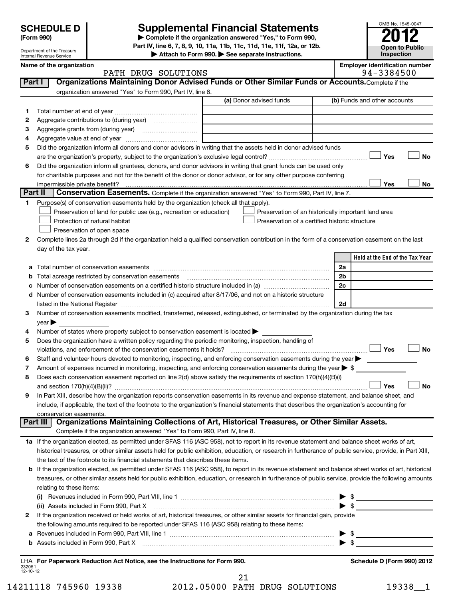Department of the Treasury Internal Revenue Service

# **Supplemental Financial Statements 2014**

**(Form 990) | Complete if the organization answered "Yes," to Form 990, Part IV, line 6, 7, 8, 9, 10, 11a, 11b, 11c, 11d, 11e, 11f, 12a, or 12b.**

**| Attach to Form 990. | See separate instructions.**

|                    | Name of the organization<br>PATH DRUG SOLUTIONS                                                                                                                                         | <b>Employer identification number</b><br>94-3384500 |
|--------------------|-----------------------------------------------------------------------------------------------------------------------------------------------------------------------------------------|-----------------------------------------------------|
| Part I             | Organizations Maintaining Donor Advised Funds or Other Similar Funds or Accounts. Complete if the                                                                                       |                                                     |
|                    | organization answered "Yes" to Form 990, Part IV, line 6.                                                                                                                               |                                                     |
|                    | (a) Donor advised funds                                                                                                                                                                 | (b) Funds and other accounts                        |
|                    |                                                                                                                                                                                         |                                                     |
| 1.                 |                                                                                                                                                                                         |                                                     |
| 2                  |                                                                                                                                                                                         |                                                     |
| З                  |                                                                                                                                                                                         |                                                     |
| 4                  |                                                                                                                                                                                         |                                                     |
| 5                  | Did the organization inform all donors and donor advisors in writing that the assets held in donor advised funds                                                                        |                                                     |
|                    |                                                                                                                                                                                         | Yes<br>No                                           |
| 6                  | Did the organization inform all grantees, donors, and donor advisors in writing that grant funds can be used only                                                                       |                                                     |
|                    | for charitable purposes and not for the benefit of the donor or donor advisor, or for any other purpose conferring                                                                      |                                                     |
| Part II            | Conservation Easements. Complete if the organization answered "Yes" to Form 990, Part IV, line 7.                                                                                       | Yes<br>No                                           |
|                    |                                                                                                                                                                                         |                                                     |
| 1                  | Purpose(s) of conservation easements held by the organization (check all that apply).                                                                                                   |                                                     |
|                    | Preservation of land for public use (e.g., recreation or education)<br>Preservation of an historically important land area                                                              |                                                     |
|                    | Protection of natural habitat<br>Preservation of a certified historic structure                                                                                                         |                                                     |
|                    | Preservation of open space                                                                                                                                                              |                                                     |
| 2                  | Complete lines 2a through 2d if the organization held a qualified conservation contribution in the form of a conservation easement on the last                                          |                                                     |
|                    | day of the tax year.                                                                                                                                                                    |                                                     |
|                    |                                                                                                                                                                                         | Held at the End of the Tax Year                     |
| а                  |                                                                                                                                                                                         | 2a                                                  |
| b                  |                                                                                                                                                                                         | 2b                                                  |
| с                  |                                                                                                                                                                                         | 2c                                                  |
| d                  | Number of conservation easements included in (c) acquired after 8/17/06, and not on a historic structure                                                                                |                                                     |
|                    |                                                                                                                                                                                         | 2d                                                  |
| 3                  | Number of conservation easements modified, transferred, released, extinguished, or terminated by the organization during the tax                                                        |                                                     |
|                    | $year \blacktriangleright$                                                                                                                                                              |                                                     |
| 4                  | Number of states where property subject to conservation easement is located ><br>Does the organization have a written policy regarding the periodic monitoring, inspection, handling of |                                                     |
| 5                  | violations, and enforcement of the conservation easements it holds?                                                                                                                     | Yes<br><b>No</b>                                    |
| 6                  | Staff and volunteer hours devoted to monitoring, inspecting, and enforcing conservation easements during the year                                                                       |                                                     |
| 7                  | Amount of expenses incurred in monitoring, inspecting, and enforcing conservation easements during the year $\triangleright$ \$                                                         |                                                     |
| 8                  | Does each conservation easement reported on line 2(d) above satisfy the requirements of section 170(h)(4)(B)(i)                                                                         |                                                     |
|                    |                                                                                                                                                                                         | <b>No</b><br>Yes                                    |
| 9                  | In Part XIII, describe how the organization reports conservation easements in its revenue and expense statement, and balance sheet, and                                                 |                                                     |
|                    | include, if applicable, the text of the footnote to the organization's financial statements that describes the organization's accounting for                                            |                                                     |
|                    | conservation easements.                                                                                                                                                                 |                                                     |
|                    | Organizations Maintaining Collections of Art, Historical Treasures, or Other Similar Assets.<br>Part III                                                                                |                                                     |
|                    | Complete if the organization answered "Yes" to Form 990, Part IV, line 8.                                                                                                               |                                                     |
|                    | 1a If the organization elected, as permitted under SFAS 116 (ASC 958), not to report in its revenue statement and balance sheet works of art,                                           |                                                     |
|                    | historical treasures, or other similar assets held for public exhibition, education, or research in furtherance of public service, provide, in Part XIII,                               |                                                     |
|                    | the text of the footnote to its financial statements that describes these items.                                                                                                        |                                                     |
| b                  | If the organization elected, as permitted under SFAS 116 (ASC 958), to report in its revenue statement and balance sheet works of art, historical                                       |                                                     |
|                    | treasures, or other similar assets held for public exhibition, education, or research in furtherance of public service, provide the following amounts                                   |                                                     |
|                    | relating to these items:                                                                                                                                                                |                                                     |
|                    |                                                                                                                                                                                         | $\triangleright$ \$                                 |
|                    | (ii) Assets included in Form 990, Part X [110] [12] Assets included in Form 990, Part X [12] Assets included in Form 990, Part X                                                        | $\blacktriangleright$ \$                            |
| 2                  | If the organization received or held works of art, historical treasures, or other similar assets for financial gain, provide                                                            |                                                     |
|                    | the following amounts required to be reported under SFAS 116 (ASC 958) relating to these items:                                                                                         |                                                     |
| а                  |                                                                                                                                                                                         | $\triangleright$ s                                  |
| b                  |                                                                                                                                                                                         |                                                     |
|                    |                                                                                                                                                                                         |                                                     |
|                    | LHA For Paperwork Reduction Act Notice, see the Instructions for Form 990.                                                                                                              | Schedule D (Form 990) 2012                          |
| 232051<br>12-10-12 |                                                                                                                                                                                         |                                                     |
|                    | 21                                                                                                                                                                                      |                                                     |

14211118 745960 19338 2012.05000 PATH DRUG SOLUTIONS 19338\_\_1

OMB No. 1545-0047

**Open to Public Inspection**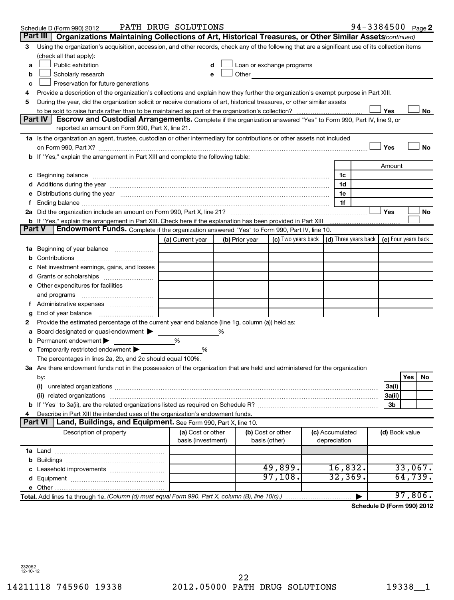|               | Schedule D (Form 990) 2012                                                                                                                                                                                                    | PATH DRUG SOLUTIONS                     |   |                |                                                                                                                                                                                                                                |  |                                                                             | 94-3384500 Page 2          |     |         |  |
|---------------|-------------------------------------------------------------------------------------------------------------------------------------------------------------------------------------------------------------------------------|-----------------------------------------|---|----------------|--------------------------------------------------------------------------------------------------------------------------------------------------------------------------------------------------------------------------------|--|-----------------------------------------------------------------------------|----------------------------|-----|---------|--|
|               | Organizations Maintaining Collections of Art, Historical Treasures, or Other Similar Assets (continued)<br>Part III                                                                                                           |                                         |   |                |                                                                                                                                                                                                                                |  |                                                                             |                            |     |         |  |
| 3             | Using the organization's acquisition, accession, and other records, check any of the following that are a significant use of its collection items                                                                             |                                         |   |                |                                                                                                                                                                                                                                |  |                                                                             |                            |     |         |  |
|               | (check all that apply):                                                                                                                                                                                                       |                                         |   |                |                                                                                                                                                                                                                                |  |                                                                             |                            |     |         |  |
| a             | Public exhibition                                                                                                                                                                                                             |                                         |   |                | Loan or exchange programs                                                                                                                                                                                                      |  |                                                                             |                            |     |         |  |
| b             | Scholarly research                                                                                                                                                                                                            | $\mathbf e$                             |   |                | Other and the control of the control of the control of the control of the control of the control of the control of the control of the control of the control of the control of the control of the control of the control of th |  |                                                                             |                            |     |         |  |
| c             | Preservation for future generations                                                                                                                                                                                           |                                         |   |                |                                                                                                                                                                                                                                |  |                                                                             |                            |     |         |  |
| 4             | Provide a description of the organization's collections and explain how they further the organization's exempt purpose in Part XIII.                                                                                          |                                         |   |                |                                                                                                                                                                                                                                |  |                                                                             |                            |     |         |  |
| 5             | During the year, did the organization solicit or receive donations of art, historical treasures, or other similar assets                                                                                                      |                                         |   |                |                                                                                                                                                                                                                                |  |                                                                             |                            |     |         |  |
|               |                                                                                                                                                                                                                               |                                         |   |                |                                                                                                                                                                                                                                |  |                                                                             | Yes                        |     | No      |  |
|               | Part IV<br>Escrow and Custodial Arrangements. Complete if the organization answered "Yes" to Form 990, Part IV, line 9, or                                                                                                    |                                         |   |                |                                                                                                                                                                                                                                |  |                                                                             |                            |     |         |  |
|               | reported an amount on Form 990, Part X, line 21.                                                                                                                                                                              |                                         |   |                |                                                                                                                                                                                                                                |  |                                                                             |                            |     |         |  |
|               | 1a Is the organization an agent, trustee, custodian or other intermediary for contributions or other assets not included                                                                                                      |                                         |   |                |                                                                                                                                                                                                                                |  |                                                                             |                            |     |         |  |
|               | on Form 990, Part X? [11] matter and matter and matter and matter and matter and matter and matter and matter                                                                                                                 |                                         |   |                |                                                                                                                                                                                                                                |  |                                                                             | Yes                        |     | No      |  |
|               | b If "Yes," explain the arrangement in Part XIII and complete the following table:                                                                                                                                            |                                         |   |                |                                                                                                                                                                                                                                |  |                                                                             |                            |     |         |  |
|               |                                                                                                                                                                                                                               |                                         |   |                |                                                                                                                                                                                                                                |  |                                                                             | Amount                     |     |         |  |
|               |                                                                                                                                                                                                                               |                                         |   |                |                                                                                                                                                                                                                                |  | 1c                                                                          |                            |     |         |  |
|               |                                                                                                                                                                                                                               |                                         |   |                |                                                                                                                                                                                                                                |  | 1d                                                                          |                            |     |         |  |
|               | e Distributions during the year manufactured and continuum control of the control of the control of the state of the control of the control of the control of the control of the control of the control of the control of the |                                         |   |                |                                                                                                                                                                                                                                |  | 1e                                                                          |                            |     |         |  |
| f.            |                                                                                                                                                                                                                               |                                         |   |                |                                                                                                                                                                                                                                |  | 1f                                                                          |                            |     |         |  |
|               |                                                                                                                                                                                                                               |                                         |   |                |                                                                                                                                                                                                                                |  |                                                                             | Yes                        |     | No      |  |
|               |                                                                                                                                                                                                                               |                                         |   |                |                                                                                                                                                                                                                                |  |                                                                             |                            |     |         |  |
| <b>Part V</b> | Endowment Funds. Complete if the organization answered "Yes" to Form 990, Part IV, line 10.                                                                                                                                   |                                         |   |                |                                                                                                                                                                                                                                |  |                                                                             |                            |     |         |  |
|               |                                                                                                                                                                                                                               | (a) Current year                        |   | (b) Prior year |                                                                                                                                                                                                                                |  | (c) Two years back $\vert$ (d) Three years back $\vert$ (e) Four years back |                            |     |         |  |
|               | <b>1a</b> Beginning of year balance                                                                                                                                                                                           |                                         |   |                |                                                                                                                                                                                                                                |  |                                                                             |                            |     |         |  |
| b             |                                                                                                                                                                                                                               |                                         |   |                |                                                                                                                                                                                                                                |  |                                                                             |                            |     |         |  |
| с             | Net investment earnings, gains, and losses                                                                                                                                                                                    |                                         |   |                |                                                                                                                                                                                                                                |  |                                                                             |                            |     |         |  |
|               |                                                                                                                                                                                                                               |                                         |   |                |                                                                                                                                                                                                                                |  |                                                                             |                            |     |         |  |
|               | e Other expenditures for facilities                                                                                                                                                                                           |                                         |   |                |                                                                                                                                                                                                                                |  |                                                                             |                            |     |         |  |
|               | and programs                                                                                                                                                                                                                  |                                         |   |                |                                                                                                                                                                                                                                |  |                                                                             |                            |     |         |  |
|               | f Administrative expenses <i></i>                                                                                                                                                                                             |                                         |   |                |                                                                                                                                                                                                                                |  |                                                                             |                            |     |         |  |
| g             | End of year balance <i>[[[[[[[[[[[[[[[[[[[[[[[[[[[[]]]]]</i>                                                                                                                                                                  |                                         |   |                |                                                                                                                                                                                                                                |  |                                                                             |                            |     |         |  |
| 2             | Provide the estimated percentage of the current year end balance (line 1g, column (a)) held as:                                                                                                                               |                                         |   |                |                                                                                                                                                                                                                                |  |                                                                             |                            |     |         |  |
|               | Board designated or quasi-endowment >                                                                                                                                                                                         |                                         | % |                |                                                                                                                                                                                                                                |  |                                                                             |                            |     |         |  |
| а             | Permanent endowment >                                                                                                                                                                                                         | %                                       |   |                |                                                                                                                                                                                                                                |  |                                                                             |                            |     |         |  |
| b             |                                                                                                                                                                                                                               |                                         |   |                |                                                                                                                                                                                                                                |  |                                                                             |                            |     |         |  |
|               | c Temporarily restricted endowment                                                                                                                                                                                            | %                                       |   |                |                                                                                                                                                                                                                                |  |                                                                             |                            |     |         |  |
|               | The percentages in lines 2a, 2b, and 2c should equal 100%.                                                                                                                                                                    |                                         |   |                |                                                                                                                                                                                                                                |  |                                                                             |                            |     |         |  |
|               | 3a Are there endowment funds not in the possession of the organization that are held and administered for the organization                                                                                                    |                                         |   |                |                                                                                                                                                                                                                                |  |                                                                             |                            |     |         |  |
|               | by:                                                                                                                                                                                                                           |                                         |   |                |                                                                                                                                                                                                                                |  |                                                                             |                            | Yes | No      |  |
|               | (i)                                                                                                                                                                                                                           |                                         |   |                |                                                                                                                                                                                                                                |  |                                                                             | 3a(i)                      |     |         |  |
|               |                                                                                                                                                                                                                               |                                         |   |                |                                                                                                                                                                                                                                |  |                                                                             | 3a(ii)                     |     |         |  |
|               |                                                                                                                                                                                                                               |                                         |   |                |                                                                                                                                                                                                                                |  |                                                                             | 3b                         |     |         |  |
| 4             | Describe in Part XIII the intended uses of the organization's endowment funds.                                                                                                                                                |                                         |   |                |                                                                                                                                                                                                                                |  |                                                                             |                            |     |         |  |
|               | Land, Buildings, and Equipment. See Form 990, Part X, line 10.<br><b>Part VI</b>                                                                                                                                              |                                         |   |                |                                                                                                                                                                                                                                |  |                                                                             |                            |     |         |  |
|               | Description of property                                                                                                                                                                                                       | (a) Cost or other<br>basis (investment) |   |                | (b) Cost or other<br>basis (other)                                                                                                                                                                                             |  | (c) Accumulated<br>depreciation                                             | (d) Book value             |     |         |  |
|               |                                                                                                                                                                                                                               |                                         |   |                |                                                                                                                                                                                                                                |  |                                                                             |                            |     |         |  |
|               |                                                                                                                                                                                                                               |                                         |   |                |                                                                                                                                                                                                                                |  |                                                                             |                            |     |         |  |
|               |                                                                                                                                                                                                                               |                                         |   |                | 49,899.                                                                                                                                                                                                                        |  | 16,832.                                                                     |                            |     | 33,067. |  |
|               |                                                                                                                                                                                                                               |                                         |   |                | 97,108.                                                                                                                                                                                                                        |  | 32, 369.                                                                    |                            |     | 64,739. |  |
|               |                                                                                                                                                                                                                               |                                         |   |                |                                                                                                                                                                                                                                |  |                                                                             |                            |     |         |  |
|               | Total. Add lines 1a through 1e. (Column (d) must equal Form 990, Part X, column (B), line 10(c).)                                                                                                                             |                                         |   |                |                                                                                                                                                                                                                                |  |                                                                             |                            |     | 97,806. |  |
|               |                                                                                                                                                                                                                               |                                         |   |                |                                                                                                                                                                                                                                |  |                                                                             | Schedule D (Form 990) 2012 |     |         |  |

**Schedule D (Form 990) 2012**

232052 12-10-12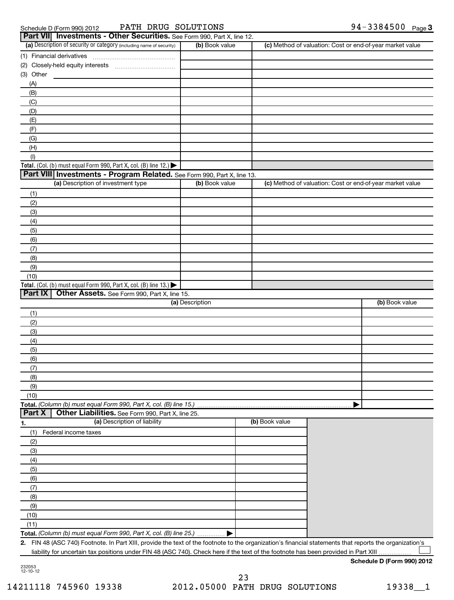| edule D (Form 990) 2012 | PATH |
|-------------------------|------|
|                         |      |

#### Schedule D (Form 990) 2012 PATH DRUG SOLUTIONS 94-3384500 Page

|                  | Part VII Investments - Other Securities. See Form 990, Part X, line 12.                                                                                 |                 |                |                                                           |                |
|------------------|---------------------------------------------------------------------------------------------------------------------------------------------------------|-----------------|----------------|-----------------------------------------------------------|----------------|
|                  | (a) Description of security or category (including name of security)                                                                                    | (b) Book value  |                | (c) Method of valuation: Cost or end-of-year market value |                |
|                  | (1) Financial derivatives                                                                                                                               |                 |                |                                                           |                |
|                  |                                                                                                                                                         |                 |                |                                                           |                |
| (3) Other        |                                                                                                                                                         |                 |                |                                                           |                |
| (A)              |                                                                                                                                                         |                 |                |                                                           |                |
| (B)              |                                                                                                                                                         |                 |                |                                                           |                |
| (C)              |                                                                                                                                                         |                 |                |                                                           |                |
| (D)              |                                                                                                                                                         |                 |                |                                                           |                |
| (E)              |                                                                                                                                                         |                 |                |                                                           |                |
| (F)              |                                                                                                                                                         |                 |                |                                                           |                |
| (G)              |                                                                                                                                                         |                 |                |                                                           |                |
| (H)              |                                                                                                                                                         |                 |                |                                                           |                |
| (1)              |                                                                                                                                                         |                 |                |                                                           |                |
|                  | Total. (Col. (b) must equal Form 990, Part X, col. (B) line 12.)                                                                                        |                 |                |                                                           |                |
|                  | Part VIII Investments - Program Related. See Form 990, Part X, line 13.<br>(a) Description of investment type                                           |                 |                | (c) Method of valuation: Cost or end-of-year market value |                |
|                  |                                                                                                                                                         | (b) Book value  |                |                                                           |                |
| (1)              |                                                                                                                                                         |                 |                |                                                           |                |
| (2)              |                                                                                                                                                         |                 |                |                                                           |                |
| (3)              |                                                                                                                                                         |                 |                |                                                           |                |
| (4)              |                                                                                                                                                         |                 |                |                                                           |                |
| (5)              |                                                                                                                                                         |                 |                |                                                           |                |
| (6)              |                                                                                                                                                         |                 |                |                                                           |                |
| (7)              |                                                                                                                                                         |                 |                |                                                           |                |
| (8)              |                                                                                                                                                         |                 |                |                                                           |                |
| (9)              |                                                                                                                                                         |                 |                |                                                           |                |
| (10)             | Total. (Col. (b) must equal Form 990, Part X, col. (B) line 13.)                                                                                        |                 |                |                                                           |                |
| Part IX          | Other Assets. See Form 990, Part X, line 15.                                                                                                            |                 |                |                                                           |                |
|                  |                                                                                                                                                         | (a) Description |                |                                                           | (b) Book value |
| (1)              |                                                                                                                                                         |                 |                |                                                           |                |
| (2)              |                                                                                                                                                         |                 |                |                                                           |                |
| (3)              |                                                                                                                                                         |                 |                |                                                           |                |
| (4)              |                                                                                                                                                         |                 |                |                                                           |                |
| (5)              |                                                                                                                                                         |                 |                |                                                           |                |
| (6)              |                                                                                                                                                         |                 |                |                                                           |                |
| (7)              |                                                                                                                                                         |                 |                |                                                           |                |
| (8)              |                                                                                                                                                         |                 |                |                                                           |                |
| (9)              |                                                                                                                                                         |                 |                |                                                           |                |
| (10)             |                                                                                                                                                         |                 |                |                                                           |                |
|                  | Total. (Column (b) must equal Form 990, Part X, col. (B) line 15.)                                                                                      |                 |                |                                                           |                |
| Part X           | Other Liabilities. See Form 990, Part X, line 25.                                                                                                       |                 |                |                                                           |                |
| $\overline{1}$ . | (a) Description of liability                                                                                                                            |                 | (b) Book value |                                                           |                |
| (1)              | Federal income taxes                                                                                                                                    |                 |                |                                                           |                |
| (2)              |                                                                                                                                                         |                 |                |                                                           |                |
| (3)              |                                                                                                                                                         |                 |                |                                                           |                |
| (4)              |                                                                                                                                                         |                 |                |                                                           |                |
| (5)              |                                                                                                                                                         |                 |                |                                                           |                |
| (6)              |                                                                                                                                                         |                 |                |                                                           |                |
| (7)              |                                                                                                                                                         |                 |                |                                                           |                |
| (8)              |                                                                                                                                                         |                 |                |                                                           |                |
| (9)              |                                                                                                                                                         |                 |                |                                                           |                |
| (10)             |                                                                                                                                                         |                 |                |                                                           |                |
| (11)             |                                                                                                                                                         |                 |                |                                                           |                |
|                  | Total. (Column (b) must equal Form 990, Part X, col. (B) line 25.)                                                                                      |                 |                |                                                           |                |
|                  | 2. FIN 48 (ASC 740) Footnote. In Part XIII, provide the text of the footnote to the organization's financial statements that reports the organization's |                 |                |                                                           |                |

liability for uncertain tax positions under FIN 48 (ASC 740). Check here if the text of the footnote has been provided in Part XIII  $\sim$ 

#### **Schedule D (Form 990) 2012**

232053 12-10-12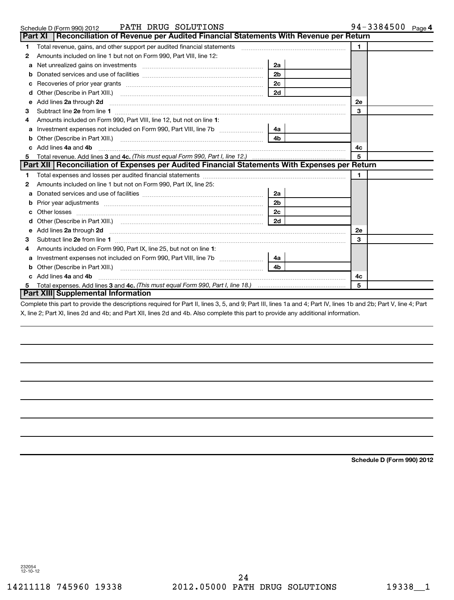|   | PATH DRUG SOLUTIONS<br>Schedule D (Form 990) 2012                                                                                                                                                                                  |                                                                                                                                                                                                                                                                                                                                                               | 94-3384500 Page 4 |
|---|------------------------------------------------------------------------------------------------------------------------------------------------------------------------------------------------------------------------------------|---------------------------------------------------------------------------------------------------------------------------------------------------------------------------------------------------------------------------------------------------------------------------------------------------------------------------------------------------------------|-------------------|
|   | Part XI   Reconciliation of Revenue per Audited Financial Statements With Revenue per Return                                                                                                                                       |                                                                                                                                                                                                                                                                                                                                                               |                   |
| 1 | Total revenue, gains, and other support per audited financial statements                                                                                                                                                           | $\mathcal{L} = \{1, 2, \ldots, 2, \ldots, 2, \ldots, 2, \ldots, 2, \ldots, 2, \ldots, 2, \ldots, 2, \ldots, 2, \ldots, 2, \ldots, 2, \ldots, 2, \ldots, 2, \ldots, 2, \ldots, 2, \ldots, 2, \ldots, 2, \ldots, 2, \ldots, 2, \ldots, 2, \ldots, 2, \ldots, 2, \ldots, 2, \ldots, 2, \ldots, 2, \ldots, 2, \ldots, 2, \ldots, 2, \ldots, 2, \ldots, 2, \ldots$ | 1.                |
| 2 | Amounts included on line 1 but not on Form 990, Part VIII, line 12:                                                                                                                                                                |                                                                                                                                                                                                                                                                                                                                                               |                   |
| a |                                                                                                                                                                                                                                    | 2a                                                                                                                                                                                                                                                                                                                                                            |                   |
| b |                                                                                                                                                                                                                                    | 2 <sub>b</sub>                                                                                                                                                                                                                                                                                                                                                |                   |
| с |                                                                                                                                                                                                                                    | 2c                                                                                                                                                                                                                                                                                                                                                            |                   |
| d |                                                                                                                                                                                                                                    | 2d                                                                                                                                                                                                                                                                                                                                                            |                   |
| е | Add lines 2a through 2d                                                                                                                                                                                                            |                                                                                                                                                                                                                                                                                                                                                               | <b>2e</b>         |
| 3 |                                                                                                                                                                                                                                    |                                                                                                                                                                                                                                                                                                                                                               | 3                 |
| 4 | Amounts included on Form 990, Part VIII, line 12, but not on line 1:                                                                                                                                                               |                                                                                                                                                                                                                                                                                                                                                               |                   |
| a | Investment expenses not included on Form 990, Part VIII, line 7b [11, 11, 12, 13, 13]                                                                                                                                              | 4a                                                                                                                                                                                                                                                                                                                                                            |                   |
|   |                                                                                                                                                                                                                                    | 4 <sub>h</sub>                                                                                                                                                                                                                                                                                                                                                |                   |
|   | Add lines 4a and 4b                                                                                                                                                                                                                |                                                                                                                                                                                                                                                                                                                                                               | 4c                |
| 5 |                                                                                                                                                                                                                                    |                                                                                                                                                                                                                                                                                                                                                               | 5                 |
|   | Part XII   Reconciliation of Expenses per Audited Financial Statements With Expenses per Return                                                                                                                                    |                                                                                                                                                                                                                                                                                                                                                               |                   |
| 1 |                                                                                                                                                                                                                                    |                                                                                                                                                                                                                                                                                                                                                               | $\blacksquare$    |
| 2 | Amounts included on line 1 but not on Form 990, Part IX, line 25:                                                                                                                                                                  |                                                                                                                                                                                                                                                                                                                                                               |                   |
| a |                                                                                                                                                                                                                                    | 2a                                                                                                                                                                                                                                                                                                                                                            |                   |
| b |                                                                                                                                                                                                                                    | 2 <sub>b</sub>                                                                                                                                                                                                                                                                                                                                                |                   |
| с |                                                                                                                                                                                                                                    | 2 <sub>c</sub>                                                                                                                                                                                                                                                                                                                                                |                   |
| d |                                                                                                                                                                                                                                    | 2d                                                                                                                                                                                                                                                                                                                                                            |                   |
| е | Add lines 2a through 2d <b>manufactures</b> in the contract of the contract of the contract of the contract of the contract of the contract of the contract of the contract of the contract of the contract of the contract of the |                                                                                                                                                                                                                                                                                                                                                               | 2e                |
| 3 |                                                                                                                                                                                                                                    |                                                                                                                                                                                                                                                                                                                                                               | 3                 |
| 4 | Amounts included on Form 990, Part IX, line 25, but not on line 1:                                                                                                                                                                 |                                                                                                                                                                                                                                                                                                                                                               |                   |
| a |                                                                                                                                                                                                                                    | 4a                                                                                                                                                                                                                                                                                                                                                            |                   |
|   |                                                                                                                                                                                                                                    | 4 <sub>b</sub>                                                                                                                                                                                                                                                                                                                                                |                   |
|   | c Add lines 4a and 4b                                                                                                                                                                                                              |                                                                                                                                                                                                                                                                                                                                                               | 4c                |
| 5 |                                                                                                                                                                                                                                    |                                                                                                                                                                                                                                                                                                                                                               | 5                 |
|   | Part XIII Supplemental Information                                                                                                                                                                                                 |                                                                                                                                                                                                                                                                                                                                                               |                   |
|   | Complete this next to provide the descriptions required for Dart II, lines Q. E. and Q: Dart III, lines 1e and 4: Dart IV, lines 1h and Ob: Dart V, line, 4: Dart                                                                  |                                                                                                                                                                                                                                                                                                                                                               |                   |

Complete this part to provide the descriptions required for Part II, lines 3, 5, and 9; Part III, lines 1a and 4; Part IV, lines 1b and 2b; Part V, line 4; Part X, line 2; Part XI, lines 2d and 4b; and Part XII, lines 2d and 4b. Also complete this part to provide any additional information.

**Schedule D (Form 990) 2012**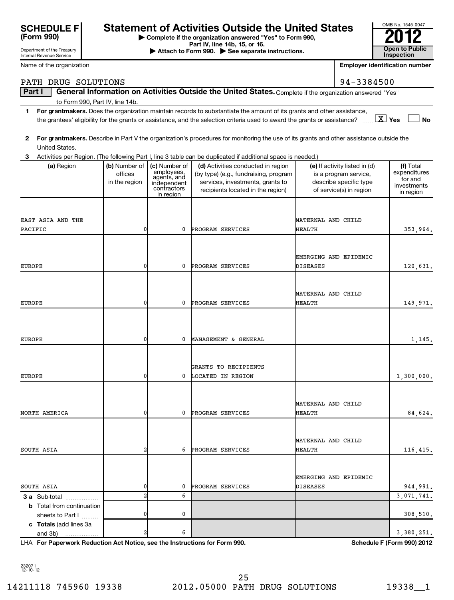| <b>SCHEDULE FI</b><br>(Form 990) |  |
|----------------------------------|--|
| Department of the Treasury       |  |

# Statement of Activities Outside the United States<br> **Statement of Activities Outside the United States**<br>
Part IV, line 14b, 15, or 16.<br> **Part IV, line 14b, 15, or 16.**<br> **Part IV, line 14b, 15, or 16.**

**| Complete if the organization answered "Yes" to Form 990,**

**Part IV, line 14b, 15, or 16. and Separate instructions.** The Attach to Form 990. All See separate instructions. **The Conduction of the See Separate instructions.** The See Separate instructions. The See Separate instruc

Internal Revenue Service

| Name of the organization                          |                                           |                                                                                       |                                                                                                                                                      |                       | <b>Employer identification number</b>                                                                       |                                                                  |
|---------------------------------------------------|-------------------------------------------|---------------------------------------------------------------------------------------|------------------------------------------------------------------------------------------------------------------------------------------------------|-----------------------|-------------------------------------------------------------------------------------------------------------|------------------------------------------------------------------|
| PATH DRUG SOLUTIONS                               |                                           |                                                                                       |                                                                                                                                                      |                       | 94-3384500                                                                                                  |                                                                  |
| Part I                                            |                                           |                                                                                       | General Information on Activities Outside the United States. Complete if the organization answered "Yes"                                             |                       |                                                                                                             |                                                                  |
| to Form 990, Part IV, line 14b.                   |                                           |                                                                                       |                                                                                                                                                      |                       |                                                                                                             |                                                                  |
| 1                                                 |                                           |                                                                                       | For grantmakers. Does the organization maintain records to substantiate the amount of its grants and other assistance,                               |                       |                                                                                                             |                                                                  |
|                                                   |                                           |                                                                                       | the grantees' eligibility for the grants or assistance, and the selection criteria used to award the grants or assistance?                           |                       | $X \times$                                                                                                  | <b>No</b>                                                        |
| 2<br>United States.                               |                                           |                                                                                       | For grantmakers. Describe in Part V the organization's procedures for monitoring the use of its grants and other assistance outside the              |                       |                                                                                                             |                                                                  |
| 3                                                 |                                           |                                                                                       | Activities per Region. (The following Part I, line 3 table can be duplicated if additional space is needed.)                                         |                       |                                                                                                             |                                                                  |
| (a) Region                                        | (b) Number of<br>offices<br>in the region | (c) Number of<br>employees,<br>agents, and<br>independent<br>contractors<br>in region | (d) Activities conducted in region<br>(by type) (e.g., fundraising, program<br>services, investments, grants to<br>recipients located in the region) |                       | (e) If activity listed in (d)<br>is a program service,<br>describe specific type<br>of service(s) in region | (f) Total<br>expenditures<br>for and<br>investments<br>in region |
|                                                   |                                           |                                                                                       |                                                                                                                                                      |                       |                                                                                                             |                                                                  |
| EAST ASIA AND THE                                 |                                           |                                                                                       |                                                                                                                                                      | MATERNAL AND CHILD    |                                                                                                             |                                                                  |
| PACIFIC                                           | 0                                         | 0                                                                                     | PROGRAM SERVICES                                                                                                                                     | HEALTH                |                                                                                                             | 353,964.                                                         |
|                                                   |                                           |                                                                                       |                                                                                                                                                      |                       |                                                                                                             |                                                                  |
|                                                   |                                           |                                                                                       |                                                                                                                                                      |                       |                                                                                                             |                                                                  |
|                                                   |                                           |                                                                                       |                                                                                                                                                      | EMERGING AND EPIDEMIC |                                                                                                             |                                                                  |
| <b>EUROPE</b>                                     | 0                                         | 0                                                                                     | PROGRAM SERVICES                                                                                                                                     | DISEASES              |                                                                                                             | 120,631.                                                         |
|                                                   |                                           |                                                                                       |                                                                                                                                                      |                       |                                                                                                             |                                                                  |
|                                                   |                                           |                                                                                       |                                                                                                                                                      | MATERNAL AND CHILD    |                                                                                                             |                                                                  |
| <b>EUROPE</b>                                     | 0                                         | 0                                                                                     | PROGRAM SERVICES                                                                                                                                     | HEALTH                |                                                                                                             | 149,971.                                                         |
|                                                   |                                           |                                                                                       |                                                                                                                                                      |                       |                                                                                                             |                                                                  |
|                                                   |                                           |                                                                                       |                                                                                                                                                      |                       |                                                                                                             |                                                                  |
|                                                   |                                           |                                                                                       |                                                                                                                                                      |                       |                                                                                                             |                                                                  |
| <b>EUROPE</b>                                     | 0                                         | 0                                                                                     | MANAGEMENT & GENERAL                                                                                                                                 |                       |                                                                                                             | 1,145.                                                           |
|                                                   |                                           |                                                                                       |                                                                                                                                                      |                       |                                                                                                             |                                                                  |
|                                                   |                                           |                                                                                       | GRANTS TO RECIPIENTS                                                                                                                                 |                       |                                                                                                             |                                                                  |
| <b>EUROPE</b>                                     | 0                                         | 0                                                                                     | LOCATED IN REGION                                                                                                                                    |                       |                                                                                                             | 1,300,000.                                                       |
|                                                   |                                           |                                                                                       |                                                                                                                                                      |                       |                                                                                                             |                                                                  |
|                                                   |                                           |                                                                                       |                                                                                                                                                      |                       |                                                                                                             |                                                                  |
|                                                   |                                           |                                                                                       |                                                                                                                                                      | MATERNAL AND CHILD    |                                                                                                             |                                                                  |
| NORTH AMERICA                                     | 0                                         |                                                                                       | 0 PROGRAM SERVICES                                                                                                                                   | HEALTH                |                                                                                                             | 84,624.                                                          |
|                                                   |                                           |                                                                                       |                                                                                                                                                      |                       |                                                                                                             |                                                                  |
|                                                   |                                           |                                                                                       |                                                                                                                                                      | MATERNAL AND CHILD    |                                                                                                             |                                                                  |
| SOUTH ASIA                                        | 2                                         |                                                                                       | 6 PROGRAM SERVICES                                                                                                                                   | HEALTH                |                                                                                                             | 116, 415.                                                        |
|                                                   |                                           |                                                                                       |                                                                                                                                                      |                       |                                                                                                             |                                                                  |
|                                                   |                                           |                                                                                       |                                                                                                                                                      |                       |                                                                                                             |                                                                  |
|                                                   |                                           |                                                                                       |                                                                                                                                                      | EMERGING AND EPIDEMIC |                                                                                                             |                                                                  |
| SOUTH ASIA                                        | 0<br>$\overline{a}$                       | 0<br>6                                                                                | PROGRAM SERVICES                                                                                                                                     | DISEASES              |                                                                                                             | 944,991.<br>3,071,741.                                           |
| 3 a Sub-total<br><b>b</b> Total from continuation |                                           |                                                                                       |                                                                                                                                                      |                       |                                                                                                             |                                                                  |
| sheets to Part I                                  | 0                                         | 0                                                                                     |                                                                                                                                                      |                       |                                                                                                             | 308,510.                                                         |
| c Totals (add lines 3a                            |                                           |                                                                                       |                                                                                                                                                      |                       |                                                                                                             |                                                                  |
| and 3b)                                           | $\overline{2}$                            | 6                                                                                     |                                                                                                                                                      |                       |                                                                                                             | 3,380,251.                                                       |

**For Paperwork Reduction Act Notice, see the Instructions for Form 990. Schedule F (Form 990) 2012** LHA

232071 12-10-12

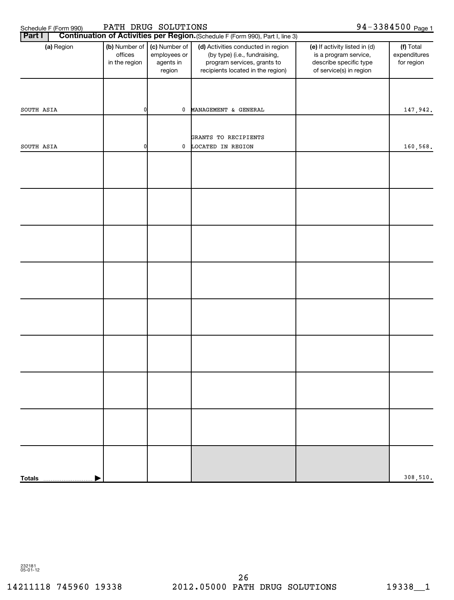Schedule F (Form 990) PATH DRUG SOLUTIONS 94-3384500 page 1

| Part I        | Continuation of Activities per Region. (Schedule F (Form 990), Part I, line 3) |                                                      |                                                                                                                                         |                                                                                                             |                                         |  |  |  |
|---------------|--------------------------------------------------------------------------------|------------------------------------------------------|-----------------------------------------------------------------------------------------------------------------------------------------|-------------------------------------------------------------------------------------------------------------|-----------------------------------------|--|--|--|
| (a) Region    | (b) Number of<br>offices<br>in the region                                      | (c) Number of<br>employees or<br>agents in<br>region | (d) Activities conducted in region<br>(by type) (i.e., fundraising,<br>program services, grants to<br>recipients located in the region) | (e) If activity listed in (d)<br>is a program service,<br>describe specific type<br>of service(s) in region | (f) Total<br>expenditures<br>for region |  |  |  |
|               |                                                                                |                                                      |                                                                                                                                         |                                                                                                             |                                         |  |  |  |
| SOUTH ASIA    | $\overline{0}$                                                                 | $\mathbf 0$                                          | MANAGEMENT & GENERAL                                                                                                                    |                                                                                                             | 147,942.                                |  |  |  |
|               |                                                                                |                                                      | GRANTS TO RECIPIENTS                                                                                                                    |                                                                                                             |                                         |  |  |  |
| SOUTH ASIA    | $\overline{0}$                                                                 | $\mathbf 0$                                          | LOCATED IN REGION                                                                                                                       |                                                                                                             | 160,568.                                |  |  |  |
|               |                                                                                |                                                      |                                                                                                                                         |                                                                                                             |                                         |  |  |  |
|               |                                                                                |                                                      |                                                                                                                                         |                                                                                                             |                                         |  |  |  |
|               |                                                                                |                                                      |                                                                                                                                         |                                                                                                             |                                         |  |  |  |
|               |                                                                                |                                                      |                                                                                                                                         |                                                                                                             |                                         |  |  |  |
|               |                                                                                |                                                      |                                                                                                                                         |                                                                                                             |                                         |  |  |  |
|               |                                                                                |                                                      |                                                                                                                                         |                                                                                                             |                                         |  |  |  |
|               |                                                                                |                                                      |                                                                                                                                         |                                                                                                             |                                         |  |  |  |
|               |                                                                                |                                                      |                                                                                                                                         |                                                                                                             |                                         |  |  |  |
|               |                                                                                |                                                      |                                                                                                                                         |                                                                                                             |                                         |  |  |  |
|               |                                                                                |                                                      |                                                                                                                                         |                                                                                                             |                                         |  |  |  |
|               |                                                                                |                                                      |                                                                                                                                         |                                                                                                             |                                         |  |  |  |
| <b>Totals</b> |                                                                                |                                                      |                                                                                                                                         |                                                                                                             | 308,510.                                |  |  |  |

232181 05-01-12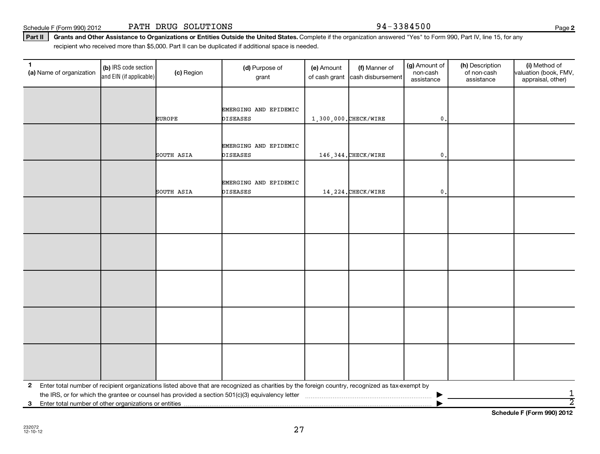|   |                                                       |  |  | 2 Enter total number of recipient organizations listed above that are recognized as charities by the foreign country, recognized as tax-exempt by |  |  |  |  |
|---|-------------------------------------------------------|--|--|---------------------------------------------------------------------------------------------------------------------------------------------------|--|--|--|--|
|   |                                                       |  |  | the IRS, or for which the grantee or counsel has provided a section 501(c)(3) equivalency letter                                                  |  |  |  |  |
| 3 | Enter total number of other organizations or entities |  |  |                                                                                                                                                   |  |  |  |  |

27

**(a)** Name of organization (b) IRS code section (c) Region (c) Region (d) Purpose of (e) Amount (f) Manner of (g) Amount of (h) Description (i) (a) Name of organization (f) IRS code section (c) Region (d) Purpose of (d) Am (b) IRS code section and EIN (if applicable) **1** (a) Name of organization  $\begin{bmatrix} \textbf{(b)} \text{ IRS code section} \end{bmatrix}$  (c) Region (d) Purpose of grant

Part II | Grants and Other Assistance to Organizations or Entities Outside the United States. Complete if the organization answered "Yes" to Form 990, Part IV, line 15, for any Schedule F (Form 990) 2012 PATH DRUG SOLUTIONS Page 3384500 recipient who received more than \$5,000. Part II can be duplicated if additional space is needed.

EMERGING AND EPIDEMIC

EMERGING AND EPIDEMIC

EMERGING AND EPIDEMIC

232072 12-10-12

(g) Amount of non-cash assistance

(h) Description of non-cash assistance

(f) Manner of cash disbursement

(i) Method of valuation (book, FMV, appraisal, other)

(e) Amount of cash grant

EUROPE DISEASES 1,300,000.CHECK/WIRE 0.

SOUTH ASIA DISEASES 146,344.CHECK/WIRE 0.

SOUTH ASIA DISEASES  $\vert$  14,224.CHECK/WIRE  $\vert$  0.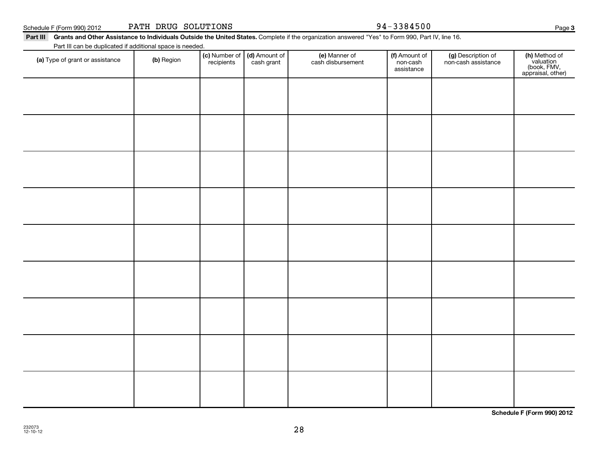**Schedule F (Form 990) 2012**

|  | PATH DRUG SOLUTIONS |
|--|---------------------|
|  |                     |

#### Part III Grants and Other Assistance to Individuals Outside the United States. Complete if the organization answered "Yes" to Form 990, Part IV, line 16.

Part III can be duplicated if additional space is needed.

| <u>If are in barribo adplicated in additional opace is necaced.</u><br>(a) Type of grant or assistance | (b) Region | (c) Number of<br>recipients | (d) Amount of<br>cash grant | (e) Manner of<br>cash disbursement | (f) Amount of<br>non-cash<br>assistance | (g) Description of<br>non-cash assistance | (h) Method of<br>valuation<br>(book, FMV,<br>appraisal, other) |
|--------------------------------------------------------------------------------------------------------|------------|-----------------------------|-----------------------------|------------------------------------|-----------------------------------------|-------------------------------------------|----------------------------------------------------------------|
|                                                                                                        |            |                             |                             |                                    |                                         |                                           |                                                                |
|                                                                                                        |            |                             |                             |                                    |                                         |                                           |                                                                |
|                                                                                                        |            |                             |                             |                                    |                                         |                                           |                                                                |
|                                                                                                        |            |                             |                             |                                    |                                         |                                           |                                                                |
|                                                                                                        |            |                             |                             |                                    |                                         |                                           |                                                                |
|                                                                                                        |            |                             |                             |                                    |                                         |                                           |                                                                |
|                                                                                                        |            |                             |                             |                                    |                                         |                                           |                                                                |
|                                                                                                        |            |                             |                             |                                    |                                         |                                           |                                                                |
|                                                                                                        |            |                             |                             |                                    |                                         |                                           |                                                                |
|                                                                                                        |            |                             |                             |                                    |                                         |                                           |                                                                |

28

### 94-3384500

Schedule F (Form 990) 2012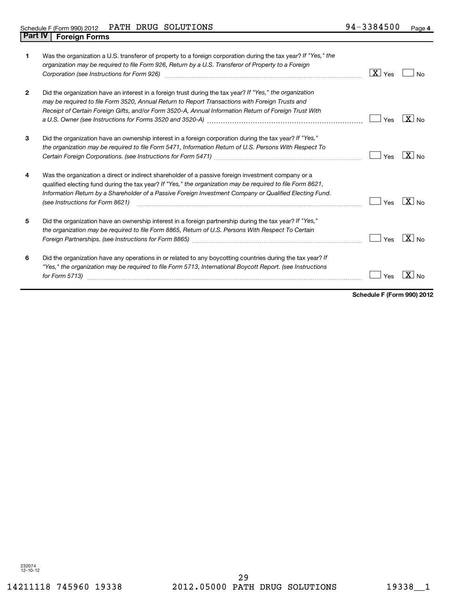| 1              | Was the organization a U.S. transferor of property to a foreign corporation during the tax year? If "Yes," the<br>organization may be required to file Form 926, Return by a U.S. Transferor of Property to a Foreign<br>Corporation (see Instructions for Form 926) [11] Corporation (see Instructions for Form 926)                                           | $\boxed{\mathbf{X}}$ Yes | No                |
|----------------|-----------------------------------------------------------------------------------------------------------------------------------------------------------------------------------------------------------------------------------------------------------------------------------------------------------------------------------------------------------------|--------------------------|-------------------|
| $\overline{2}$ | Did the organization have an interest in a foreign trust during the tax year? If "Yes," the organization<br>may be required to file Form 3520, Annual Return to Report Transactions with Foreign Trusts and<br>Receipt of Certain Foreign Gifts, and/or Form 3520-A, Annual Information Return of Foreign Trust With                                            | Yes                      | $X _{\text{No}}$  |
| 3              | Did the organization have an ownership interest in a foreign corporation during the tax year? If "Yes,"<br>the organization may be required to file Form 5471, Information Return of U.S. Persons With Respect To                                                                                                                                               | Yes                      | $X _{No}$         |
| 4              | Was the organization a direct or indirect shareholder of a passive foreign investment company or a<br>qualified electing fund during the tax year? If "Yes," the organization may be required to file Form 8621,<br>Information Return by a Shareholder of a Passive Foreign Investment Company or Qualified Electing Fund.<br>(see Instructions for Form 8621) | Yes                      | $\sqrt{X}$ No     |
| 5              | Did the organization have an ownership interest in a foreign partnership during the tax year? If "Yes,"<br>the organization may be required to file Form 8865, Return of U.S. Persons With Respect To Certain                                                                                                                                                   | Yes                      | $\overline{X}$ No |
| 6              | Did the organization have any operations in or related to any boycotting countries during the tax year? If<br>"Yes," the organization may be required to file Form 5713, International Boycott Report. (see Instructions<br>for Form 5713)                                                                                                                      | Yes                      | -x l              |

**Schedule F (Form 990) 2012**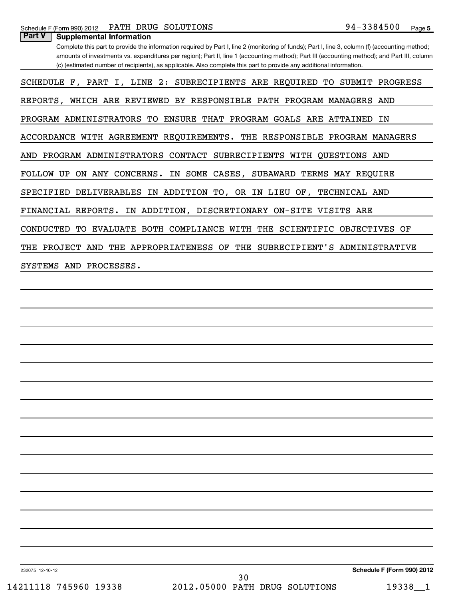| Part V<br><b>Supplemental Information</b>                                                                                                      |
|------------------------------------------------------------------------------------------------------------------------------------------------|
| Complete this part to provide the information required by Part I, line 2 (monitoring of funds); Part I, line 3, column (f) (accounting method; |
| amounts of investments vs. expenditures per region); Part II, line 1 (accounting method); Part III (accounting method); and Part III, column   |
| (c) (estimated number of recipients), as applicable. Also complete this part to provide any additional information.                            |
|                                                                                                                                                |
| SCHEDULE F, PART I, LINE 2: SUBRECIPIENTS ARE REQUIRED TO SUBMIT PROGRESS                                                                      |
|                                                                                                                                                |
| REPORTS, WHICH ARE REVIEWED BY RESPONSIBLE PATH PROGRAM MANAGERS AND                                                                           |
|                                                                                                                                                |
| PROGRAM ADMINISTRATORS TO ENSURE THAT PROGRAM GOALS ARE ATTAINED<br>ΙN                                                                         |
|                                                                                                                                                |
| ACCORDANCE WITH AGREEMENT REQUIREMENTS. THE RESPONSIBLE PROGRAM MANAGERS                                                                       |
|                                                                                                                                                |
| AND PROGRAM ADMINISTRATORS CONTACT SUBRECIPIENTS WITH QUESTIONS AND                                                                            |
|                                                                                                                                                |
| FOLLOW UP ON ANY CONCERNS. IN SOME CASES, SUBAWARD TERMS MAY REQUIRE                                                                           |
|                                                                                                                                                |
| SPECIFIED DELIVERABLES IN ADDITION TO, OR IN LIEU OF, TECHNICAL AND                                                                            |
|                                                                                                                                                |
| FINANCIAL REPORTS. IN ADDITION, DISCRETIONARY ON-SITE VISITS ARE                                                                               |
|                                                                                                                                                |
| CONDUCTED<br>TO EVALUATE BOTH COMPLIANCE WITH THE SCIENTIFIC OBJECTIVES OF                                                                     |
|                                                                                                                                                |
| THE PROJECT AND THE APPROPRIATENESS OF THE SUBRECIPIENT'S ADMINISTRATIVE                                                                       |
|                                                                                                                                                |
| SYSTEMS AND PROCESSES.                                                                                                                         |
|                                                                                                                                                |
|                                                                                                                                                |
|                                                                                                                                                |
|                                                                                                                                                |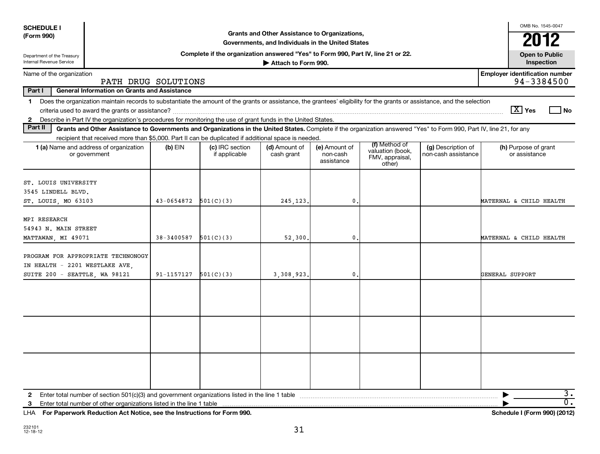| <b>SCHEDULE I</b>                                                 |                                                                                                                                                                          |            |                                                                                  |                                                                                                    |                                         |                                                                |                                           |                 | OMB No. 1545-0047                     |                        |
|-------------------------------------------------------------------|--------------------------------------------------------------------------------------------------------------------------------------------------------------------------|------------|----------------------------------------------------------------------------------|----------------------------------------------------------------------------------------------------|-----------------------------------------|----------------------------------------------------------------|-------------------------------------------|-----------------|---------------------------------------|------------------------|
| (Form 990)                                                        |                                                                                                                                                                          |            |                                                                                  | Grants and Other Assistance to Organizations,<br>Governments, and Individuals in the United States |                                         |                                                                |                                           |                 | 2012                                  |                        |
| Department of the Treasury<br>Internal Revenue Service            |                                                                                                                                                                          |            | Complete if the organization answered "Yes" to Form 990, Part IV, line 21 or 22. | Attach to Form 990.                                                                                |                                         |                                                                |                                           |                 | <b>Open to Public</b><br>Inspection   |                        |
| Name of the organization                                          |                                                                                                                                                                          |            |                                                                                  |                                                                                                    |                                         |                                                                |                                           |                 | <b>Employer identification number</b> |                        |
| 94-3384500<br>PATH DRUG SOLUTIONS                                 |                                                                                                                                                                          |            |                                                                                  |                                                                                                    |                                         |                                                                |                                           |                 |                                       |                        |
|                                                                   | Part I<br><b>General Information on Grants and Assistance</b>                                                                                                            |            |                                                                                  |                                                                                                    |                                         |                                                                |                                           |                 |                                       |                        |
| 1                                                                 | Does the organization maintain records to substantiate the amount of the grants or assistance, the grantees' eligibility for the grants or assistance, and the selection |            |                                                                                  |                                                                                                    |                                         |                                                                |                                           |                 | $ \mathbf{X} $ Yes                    |                        |
| $\mathbf{2}$                                                      | Describe in Part IV the organization's procedures for monitoring the use of grant funds in the United States.                                                            |            |                                                                                  |                                                                                                    |                                         |                                                                |                                           |                 |                                       | l No                   |
| Part II                                                           | Grants and Other Assistance to Governments and Organizations in the United States. Complete if the organization answered "Yes" to Form 990, Part IV, line 21, for any    |            |                                                                                  |                                                                                                    |                                         |                                                                |                                           |                 |                                       |                        |
|                                                                   | recipient that received more than \$5,000. Part II can be duplicated if additional space is needed                                                                       |            |                                                                                  |                                                                                                    |                                         |                                                                |                                           |                 |                                       |                        |
|                                                                   | 1 (a) Name and address of organization<br>or government                                                                                                                  | $(b)$ EIN  | (c) IRC section<br>if applicable                                                 | (d) Amount of<br>cash grant                                                                        | (e) Amount of<br>non-cash<br>assistance | (f) Method of<br>valuation (book,<br>FMV, appraisal,<br>other) | (g) Description of<br>non-cash assistance |                 | (h) Purpose of grant<br>or assistance |                        |
| ST. LOUIS UNIVERSITY<br>3545 LINDELL BLVD.<br>ST. LOUIS, MO 63103 |                                                                                                                                                                          | 43-0654872 | 501(C)(3)                                                                        | 245,123                                                                                            | 0.                                      |                                                                |                                           |                 | MATERNAL & CHILD HEALTH               |                        |
| MPI RESEARCH<br>54943 N. MAIN STREET<br>MATTAWAN, MI 49071        |                                                                                                                                                                          | 38-3400587 | 501(C)(3)                                                                        | 52,300                                                                                             | 0.                                      |                                                                |                                           |                 | MATERNAL & CHILD HEALTH               |                        |
| IN HEALTH - 2201 WESTLAKE AVE,<br>SUITE 200 - SEATTLE, WA 98121   | PROGRAM FOR APPROPRIATE TECHNONOGY                                                                                                                                       | 91-1157127 | 501(C)(3)                                                                        | 3,308,923                                                                                          | $\mathbf{0}$ .                          |                                                                |                                           | GENERAL SUPPORT |                                       |                        |
|                                                                   |                                                                                                                                                                          |            |                                                                                  |                                                                                                    |                                         |                                                                |                                           |                 |                                       |                        |
|                                                                   |                                                                                                                                                                          |            |                                                                                  |                                                                                                    |                                         |                                                                |                                           |                 |                                       |                        |
|                                                                   |                                                                                                                                                                          |            |                                                                                  |                                                                                                    |                                         |                                                                |                                           |                 |                                       |                        |
| $\mathbf{2}$                                                      |                                                                                                                                                                          |            |                                                                                  |                                                                                                    |                                         |                                                                |                                           | ▶               |                                       | 3.<br>$\overline{0}$ . |
| 3                                                                 | Enter total number of other organizations listed in the line 1 table                                                                                                     |            |                                                                                  |                                                                                                    |                                         |                                                                |                                           |                 |                                       |                        |

**For Paperwork Reduction Act Notice, see the Instructions for Form 990. Schedule I (Form 990) (2012)** LHA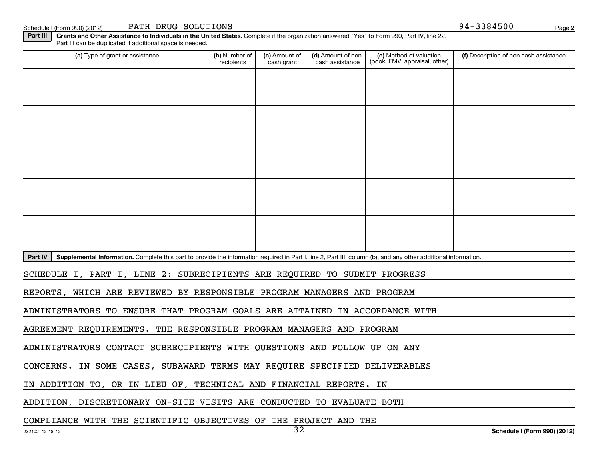Schedule I (Form 990) (2012) PATH DRUG SOLUTIONS (Solid Page 194-3384500 Page 194-3384500 Page

**2**

Part III | Grants and Other Assistance to Individuals in the United States. Complete if the organization answered "Yes" to Form 990, Part IV, line 22. (a) Type of grant or assistance **Audity Commet Audio Commet Commet Commet Commet Commet Commet Commet Commet Comme** Part III can be duplicated if additional space is needed. (e) Method of valuation (book, FMV, appraisal, other) recipients (c) Amount of cash grant (d) Amount of noncash assistance Description of non-cash assistance

Part IV | Supplemental Information. Complete this part to provide the information required in Part I, line 2, Part III, column (b), and any other additional information.

SCHEDULE I, PART I, LINE 2: SUBRECIPIENTS ARE REQUIRED TO SUBMIT PROGRESS

REPORTS, WHICH ARE REVIEWED BY RESPONSIBLE PROGRAM MANAGERS AND PROGRAM

ADMINISTRATORS TO ENSURE THAT PROGRAM GOALS ARE ATTAINED IN ACCORDANCE WITH

AGREEMENT REQUIREMENTS. THE RESPONSIBLE PROGRAM MANAGERS AND PROGRAM

ADMINISTRATORS CONTACT SUBRECIPIENTS WITH QUESTIONS AND FOLLOW UP ON ANY

CONCERNS. IN SOME CASES, SUBAWARD TERMS MAY REQUIRE SPECIFIED DELIVERABLES

IN ADDITION TO, OR IN LIEU OF, TECHNICAL AND FINANCIAL REPORTS. IN

ADDITION, DISCRETIONARY ON-SITE VISITS ARE CONDUCTED TO EVALUATE BOTH

COMPLIANCE WITH THE SCIENTIFIC OBJECTIVES OF THE PROJECT AND THE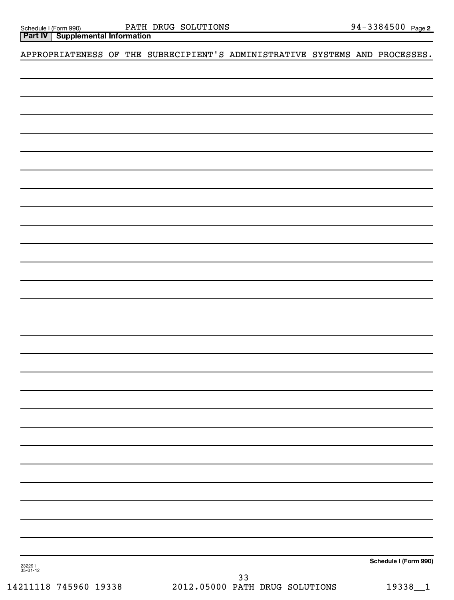| Schedule I (Form 990) |
|-----------------------|
|                       |

## APPROPRIATENESS OF THE SUBRECIPIENT'S ADMINISTRATIVE SYSTEMS AND PROCESSES.

**Schedule I (Form 990)**

232291 05-01-12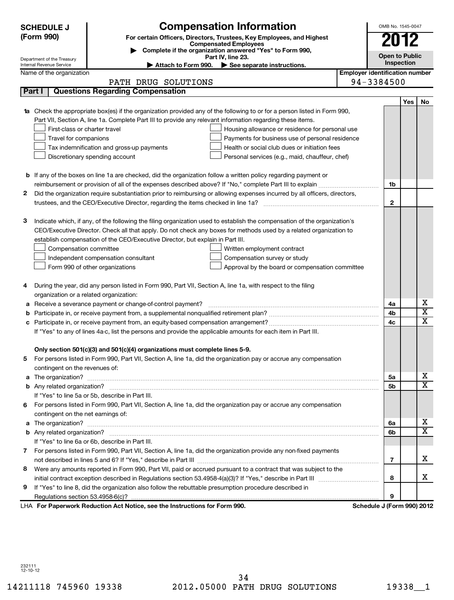| <b>Compensation Information</b><br><b>SCHEDULE J</b><br>(Form 990)<br>For certain Officers, Directors, Trustees, Key Employees, and Highest<br><b>Compensated Employees</b><br>Complete if the organization answered "Yes" to Form 990, |                                                        |                                                                                                                                                                                                                                                                                                                                                                                                                                                                                                                                  |                                       |                                     | OMB No. 1545-0047<br>2012 |                              |
|-----------------------------------------------------------------------------------------------------------------------------------------------------------------------------------------------------------------------------------------|--------------------------------------------------------|----------------------------------------------------------------------------------------------------------------------------------------------------------------------------------------------------------------------------------------------------------------------------------------------------------------------------------------------------------------------------------------------------------------------------------------------------------------------------------------------------------------------------------|---------------------------------------|-------------------------------------|---------------------------|------------------------------|
|                                                                                                                                                                                                                                         | Department of the Treasury                             | Part IV, line 23.                                                                                                                                                                                                                                                                                                                                                                                                                                                                                                                |                                       | <b>Open to Public</b><br>Inspection |                           |                              |
|                                                                                                                                                                                                                                         | Internal Revenue Service                               | Attach to Form 990. $\blacktriangleright$ See separate instructions.                                                                                                                                                                                                                                                                                                                                                                                                                                                             |                                       |                                     |                           |                              |
|                                                                                                                                                                                                                                         | Name of the organization                               | PATH DRUG SOLUTIONS                                                                                                                                                                                                                                                                                                                                                                                                                                                                                                              | <b>Employer identification number</b> | 94-3384500                          |                           |                              |
|                                                                                                                                                                                                                                         | Part I                                                 | <b>Questions Regarding Compensation</b>                                                                                                                                                                                                                                                                                                                                                                                                                                                                                          |                                       |                                     |                           |                              |
|                                                                                                                                                                                                                                         |                                                        |                                                                                                                                                                                                                                                                                                                                                                                                                                                                                                                                  |                                       |                                     |                           |                              |
|                                                                                                                                                                                                                                         | First-class or charter travel<br>Travel for companions | 1a Check the appropriate box(es) if the organization provided any of the following to or for a person listed in Form 990,<br>Part VII, Section A, line 1a. Complete Part III to provide any relevant information regarding these items.<br>Housing allowance or residence for personal use<br>Payments for business use of personal residence<br>Tax indemnification and gross-up payments<br>Health or social club dues or initiation fees<br>Discretionary spending account<br>Personal services (e.g., maid, chauffeur, chef) |                                       |                                     | Yes                       | No                           |
|                                                                                                                                                                                                                                         |                                                        | <b>b</b> If any of the boxes on line 1a are checked, did the organization follow a written policy regarding payment or                                                                                                                                                                                                                                                                                                                                                                                                           |                                       |                                     |                           |                              |
|                                                                                                                                                                                                                                         |                                                        |                                                                                                                                                                                                                                                                                                                                                                                                                                                                                                                                  |                                       | 1b                                  |                           |                              |
| 2                                                                                                                                                                                                                                       |                                                        | Did the organization require substantiation prior to reimbursing or allowing expenses incurred by all officers, directors,                                                                                                                                                                                                                                                                                                                                                                                                       |                                       | $\mathbf{2}$                        |                           |                              |
|                                                                                                                                                                                                                                         |                                                        |                                                                                                                                                                                                                                                                                                                                                                                                                                                                                                                                  |                                       |                                     |                           |                              |
| з                                                                                                                                                                                                                                       | Compensation committee                                 | Indicate which, if any, of the following the filing organization used to establish the compensation of the organization's<br>CEO/Executive Director. Check all that apply. Do not check any boxes for methods used by a related organization to<br>establish compensation of the CEO/Executive Director, but explain in Part III.<br>Written employment contract<br>Independent compensation consultant<br>Compensation survey or study<br>Form 990 of other organizations<br>Approval by the board or compensation committee    |                                       |                                     |                           |                              |
| 4                                                                                                                                                                                                                                       | organization or a related organization:                | During the year, did any person listed in Form 990, Part VII, Section A, line 1a, with respect to the filing                                                                                                                                                                                                                                                                                                                                                                                                                     |                                       |                                     |                           |                              |
| а                                                                                                                                                                                                                                       |                                                        | Receive a severance payment or change-of-control payment?                                                                                                                                                                                                                                                                                                                                                                                                                                                                        |                                       | 4a                                  |                           | х                            |
| b                                                                                                                                                                                                                                       |                                                        |                                                                                                                                                                                                                                                                                                                                                                                                                                                                                                                                  |                                       | 4b                                  |                           | $\overline{\textbf{x}}$      |
|                                                                                                                                                                                                                                         |                                                        |                                                                                                                                                                                                                                                                                                                                                                                                                                                                                                                                  |                                       | 4c                                  |                           | $\overline{\mathbf{x}}$      |
|                                                                                                                                                                                                                                         |                                                        | If "Yes" to any of lines 4a-c, list the persons and provide the applicable amounts for each item in Part III.                                                                                                                                                                                                                                                                                                                                                                                                                    |                                       |                                     |                           |                              |
| b                                                                                                                                                                                                                                       | contingent on the revenues of:                         | Only section 501(c)(3) and 501(c)(4) organizations must complete lines 5-9.<br>For persons listed in Form 990, Part VII, Section A, line 1a, did the organization pay or accrue any compensation                                                                                                                                                                                                                                                                                                                                 |                                       |                                     |                           |                              |
|                                                                                                                                                                                                                                         |                                                        |                                                                                                                                                                                                                                                                                                                                                                                                                                                                                                                                  |                                       | 5a                                  |                           | X<br>$\overline{\mathbf{x}}$ |
|                                                                                                                                                                                                                                         |                                                        |                                                                                                                                                                                                                                                                                                                                                                                                                                                                                                                                  |                                       | 5 <sub>b</sub>                      |                           |                              |
|                                                                                                                                                                                                                                         |                                                        | If "Yes" to line 5a or 5b, describe in Part III.                                                                                                                                                                                                                                                                                                                                                                                                                                                                                 |                                       |                                     |                           |                              |
|                                                                                                                                                                                                                                         |                                                        | 6 For persons listed in Form 990, Part VII, Section A, line 1a, did the organization pay or accrue any compensation                                                                                                                                                                                                                                                                                                                                                                                                              |                                       |                                     |                           |                              |
|                                                                                                                                                                                                                                         | contingent on the net earnings of:                     |                                                                                                                                                                                                                                                                                                                                                                                                                                                                                                                                  |                                       | 6a                                  |                           | х                            |
|                                                                                                                                                                                                                                         |                                                        |                                                                                                                                                                                                                                                                                                                                                                                                                                                                                                                                  |                                       | 6b                                  |                           | $\overline{\mathtt{x}}$      |
|                                                                                                                                                                                                                                         |                                                        | If "Yes" to line 6a or 6b, describe in Part III.                                                                                                                                                                                                                                                                                                                                                                                                                                                                                 |                                       |                                     |                           |                              |
| 7.                                                                                                                                                                                                                                      |                                                        | For persons listed in Form 990, Part VII, Section A, line 1a, did the organization provide any non-fixed payments                                                                                                                                                                                                                                                                                                                                                                                                                |                                       |                                     |                           |                              |
|                                                                                                                                                                                                                                         |                                                        |                                                                                                                                                                                                                                                                                                                                                                                                                                                                                                                                  |                                       | $\overline{7}$                      |                           | x                            |
| 8                                                                                                                                                                                                                                       |                                                        | Were any amounts reported in Form 990, Part VII, paid or accrued pursuant to a contract that was subject to the                                                                                                                                                                                                                                                                                                                                                                                                                  |                                       |                                     |                           |                              |
|                                                                                                                                                                                                                                         |                                                        |                                                                                                                                                                                                                                                                                                                                                                                                                                                                                                                                  |                                       | 8                                   |                           | x                            |
| 9                                                                                                                                                                                                                                       |                                                        | If "Yes" to line 8, did the organization also follow the rebuttable presumption procedure described in                                                                                                                                                                                                                                                                                                                                                                                                                           |                                       |                                     |                           |                              |
|                                                                                                                                                                                                                                         |                                                        |                                                                                                                                                                                                                                                                                                                                                                                                                                                                                                                                  |                                       | 9                                   |                           |                              |
|                                                                                                                                                                                                                                         |                                                        | LHA For Paperwork Reduction Act Notice, see the Instructions for Form 990.                                                                                                                                                                                                                                                                                                                                                                                                                                                       |                                       | Schedule J (Form 990) 2012          |                           |                              |

232111 12-10-12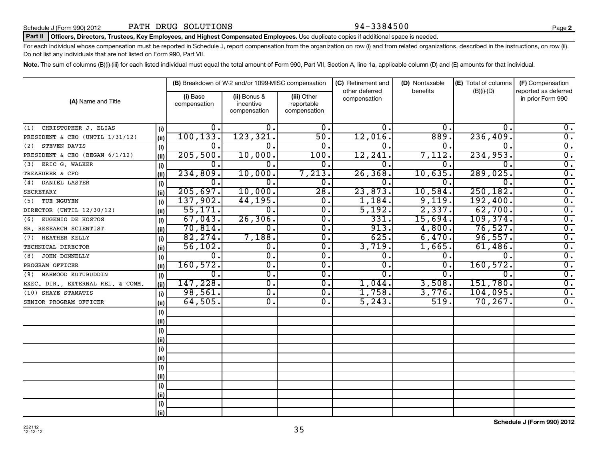#### Part II | Officers, Directors, Trustees, Key Employees, and Highest Compensated Employees. Use duplicate copies if additional space is needed.

For each individual whose compensation must be reported in Schedule J, report compensation from the organization on row (i) and from related organizations, described in the instructions, on row (ii). Do not list any individuals that are not listed on Form 990, Part VII.

Note. The sum of columns (B)(i)-(iii) for each listed individual must equal the total amount of Form 990, Part VII, Section A, line 1a, applicable column (D) and (E) amounts for that individual.

| (A) Name and Title                |      | (B) Breakdown of W-2 and/or 1099-MISC compensation |                                           |                                           | (C) Retirement and<br>other deferred | (D) Nontaxable<br>benefits | (E) Total of columns | (F) Compensation<br>reported as deferred |  |
|-----------------------------------|------|----------------------------------------------------|-------------------------------------------|-------------------------------------------|--------------------------------------|----------------------------|----------------------|------------------------------------------|--|
|                                   |      | (i) Base<br>compensation                           | (ii) Bonus &<br>incentive<br>compensation | (iii) Other<br>reportable<br>compensation | compensation                         |                            | $(B)(i)-(D)$         | in prior Form 990                        |  |
| CHRISTOPHER J. ELIAS<br>(1)       | (i)  | ο.                                                 | 0.                                        | 0.                                        | 0.                                   | О.                         | 0.                   | $\overline{0}$ .                         |  |
| PRESIDENT & CEO (UNTIL 1/31/12)   | (ii) | 100, 133.                                          | 123, 321.                                 | 50.                                       | 12,016                               | 889.                       | 236, 409.            | $\overline{0}$ .                         |  |
| STEVEN DAVIS<br>(2)               | (i)  | $\mathbf 0$ .                                      | $0$ .                                     | $\overline{0}$ .                          | 0.                                   | 0.                         | $\Omega$             | $\overline{\mathfrak{o}}$ .              |  |
| PRESIDENT & CEO (BEGAN 6/1/12)    | (ii) | 205,500.                                           | 10,000.                                   | 100.                                      | 12,241.                              | 7,112.                     | 234,953.             | $\overline{0}$ .                         |  |
| ERIC G. WALKER<br>(3)             | (i)  | 0.                                                 | 0.                                        | 0.                                        | 0.                                   | 0.                         | 0.                   | $\overline{0}$ .                         |  |
| TREASURER & CFO                   | (ii) | 234,809.                                           | 10,000.                                   | 7,213.                                    | 26, 368.                             | 10,635.                    | 289,025.             | $\overline{0}$ .                         |  |
| (4) DANIEL LASTER                 | (i)  | 0.                                                 | 0.                                        | 0.                                        | 0.                                   | 0.                         | 0.                   | $\overline{0}$ .                         |  |
| <b>SECRETARY</b>                  | (ii) | 205,697.                                           | 10,000.                                   | $\overline{28}$ .                         | 23,873.                              | 10,584.                    | 250, 182.            | $\overline{0}$ .                         |  |
| (5) TUE NGUYEN                    | (i)  | 137,902.                                           | 44, 195.                                  | $\mathbf 0$ .                             | 1,184.                               | 9,119.                     | 192,400.             | $\overline{\mathfrak{o}}$ .              |  |
| DIRECTOR (UNTIL 12/30/12)         | (ii) | 55,171.                                            | $\mathbf 0$ .                             | $\overline{0}$ .                          | 5,192.                               | 2,337.                     | 62,700.              | $\overline{\mathfrak{o}}$ .              |  |
| EUGENIO DE HOSTOS<br>(6)          | (i)  | 67,043.                                            | 26, 306.                                  | $\mathbf 0$ .                             | 331.                                 | 15,694.                    | 109,374.             | $\overline{0}$ .                         |  |
| SR. RESEARCH SCIENTIST            | (i)  | 70,814.                                            | 0.                                        | 0.                                        | 913.                                 | 4,800.                     | 76,527.              | $\overline{0}$ .                         |  |
| HEATHER KELLY<br>(7)              | (i)  | 82, 274.                                           | 7,188.                                    | 0.                                        | 625.                                 | 6,470.                     | 96,557.              | $\overline{0}$ .                         |  |
| TECHNICAL DIRECTOR                | (ii) | 56, 102.                                           | 0.                                        | $\mathbf 0$ .                             | 3,719.                               | 1,665.                     | 61,486.              | $\overline{0}$ .                         |  |
| JOHN DONNELLY<br>(8)              | (i)  | $\overline{0}$ .                                   | $\overline{0}$ .                          | $\mathbf 0$ .                             | 0.                                   | 0.                         | $\Omega$             | $\overline{\mathfrak{o}}$ .              |  |
| PROGRAM OFFICER                   | (ii) | 160, 572.                                          | 0.                                        | 0.                                        | 0.                                   | 0.                         | 160, 572.            | $\overline{0}$ .                         |  |
| MAHMOOD KUTUBUDDIN<br>(9)         | (i)  | 0.                                                 | 0.                                        | 0.                                        | 0.                                   | 0.                         | $\Omega$ .           | $\overline{\mathfrak{o}}$ .              |  |
| EXEC. DIR., EXTERNAL REL. & COMM. | (ii) | 147,228.                                           | 0.                                        | $\overline{0}$ .                          | 1,044.                               | 3,508.                     | 151,780.             | $\overline{0}$ .                         |  |
| (10) SHAYE STAMATIS               | (i)  | 98,561.                                            | 0.                                        | $\overline{0}$ .                          | 1,758.                               | 3,776.                     | 104,095.             | $\overline{0}$ .                         |  |
| SENIOR PROGRAM OFFICER            | (ii) | 64,505.                                            | 0.                                        | 0.                                        | 5, 243.                              | 519.                       | 70, 267.             | $\overline{0}$ .                         |  |
|                                   | (i)  |                                                    |                                           |                                           |                                      |                            |                      |                                          |  |
|                                   | (i)  |                                                    |                                           |                                           |                                      |                            |                      |                                          |  |
|                                   | (i)  |                                                    |                                           |                                           |                                      |                            |                      |                                          |  |
|                                   | (i)  |                                                    |                                           |                                           |                                      |                            |                      |                                          |  |
|                                   | (i)  |                                                    |                                           |                                           |                                      |                            |                      |                                          |  |
|                                   | (i)  |                                                    |                                           |                                           |                                      |                            |                      |                                          |  |
|                                   | (i)  |                                                    |                                           |                                           |                                      |                            |                      |                                          |  |
|                                   | (ii) |                                                    |                                           |                                           |                                      |                            |                      |                                          |  |
|                                   | (i)  |                                                    |                                           |                                           |                                      |                            |                      |                                          |  |
|                                   | (ii) |                                                    |                                           |                                           |                                      |                            |                      |                                          |  |
|                                   | (i)  |                                                    |                                           |                                           |                                      |                            |                      |                                          |  |
|                                   | (ii) |                                                    |                                           |                                           |                                      |                            |                      |                                          |  |

35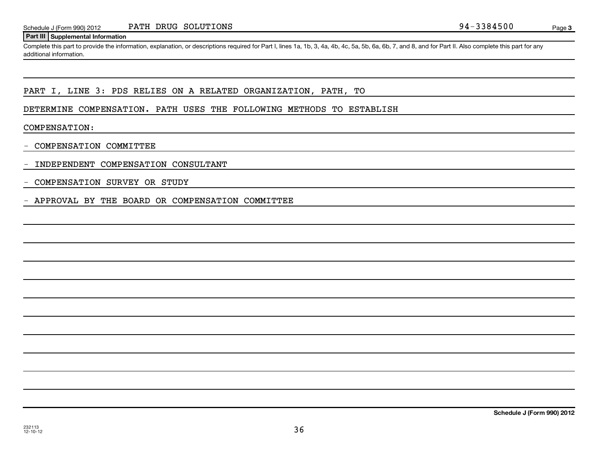#### **Part III Supplemental Information**

Complete this part to provide the information, explanation, or descriptions required for Part I, lines 1a, 1b, 3, 4a, 4b, 4c, 5a, 5b, 6a, 6b, 7, and 8, and for Part II. Also complete this part for any additional information.

#### PART I, LINE 3: PDS RELIES ON A RELATED ORGANIZATION, PATH, TO

DETERMINE COMPENSATION. PATH USES THE FOLLOWING METHODS TO ESTABLISH

COMPENSATION:

- COMPENSATION COMMITTEE

- INDEPENDENT COMPENSATION CONSULTANT

- COMPENSATION SURVEY OR STUDY

- APPROVAL BY THE BOARD OR COMPENSATION COMMITTEE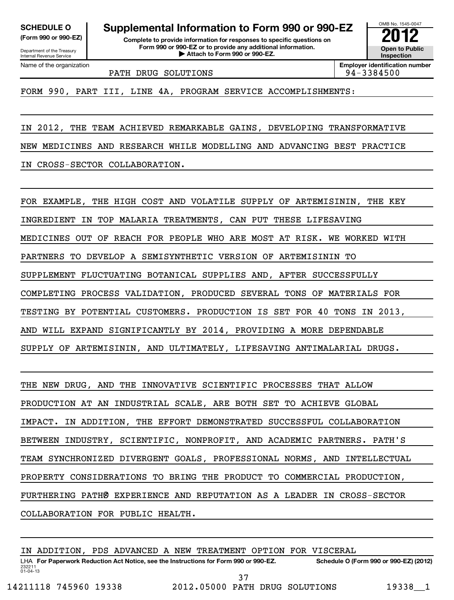Department of the Treasury

Internal Revenue Service Name of the organization

**(Form 990 or 990-EZ) Complete to provide information for responses to specific questions on SCHEDULE O Supplemental Information to Form 990 or 990-EZ 2012**

**Form 990 or 990-EZ or to provide any additional information.** <del>U</del> Open to Provide any additional information. <br>
→ Attach to Form 990 or 990-EZ.

**Inspection Employer identification number**

OMB No. 1545-0047

PATH DRUG SOLUTIONS **194-3384500** 

FORM 990, PART III, LINE 4A, PROGRAM SERVICE ACCOMPLISHMENTS:

IN 2012, THE TEAM ACHIEVED REMARKABLE GAINS, DEVELOPING TRANSFORMATIVE

NEW MEDICINES AND RESEARCH WHILE MODELLING AND ADVANCING BEST PRACTICE

IN CROSS-SECTOR COLLABORATION.

FOR EXAMPLE, THE HIGH COST AND VOLATILE SUPPLY OF ARTEMISININ, THE KEY

INGREDIENT IN TOP MALARIA TREATMENTS, CAN PUT THESE LIFESAVING

MEDICINES OUT OF REACH FOR PEOPLE WHO ARE MOST AT RISK. WE WORKED WITH

PARTNERS TO DEVELOP A SEMISYNTHETIC VERSION OF ARTEMISININ TO

SUPPLEMENT FLUCTUATING BOTANICAL SUPPLIES AND, AFTER SUCCESSFULLY

COMPLETING PROCESS VALIDATION, PRODUCED SEVERAL TONS OF MATERIALS FOR

TESTING BY POTENTIAL CUSTOMERS. PRODUCTION IS SET FOR 40 TONS IN 2013,

AND WILL EXPAND SIGNIFICANTLY BY 2014, PROVIDING A MORE DEPENDABLE

SUPPLY OF ARTEMISININ, AND ULTIMATELY, LIFESAVING ANTIMALARIAL DRUGS.

THE NEW DRUG, AND THE INNOVATIVE SCIENTIFIC PROCESSES THAT ALLOW

PRODUCTION AT AN INDUSTRIAL SCALE, ARE BOTH SET TO ACHIEVE GLOBAL

IMPACT. IN ADDITION, THE EFFORT DEMONSTRATED SUCCESSFUL COLLABORATION

BETWEEN INDUSTRY, SCIENTIFIC, NONPROFIT, AND ACADEMIC PARTNERS. PATH'S

TEAM SYNCHRONIZED DIVERGENT GOALS, PROFESSIONAL NORMS, AND INTELLECTUAL

PROPERTY CONSIDERATIONS TO BRING THE PRODUCT TO COMMERCIAL PRODUCTION,

FURTHERING PATHØ EXPERIENCE AND REPUTATION AS A LEADER IN CROSS-SECTOR

COLLABORATION FOR PUBLIC HEALTH.

IN ADDITION, PDS ADVANCED A NEW TREATMENT OPTION FOR VISCERAL

232211 01-04-13 LHA For Paperwork Reduction Act Notice, see the Instructions for Form 990 or 990-EZ. Schedule O (Form 990 or 990-EZ) (2012)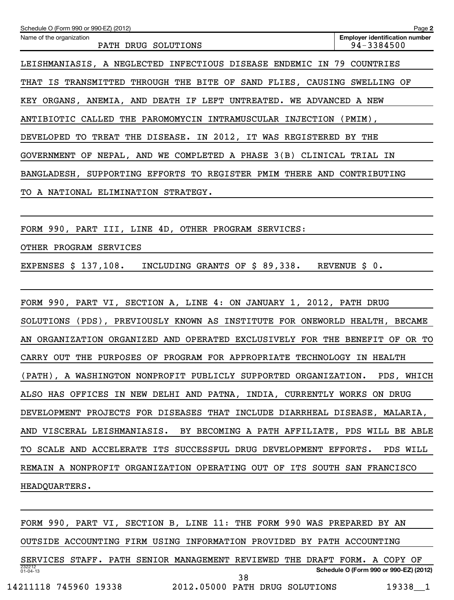| Schedule O (Form 990 or 990-EZ) (2012)                                      | Page 2                                              |
|-----------------------------------------------------------------------------|-----------------------------------------------------|
| Name of the organization<br>PATH DRUG SOLUTIONS                             | <b>Employer identification number</b><br>94-3384500 |
| LEISHMANIASIS, A NEGLECTED INFECTIOUS DISEASE ENDEMIC IN 79 COUNTRIES       |                                                     |
| THAT IS TRANSMITTED THROUGH THE BITE OF SAND FLIES, CAUSING SWELLING OF     |                                                     |
| KEY ORGANS, ANEMIA, AND DEATH IF LEFT UNTREATED. WE ADVANCED A NEW          |                                                     |
| ANTIBIOTIC CALLED THE PAROMOMYCIN INTRAMUSCULAR INJECTION (PMIM),           |                                                     |
| DEVELOPED TO TREAT THE DISEASE. IN 2012, IT WAS REGISTERED BY THE           |                                                     |
| GOVERNMENT OF NEPAL, AND WE COMPLETED A PHASE 3(B) CLINICAL TRIAL IN        |                                                     |
| BANGLADESH, SUPPORTING EFFORTS TO REGISTER PMIM THERE AND CONTRIBUTING      |                                                     |
| TO A NATIONAL ELIMINATION STRATEGY.                                         |                                                     |
|                                                                             |                                                     |
| FORM 990, PART III, LINE 4D, OTHER PROGRAM SERVICES:                        |                                                     |
| OTHER PROGRAM SERVICES                                                      |                                                     |
| EXPENSES \$ 137,108. INCLUDING GRANTS OF \$ 89,338. REVENUE \$ 0.           |                                                     |
|                                                                             |                                                     |
| FORM 990, PART VI, SECTION A, LINE 4: ON JANUARY 1, 2012, PATH DRUG         |                                                     |
| SOLUTIONS (PDS), PREVIOUSLY KNOWN AS INSTITUTE FOR ONEWORLD HEALTH, BECAME  |                                                     |
| AN ORGANIZATION ORGANIZED AND OPERATED EXCLUSIVELY FOR THE BENEFIT OF OR TO |                                                     |
| CARRY OUT THE PURPOSES OF PROGRAM FOR APPROPRIATE TECHNOLOGY IN HEALTH      |                                                     |
| (PATH), A WASHINGTON NONPROFIT PUBLICLY SUPPORTED ORGANIZATION. PDS, WHICH  |                                                     |
| ALSO HAS OFFICES IN NEW DELHI AND PATNA, INDIA, CURRENTLY WORKS ON DRUG     |                                                     |
| DEVELOPMENT PROJECTS FOR DISEASES THAT INCLUDE DIARRHEAL DISEASE, MALARIA,  |                                                     |
| AND VISCERAL LEISHMANIASIS. BY BECOMING A PATH AFFILIATE, PDS WILL BE ABLE  |                                                     |
| TO SCALE AND ACCELERATE ITS SUCCESSFUL DRUG DEVELOPMENT EFFORTS.            | PDS WILL                                            |
| REMAIN A NONPROFIT ORGANIZATION OPERATING OUT OF ITS SOUTH SAN FRANCISCO    |                                                     |
| HEADQUARTERS.                                                               |                                                     |
|                                                                             |                                                     |
| FORM 990, PART VI, SECTION B, LINE 11: THE FORM 990 WAS PREPARED BY AN      |                                                     |

OUTSIDE ACCOUNTING FIRM USING INFORMATION PROVIDED BY PATH ACCOUNTING

232212 01-04-13 **Schedule O (Form 990 or 990-EZ) (2012)** SERVICES STAFF. PATH SENIOR MANAGEMENT REVIEWED THE DRAFT FORM. A COPY OF 38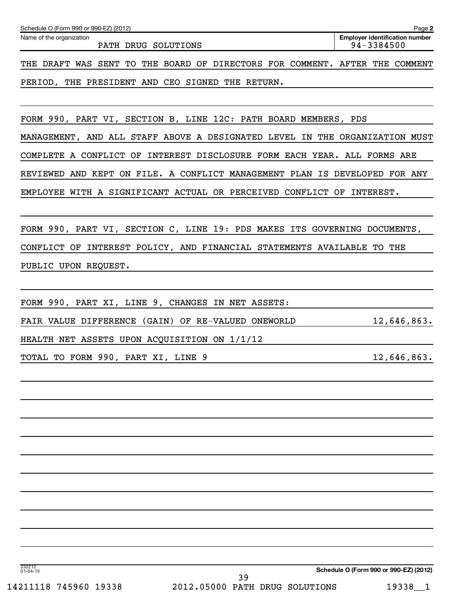| Schedule O (Form 990 or 990-EZ) (2012)                                      | Page 2                                              |
|-----------------------------------------------------------------------------|-----------------------------------------------------|
| Name of the organization<br>PATH DRUG SOLUTIONS                             | <b>Employer identification number</b><br>94-3384500 |
| THE DRAFT WAS SENT TO THE BOARD OF DIRECTORS FOR COMMENT. AFTER THE COMMENT |                                                     |
| PERIOD, THE PRESIDENT AND CEO SIGNED THE RETURN.                            |                                                     |
|                                                                             |                                                     |
| FORM 990, PART VI, SECTION B, LINE 12C: PATH BOARD MEMBERS, PDS             |                                                     |
| MANAGEMENT, AND ALL STAFF ABOVE A DESIGNATED LEVEL IN THE ORGANIZATION MUST |                                                     |
| COMPLETE A CONFLICT OF INTEREST DISCLOSURE FORM EACH YEAR. ALL FORMS ARE    |                                                     |
| REVIEWED AND KEPT ON FILE. A CONFLICT MANAGEMENT PLAN IS DEVELOPED FOR ANY  |                                                     |
| EMPLOYEE WITH A SIGNIFICANT ACTUAL OR PERCEIVED CONFLICT OF INTEREST.       |                                                     |
|                                                                             |                                                     |
| FORM 990, PART VI, SECTION C, LINE 19: PDS MAKES ITS GOVERNING DOCUMENTS,   |                                                     |
| CONFLICT OF INTEREST POLICY, AND FINANCIAL STATEMENTS AVAILABLE TO THE      |                                                     |
| PUBLIC UPON REQUEST.                                                        |                                                     |
|                                                                             |                                                     |
| FORM 990, PART XI, LINE 9, CHANGES IN NET ASSETS:                           |                                                     |
| FAIR VALUE DIFFERENCE (GAIN) OF RE-VALUED ONEWORLD                          | 12,646,863.                                         |
| HEALTH NET ASSETS UPON ACQUISITION ON 1/1/12                                |                                                     |
| TOTAL TO FORM 990, PART XI, LINE 9                                          | 12,646,863.                                         |
|                                                                             |                                                     |
|                                                                             |                                                     |
|                                                                             |                                                     |
|                                                                             |                                                     |
|                                                                             |                                                     |
|                                                                             |                                                     |
|                                                                             |                                                     |
|                                                                             |                                                     |
|                                                                             |                                                     |
|                                                                             |                                                     |
| 232212<br>01-04-13                                                          | Schedule O (Form 990 or 990-EZ) (2012)              |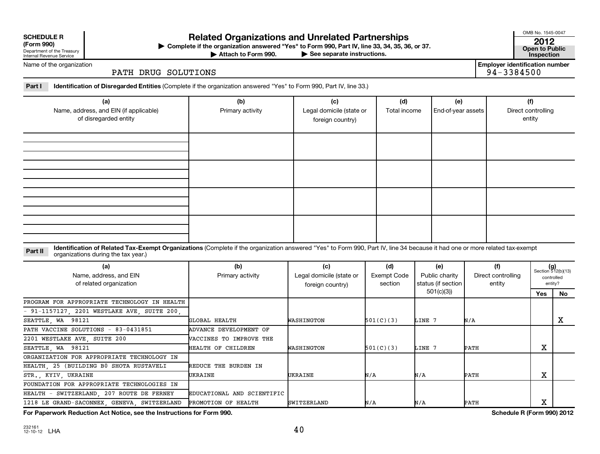#### **SCHEDULE R**

Department of the Treasury Internal Revenue Service

# **Related Organizations and Unrelated Partnerships <sup>2012</sup>**

**(Form 990) Complete if the organization answered "Yes" to Form 990, Part IV, line 33, 34, 35, 36, or 37. Open to Public** | **At the Form 990, Part IV, line 33, 34, 35, 36, or 37.**<br>See separate instructions. This pection inspection

Attach to Form 990.

OMB No. 1545-0047

Name of the organization

#### PATH DRUG SOLUTIONS

**Employer identification number**<br>94-3384500

**Part I Identification of Disregarded Entities**  (Complete if the organization answered "Yes" to Form 990, Part IV, line 33.)

| (a)<br>Name, address, and EIN (if applicable)<br>of disregarded entity | (b)<br>Primary activity | (c)<br>Legal domicile (state or<br>foreign country) | (d)<br>Total income | (e)<br>End-of-year assets | (f)<br>Direct controlling<br>entity |
|------------------------------------------------------------------------|-------------------------|-----------------------------------------------------|---------------------|---------------------------|-------------------------------------|
|                                                                        |                         |                                                     |                     |                           |                                     |
|                                                                        |                         |                                                     |                     |                           |                                     |
|                                                                        |                         |                                                     |                     |                           |                                     |
|                                                                        |                         |                                                     |                     |                           |                                     |

Part II ldentification of Related Tax-Exempt Organizations (Complete if the organization answered "Yes" to Form 990, Part IV, line 34 because it had one or more related tax-exempt<br>example: croanizations during the tax veas organizations during the tax year.)

| (a)<br>Name, address, and EIN<br>of related organization | (b)<br>Primary activity        | (c)<br>Legal domicile (state or<br>foreign country) | (d)<br>Exempt Code<br>section | (e)<br>Public charity<br>status (if section | (f)<br>Direct controlling<br>entity |                   | $(g)$<br>Section 512(b)(13)<br>controlled<br>entity? |
|----------------------------------------------------------|--------------------------------|-----------------------------------------------------|-------------------------------|---------------------------------------------|-------------------------------------|-------------------|------------------------------------------------------|
|                                                          |                                |                                                     |                               | 501(c)(3))                                  |                                     | Yes               | No.                                                  |
| PROGRAM FOR APPROPRIATE TECHNOLOGY IN HEALTH             |                                |                                                     |                               |                                             |                                     |                   |                                                      |
| $-91-1157127$ , 2201 WESTLAKE AVE, SUITE 200,            |                                |                                                     |                               |                                             |                                     |                   |                                                      |
| SEATTLE, WA 98121                                        | GLOBAL HEALTH                  | WASHINGTON                                          | 501(C)(3)                     | LINE 7                                      | N/A                                 |                   | x                                                    |
| PATH VACCINE SOLUTIONS - 83-0431851                      | ADVANCE DEVELOPMENT OF         |                                                     |                               |                                             |                                     |                   |                                                      |
| 2201 WESTLAKE AVE, SUITE 200                             | <b>WACCINES TO IMPROVE THE</b> |                                                     |                               |                                             |                                     |                   |                                                      |
| SEATTLE, WA 98121                                        | HEALTH OF CHILDREN             | WASHINGTON                                          | 501(C)(3)                     | LINE 7                                      | PATH                                | v<br>▵            |                                                      |
| ORGANIZATION FOR APPROPRIATE TECHNOLOGY IN               |                                |                                                     |                               |                                             |                                     |                   |                                                      |
| HEALTH, 25 (BUILDING B0 SHOTA RUSTAVELI                  | REDUCE THE BURDEN IN           |                                                     |                               |                                             |                                     |                   |                                                      |
| STR., KYIV, UKRAINE                                      | UKRAINE                        | UKRAINE                                             | N/A                           | N/A                                         | PATH                                | $\mathbf{v}$<br>▵ |                                                      |
| FOUNDATION FOR APPROPRIATE TECHNOLOGIES IN               |                                |                                                     |                               |                                             |                                     |                   |                                                      |
| HEALTH - SWITZERLAND, 207 ROUTE DE FERNEY                | EDUCATIONAL AND SCIENTIFIC     |                                                     |                               |                                             |                                     |                   |                                                      |
| 1218 LE GRAND-SACONNEX, GENEVA, SWITZERLAND              | PROMOTION OF HEALTH            | <b>SWITZERLAND</b>                                  | N/A                           | N/A                                         | PATH                                | v<br>▵            |                                                      |

**For Paperwork Reduction Act Notice, see the Instructions for Form 990. Schedule R (Form 990) 2012**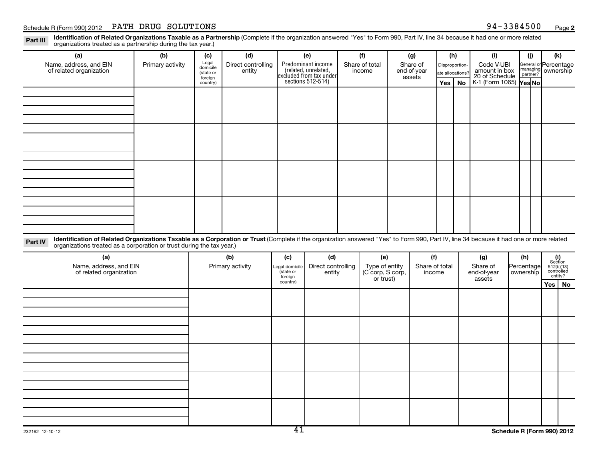Part III Identification of Related Organizations Taxable as a Partnership (Complete if the organization answered "Yes" to Form 990, Part IV, line 34 because it had one or more related<br>Read to reconizations tracted as a par organizations treated as a partnership during the tax year.)

| (a)                                                                                                                                                                                     | (b)              | (c)                  | (d)                |                      | (e)                                                                                        | (f)                                | (g)                   | (h)              |           | (i)                                           | (i)                       | (k)                                                                                                           |    |
|-----------------------------------------------------------------------------------------------------------------------------------------------------------------------------------------|------------------|----------------------|--------------------|----------------------|--------------------------------------------------------------------------------------------|------------------------------------|-----------------------|------------------|-----------|-----------------------------------------------|---------------------------|---------------------------------------------------------------------------------------------------------------|----|
| Name, address, and EIN                                                                                                                                                                  | Primary activity | Legal<br>domicile    | Direct controlling |                      | Predominant income<br>(related, unrelated,<br>excluded from tax under<br>sections 512-514) | Share of total                     | Share of              | Disproportion-   |           | Code V-UBI<br>amount in box<br>20 of Schedule |                           | General or Percentage<br>managing ownership<br>partner?                                                       |    |
| of related organization                                                                                                                                                                 |                  | (state or<br>foreign | entity             |                      |                                                                                            | income                             | end-of-year<br>assets | ate allocations? |           |                                               |                           |                                                                                                               |    |
|                                                                                                                                                                                         |                  | country)             |                    |                      |                                                                                            |                                    |                       | Yes              | <b>No</b> | K-1 (Form 1065) Yes No                        |                           |                                                                                                               |    |
|                                                                                                                                                                                         |                  |                      |                    |                      |                                                                                            |                                    |                       |                  |           |                                               |                           |                                                                                                               |    |
|                                                                                                                                                                                         |                  |                      |                    |                      |                                                                                            |                                    |                       |                  |           |                                               |                           |                                                                                                               |    |
|                                                                                                                                                                                         |                  |                      |                    |                      |                                                                                            |                                    |                       |                  |           |                                               |                           |                                                                                                               |    |
|                                                                                                                                                                                         |                  |                      |                    |                      |                                                                                            |                                    |                       |                  |           |                                               |                           |                                                                                                               |    |
|                                                                                                                                                                                         |                  |                      |                    |                      |                                                                                            |                                    |                       |                  |           |                                               |                           |                                                                                                               |    |
|                                                                                                                                                                                         |                  |                      |                    |                      |                                                                                            |                                    |                       |                  |           |                                               |                           |                                                                                                               |    |
|                                                                                                                                                                                         |                  |                      |                    |                      |                                                                                            |                                    |                       |                  |           |                                               |                           |                                                                                                               |    |
|                                                                                                                                                                                         |                  |                      |                    |                      |                                                                                            |                                    |                       |                  |           |                                               |                           |                                                                                                               |    |
|                                                                                                                                                                                         |                  |                      |                    |                      |                                                                                            |                                    |                       |                  |           |                                               |                           |                                                                                                               |    |
|                                                                                                                                                                                         |                  |                      |                    |                      |                                                                                            |                                    |                       |                  |           |                                               |                           |                                                                                                               |    |
|                                                                                                                                                                                         |                  |                      |                    |                      |                                                                                            |                                    |                       |                  |           |                                               |                           |                                                                                                               |    |
|                                                                                                                                                                                         |                  |                      |                    |                      |                                                                                            |                                    |                       |                  |           |                                               |                           |                                                                                                               |    |
|                                                                                                                                                                                         |                  |                      |                    |                      |                                                                                            |                                    |                       |                  |           |                                               |                           |                                                                                                               |    |
|                                                                                                                                                                                         |                  |                      |                    |                      |                                                                                            |                                    |                       |                  |           |                                               |                           |                                                                                                               |    |
| Identification of Related Organizations Taxable as a Corporation or Trust (Complete if the organization answered "Yes" to Form 990, Part IV, line 34 because it had one or more related |                  |                      |                    |                      |                                                                                            |                                    |                       |                  |           |                                               |                           |                                                                                                               |    |
| Part IV<br>organizations treated as a corporation or trust during the tax year.)                                                                                                        |                  |                      |                    |                      |                                                                                            |                                    |                       |                  |           |                                               |                           |                                                                                                               |    |
| (a)                                                                                                                                                                                     |                  |                      | (b)                | (c)                  | (d)                                                                                        | (e)                                | (f)                   |                  |           | (g)                                           | (h)                       |                                                                                                               |    |
| Name, address, and EIN                                                                                                                                                                  |                  |                      | Primary activity   | Legal domicile       | Direct controlling                                                                         | Type of entity<br>(C corp, S corp, | Share of total        |                  |           | Share of                                      | Percentage<br>  ownership | $\begin{array}{c} \textbf{(i)}\\ \text{Section}\\ 512 \text{(b)} \text{(13)}\\ \text{controlled} \end{array}$ |    |
| of related organization                                                                                                                                                                 |                  |                      |                    | (state or<br>foreign | entity                                                                                     | or trust)                          | income                |                  |           | end-of-year<br>assets                         |                           | entity?                                                                                                       |    |
|                                                                                                                                                                                         |                  |                      |                    | country)             |                                                                                            |                                    |                       |                  |           |                                               |                           | Yes                                                                                                           | No |
|                                                                                                                                                                                         |                  |                      |                    |                      |                                                                                            |                                    |                       |                  |           |                                               |                           |                                                                                                               |    |
|                                                                                                                                                                                         |                  |                      |                    |                      |                                                                                            |                                    |                       |                  |           |                                               |                           |                                                                                                               |    |
|                                                                                                                                                                                         |                  |                      |                    |                      |                                                                                            |                                    |                       |                  |           |                                               |                           |                                                                                                               |    |
|                                                                                                                                                                                         |                  |                      |                    |                      |                                                                                            |                                    |                       |                  |           |                                               |                           |                                                                                                               |    |
|                                                                                                                                                                                         |                  |                      |                    |                      |                                                                                            |                                    |                       |                  |           |                                               |                           |                                                                                                               |    |
|                                                                                                                                                                                         |                  |                      |                    |                      |                                                                                            |                                    |                       |                  |           |                                               |                           |                                                                                                               |    |
|                                                                                                                                                                                         |                  |                      |                    |                      |                                                                                            |                                    |                       |                  |           |                                               |                           |                                                                                                               |    |
|                                                                                                                                                                                         |                  |                      |                    |                      |                                                                                            |                                    |                       |                  |           |                                               |                           |                                                                                                               |    |
|                                                                                                                                                                                         |                  |                      |                    |                      |                                                                                            |                                    |                       |                  |           |                                               |                           |                                                                                                               |    |
|                                                                                                                                                                                         |                  |                      |                    |                      |                                                                                            |                                    |                       |                  |           |                                               |                           |                                                                                                               |    |
|                                                                                                                                                                                         |                  |                      |                    |                      |                                                                                            |                                    |                       |                  |           |                                               |                           |                                                                                                               |    |
|                                                                                                                                                                                         |                  |                      |                    |                      |                                                                                            |                                    |                       |                  |           |                                               |                           |                                                                                                               |    |
|                                                                                                                                                                                         |                  |                      |                    |                      |                                                                                            |                                    |                       |                  |           |                                               |                           |                                                                                                               |    |
|                                                                                                                                                                                         |                  |                      |                    | $\overline{11}$      |                                                                                            |                                    |                       |                  |           | $\sim$ $\sim$ $\sim$ $\sim$ $\sim$ $\sim$     |                           | $\sim$ $\sim$ $\sim$ $\sim$ $\sim$ $\sim$                                                                     |    |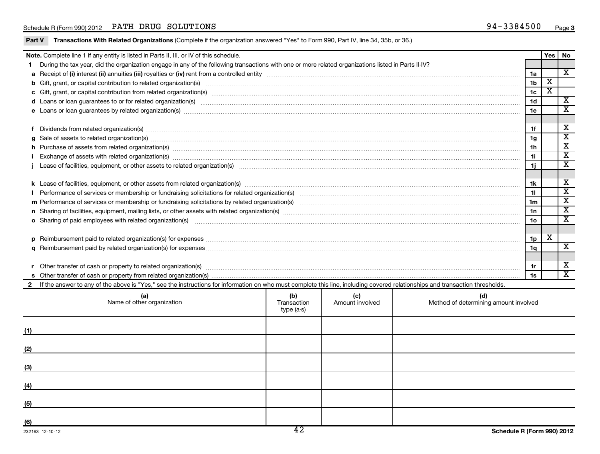| Part V         | Transactions With Related Organizations (Complete if the organization answered "Yes" to Form 990, Part IV, line 34, 35b, or 36.)                                                                                                    |                                  |                        |                                              |                |     |                         |  |
|----------------|-------------------------------------------------------------------------------------------------------------------------------------------------------------------------------------------------------------------------------------|----------------------------------|------------------------|----------------------------------------------|----------------|-----|-------------------------|--|
|                | Note. Complete line 1 if any entity is listed in Parts II, III, or IV of this schedule.                                                                                                                                             |                                  |                        |                                              |                | Yes | No                      |  |
| 1.             | During the tax year, did the organization engage in any of the following transactions with one or more related organizations listed in Parts II-IV?                                                                                 |                                  |                        |                                              |                |     |                         |  |
|                |                                                                                                                                                                                                                                     |                                  |                        |                                              | 1a             |     | $\overline{\mathbf{x}}$ |  |
|                |                                                                                                                                                                                                                                     |                                  |                        |                                              |                |     |                         |  |
|                |                                                                                                                                                                                                                                     |                                  |                        |                                              |                |     |                         |  |
|                | d Loans or loan guarantees to or for related organization(s) www.communically.com/www.communically.com/www.communically.com/www.communically.com/www.communically.com/www.communically.com/www.communically.com/www.communical      |                                  |                        |                                              |                |     |                         |  |
|                | e Loans or loan guarantees by related organization(s) www.assession.com/www.assession.com/www.assession.com/www.assession.com/www.assession.com/www.assession.com/www.assession.com/www.assession.com/www.assession.com/www.as      |                                  |                        |                                              |                |     |                         |  |
|                |                                                                                                                                                                                                                                     |                                  |                        |                                              |                |     |                         |  |
|                | f Dividends from related organization(s) material content and content and content and content and content and content and content and content and content and content and content and content and content and content and cont      |                                  |                        |                                              | 1f             |     | x                       |  |
| q              | Sale of assets to related organization(s) www.assemicroscopy.com/news/contract/news/contract/news/contract/news/contract/news/contract/news/contract/news/contract/news/contract/news/contract/news/contract/news/contract/new      |                                  |                        |                                              | 1 <sub>g</sub> |     | $\overline{\textbf{x}}$ |  |
|                |                                                                                                                                                                                                                                     |                                  |                        |                                              | 1h             |     | $\overline{\mathbf{x}}$ |  |
|                |                                                                                                                                                                                                                                     |                                  |                        |                                              | 1i.            |     | $\overline{\text{x}}$   |  |
|                |                                                                                                                                                                                                                                     |                                  |                        |                                              | 1i.            |     | $\overline{\mathbf{x}}$ |  |
|                |                                                                                                                                                                                                                                     |                                  |                        |                                              |                |     |                         |  |
|                |                                                                                                                                                                                                                                     |                                  |                        |                                              | 1k             |     | X                       |  |
|                |                                                                                                                                                                                                                                     |                                  |                        |                                              | 11             |     | $\overline{\textbf{x}}$ |  |
|                |                                                                                                                                                                                                                                     |                                  |                        |                                              | 1m             |     | $\overline{\mathbf{x}}$ |  |
|                |                                                                                                                                                                                                                                     |                                  |                        |                                              | 1n             |     | $\overline{\text{x}}$   |  |
|                | o Sharing of paid employees with related organization(s) <b>contract to construct the contract of the construct of the construction</b> of the construction of the construction of the construction of the construction of the cons |                                  |                        |                                              |                |     | $\overline{\mathbf{x}}$ |  |
|                |                                                                                                                                                                                                                                     |                                  |                        |                                              |                |     |                         |  |
|                |                                                                                                                                                                                                                                     |                                  |                        |                                              | 1p             | X   |                         |  |
|                |                                                                                                                                                                                                                                     |                                  |                        |                                              | 1 <sub>q</sub> |     | $\overline{\mathbf{X}}$ |  |
|                |                                                                                                                                                                                                                                     |                                  |                        |                                              |                |     |                         |  |
|                |                                                                                                                                                                                                                                     |                                  |                        |                                              | 1r             |     | х                       |  |
|                |                                                                                                                                                                                                                                     |                                  |                        |                                              | 1s             |     | $\overline{\texttt{x}}$ |  |
| $\overline{2}$ | If the answer to any of the above is "Yes," see the instructions for information on who must complete this line, including covered relationships and transaction thresholds.                                                        |                                  |                        |                                              |                |     |                         |  |
|                | (a)<br>Name of other organization                                                                                                                                                                                                   | (b)<br>Transaction<br>type (a-s) | (c)<br>Amount involved | (d)<br>Method of determining amount involved |                |     |                         |  |
| (1)            |                                                                                                                                                                                                                                     |                                  |                        |                                              |                |     |                         |  |
| (2)            |                                                                                                                                                                                                                                     |                                  |                        |                                              |                |     |                         |  |
| (3)            |                                                                                                                                                                                                                                     |                                  |                        |                                              |                |     |                         |  |
| (4)            |                                                                                                                                                                                                                                     |                                  |                        |                                              |                |     |                         |  |
| (5)            |                                                                                                                                                                                                                                     |                                  |                        |                                              |                |     |                         |  |
|                |                                                                                                                                                                                                                                     |                                  |                        |                                              |                |     |                         |  |

**(6)**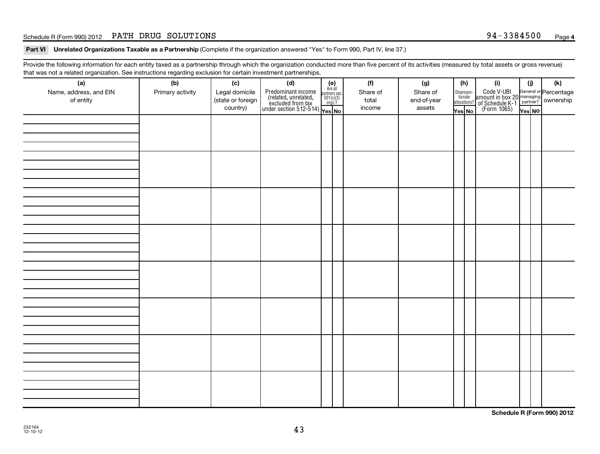#### Schedule R (Form 990) 2012 Page PATH DRUG SOLUTIONS 94-3384500

Part VI Unrelated Organizations Taxable as a Partnership (Complete if the organization answered "Yes" to Form 990, Part IV, line 37.)

Provide the following information for each entity taxed as a partnership through which the organization conducted more than five percent of its activities (measured by total assets or gross revenue) that was not a related organization. See instructions regarding exclusion for certain investment partnerships.

| (a)<br>Name, address, and EIN<br>of entity | (b)<br>Primary activity | (c)<br>Legal domicile<br>(state or foreign<br>country) | (d)<br>$\begin{array}{ l l } \hline \text{Predominant income} & \text{Area} \\ \hline \text{(related, unrelated,} & \text{501(c)(3)} \\ \text{excluded from tax} & \text{501(c)(3)} \\ \text{under section 512-514)} & \text{Yes. No} \\\hline \end{array}$ | $(e)$<br>Are all<br>partners sec.<br>$501(c)(3)$<br>orgs.? | (f)<br>Share of<br>total<br>income | (g)<br>Share of<br>end-of-year<br>assets | (h)<br>Yes No | (i)<br>Dispropor-<br>Code V-UBI<br>dionate amount in box 20 managing<br>allocations? of Schedule K-1<br>Yes No (Form 1065)<br>Yes No | (i)<br>Yes NO | (k) |
|--------------------------------------------|-------------------------|--------------------------------------------------------|-------------------------------------------------------------------------------------------------------------------------------------------------------------------------------------------------------------------------------------------------------------|------------------------------------------------------------|------------------------------------|------------------------------------------|---------------|--------------------------------------------------------------------------------------------------------------------------------------|---------------|-----|
|                                            |                         |                                                        |                                                                                                                                                                                                                                                             |                                                            |                                    |                                          |               |                                                                                                                                      |               |     |
|                                            |                         |                                                        |                                                                                                                                                                                                                                                             |                                                            |                                    |                                          |               |                                                                                                                                      |               |     |
|                                            |                         |                                                        |                                                                                                                                                                                                                                                             |                                                            |                                    |                                          |               |                                                                                                                                      |               |     |
|                                            |                         |                                                        |                                                                                                                                                                                                                                                             |                                                            |                                    |                                          |               |                                                                                                                                      |               |     |
|                                            |                         |                                                        |                                                                                                                                                                                                                                                             |                                                            |                                    |                                          |               |                                                                                                                                      |               |     |
|                                            |                         |                                                        |                                                                                                                                                                                                                                                             |                                                            |                                    |                                          |               |                                                                                                                                      |               |     |
|                                            |                         |                                                        |                                                                                                                                                                                                                                                             |                                                            |                                    |                                          |               |                                                                                                                                      |               |     |
|                                            |                         |                                                        |                                                                                                                                                                                                                                                             |                                                            |                                    |                                          |               |                                                                                                                                      |               |     |

**Schedule R (Form 990) 2012**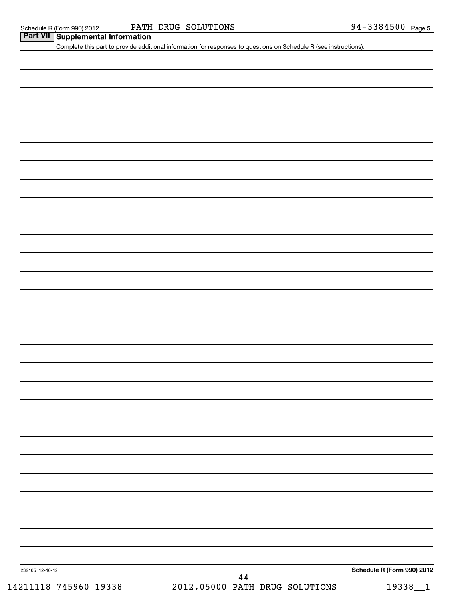|                 | Complete this part to provide additional information for responses to questions on Schedule R (see instructions). |                            |
|-----------------|-------------------------------------------------------------------------------------------------------------------|----------------------------|
|                 |                                                                                                                   |                            |
|                 |                                                                                                                   |                            |
|                 |                                                                                                                   |                            |
|                 |                                                                                                                   |                            |
|                 |                                                                                                                   |                            |
|                 |                                                                                                                   |                            |
|                 |                                                                                                                   |                            |
|                 |                                                                                                                   |                            |
|                 |                                                                                                                   |                            |
|                 |                                                                                                                   |                            |
|                 |                                                                                                                   |                            |
|                 |                                                                                                                   |                            |
|                 |                                                                                                                   |                            |
|                 |                                                                                                                   |                            |
|                 |                                                                                                                   |                            |
|                 |                                                                                                                   |                            |
|                 |                                                                                                                   |                            |
|                 |                                                                                                                   |                            |
|                 |                                                                                                                   |                            |
|                 |                                                                                                                   |                            |
|                 |                                                                                                                   |                            |
|                 |                                                                                                                   |                            |
|                 |                                                                                                                   |                            |
|                 |                                                                                                                   |                            |
|                 |                                                                                                                   |                            |
|                 |                                                                                                                   |                            |
|                 |                                                                                                                   |                            |
|                 |                                                                                                                   |                            |
|                 |                                                                                                                   |                            |
|                 |                                                                                                                   |                            |
|                 |                                                                                                                   |                            |
|                 |                                                                                                                   |                            |
|                 |                                                                                                                   |                            |
|                 |                                                                                                                   |                            |
|                 |                                                                                                                   |                            |
|                 |                                                                                                                   |                            |
| 232165 12-10-12 |                                                                                                                   | Schedule R (Form 990) 2012 |
|                 | $\bf 44$<br>2012.05000 PATH DRUG SOLUTIONS                                                                        |                            |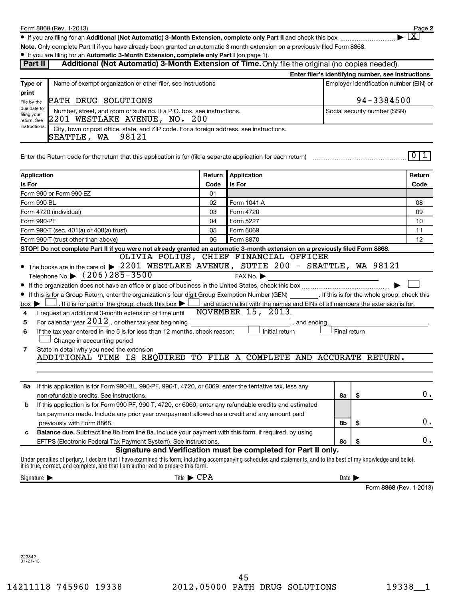**2**  $\lfloor x \rfloor$ 

● If you are filing for an Additional (Not Automatic) 3-Month Extension, complete only Part II and check this box <sub>……………………</sub>………

**Note.**  Only complete Part II if you have already been granted an automatic 3-month extension on a previously filed Form 8868.

|                                                               | • If you are filing for an Automatic 3-Month Extension, complete only Part I (on page 1).                                                                          |            |                                                                |                            |                                         |                         |  |  |
|---------------------------------------------------------------|--------------------------------------------------------------------------------------------------------------------------------------------------------------------|------------|----------------------------------------------------------------|----------------------------|-----------------------------------------|-------------------------|--|--|
| Part II                                                       | Additional (Not Automatic) 3-Month Extension of Time. Only file the original (no copies needed).                                                                   |            |                                                                |                            |                                         |                         |  |  |
|                                                               | Enter filer's identifying number, see instructions                                                                                                                 |            |                                                                |                            |                                         |                         |  |  |
| Type or                                                       | Name of exempt organization or other filer, see instructions                                                                                                       |            |                                                                |                            | Employer identification number (EIN) or |                         |  |  |
| print                                                         |                                                                                                                                                                    |            |                                                                |                            |                                         |                         |  |  |
| File by the                                                   | PATH DRUG SOLUTIONS                                                                                                                                                | 94-3384500 |                                                                |                            |                                         |                         |  |  |
| due date for<br>filing your                                   | Number, street, and room or suite no. If a P.O. box, see instructions.                                                                                             |            |                                                                |                            | Social security number (SSN)            |                         |  |  |
| 2201 WESTLAKE AVENUE, NO. 200<br>return. See<br>instructions. |                                                                                                                                                                    |            |                                                                |                            |                                         |                         |  |  |
|                                                               | City, town or post office, state, and ZIP code. For a foreign address, see instructions.                                                                           |            |                                                                |                            |                                         |                         |  |  |
|                                                               | 98121<br>SEATTLE, WA                                                                                                                                               |            |                                                                |                            |                                         |                         |  |  |
|                                                               |                                                                                                                                                                    |            |                                                                |                            |                                         | 0 1                     |  |  |
|                                                               | Enter the Return code for the return that this application is for (file a separate application for each return)                                                    |            |                                                                |                            |                                         |                         |  |  |
|                                                               |                                                                                                                                                                    |            |                                                                |                            |                                         |                         |  |  |
| Application                                                   |                                                                                                                                                                    | Return     | Application                                                    |                            |                                         | Return                  |  |  |
| Is For                                                        |                                                                                                                                                                    | Code       | Is For                                                         |                            |                                         | Code                    |  |  |
|                                                               | Form 990 or Form 990-EZ<br>Form 990-BL                                                                                                                             | 01<br>02   |                                                                |                            |                                         | 08                      |  |  |
|                                                               | Form 4720 (individual)                                                                                                                                             | 03         | Form 1041-A<br>Form 4720                                       |                            |                                         | 09                      |  |  |
|                                                               | Form 990-PF                                                                                                                                                        | 04         | Form 5227                                                      |                            |                                         | 10                      |  |  |
|                                                               | Form 990-T (sec. 401(a) or 408(a) trust)                                                                                                                           | 05         | Form 6069                                                      |                            |                                         | 11                      |  |  |
|                                                               | Form 990-T (trust other than above)                                                                                                                                | 06         | Form 8870                                                      |                            |                                         | 12                      |  |  |
|                                                               | STOP! Do not complete Part II if you were not already granted an automatic 3-month extension on a previously filed Form 8868.                                      |            |                                                                |                            |                                         |                         |  |  |
|                                                               |                                                                                                                                                                    |            | OLIVIA POLIUS, CHIEF FINANCIAL OFFICER                         |                            |                                         |                         |  |  |
|                                                               | The books are in the care of > 2201 WESTLAKE AVENUE, SUTIE 200 - SEATTLE, WA 98121                                                                                 |            |                                                                |                            |                                         |                         |  |  |
|                                                               | Telephone No. $\triangleright$ (206) 285-3500                                                                                                                      |            | FAX No.                                                        |                            |                                         |                         |  |  |
|                                                               |                                                                                                                                                                    |            |                                                                |                            |                                         |                         |  |  |
|                                                               | If this is for a Group Return, enter the organization's four digit Group Exemption Number (GEN) [If this is for the whole group, check this                        |            |                                                                |                            |                                         |                         |  |  |
| $box \blacktriangleright$                                     | . If it is for part of the group, check this box $\blacktriangleright$ $\Box$ and attach a list with the names and EINs of all members the extension is for.       |            |                                                                |                            |                                         |                         |  |  |
| 4                                                             | I request an additional 3-month extension of time until                                                                                                            |            | <b>NOVEMBER 15, 2013</b>                                       |                            |                                         |                         |  |  |
| 5                                                             | For calendar year $2012$ , or other tax year beginning                                                                                                             |            | , and ending                                                   |                            |                                         |                         |  |  |
| 6                                                             | If the tax year entered in line 5 is for less than 12 months, check reason:                                                                                        |            | Initial return                                                 | Final return               |                                         |                         |  |  |
|                                                               | Change in accounting period                                                                                                                                        |            |                                                                |                            |                                         |                         |  |  |
| 7                                                             | State in detail why you need the extension                                                                                                                         |            |                                                                |                            |                                         |                         |  |  |
|                                                               | ADDITIONAL TIME IS REQUIRED TO FILE A COMPLETE AND ACCURATE RETURN.                                                                                                |            |                                                                |                            |                                         |                         |  |  |
|                                                               |                                                                                                                                                                    |            |                                                                |                            |                                         |                         |  |  |
|                                                               |                                                                                                                                                                    |            |                                                                |                            |                                         |                         |  |  |
|                                                               | 8a If this application is for Form 990-BL, 990-PF, 990-T, 4720, or 6069, enter the tentative tax, less any                                                         |            |                                                                |                            |                                         | 0.                      |  |  |
|                                                               | nonrefundable credits. See instructions.                                                                                                                           |            |                                                                | 8a                         | -\$                                     |                         |  |  |
| b                                                             | If this application is for Form 990-PF, 990-T, 4720, or 6069, enter any refundable credits and estimated                                                           |            |                                                                |                            |                                         |                         |  |  |
|                                                               | tax payments made. Include any prior year overpayment allowed as a credit and any amount paid                                                                      |            |                                                                |                            |                                         | 0.                      |  |  |
|                                                               | previously with Form 8868.<br>Balance due. Subtract line 8b from line 8a. Include your payment with this form, if required, by using                               |            |                                                                | 8b                         | \$                                      |                         |  |  |
| с                                                             | EFTPS (Electronic Federal Tax Payment System). See instructions.                                                                                                   |            |                                                                | 8с                         | \$                                      | 0.                      |  |  |
|                                                               |                                                                                                                                                                    |            | Signature and Verification must be completed for Part II only. |                            |                                         |                         |  |  |
|                                                               | Under penalties of perjury, I declare that I have examined this form, including accompanying schedules and statements, and to the best of my knowledge and belief, |            |                                                                |                            |                                         |                         |  |  |
|                                                               | it is true, correct, and complete, and that I am authorized to prepare this form.                                                                                  |            |                                                                |                            |                                         |                         |  |  |
| Signature $\blacktriangleright$                               | Title $\blacktriangleright$ CPA                                                                                                                                    |            |                                                                | Date $\blacktriangleright$ |                                         |                         |  |  |
|                                                               |                                                                                                                                                                    |            |                                                                |                            |                                         | Form 8868 (Rev. 1-2013) |  |  |